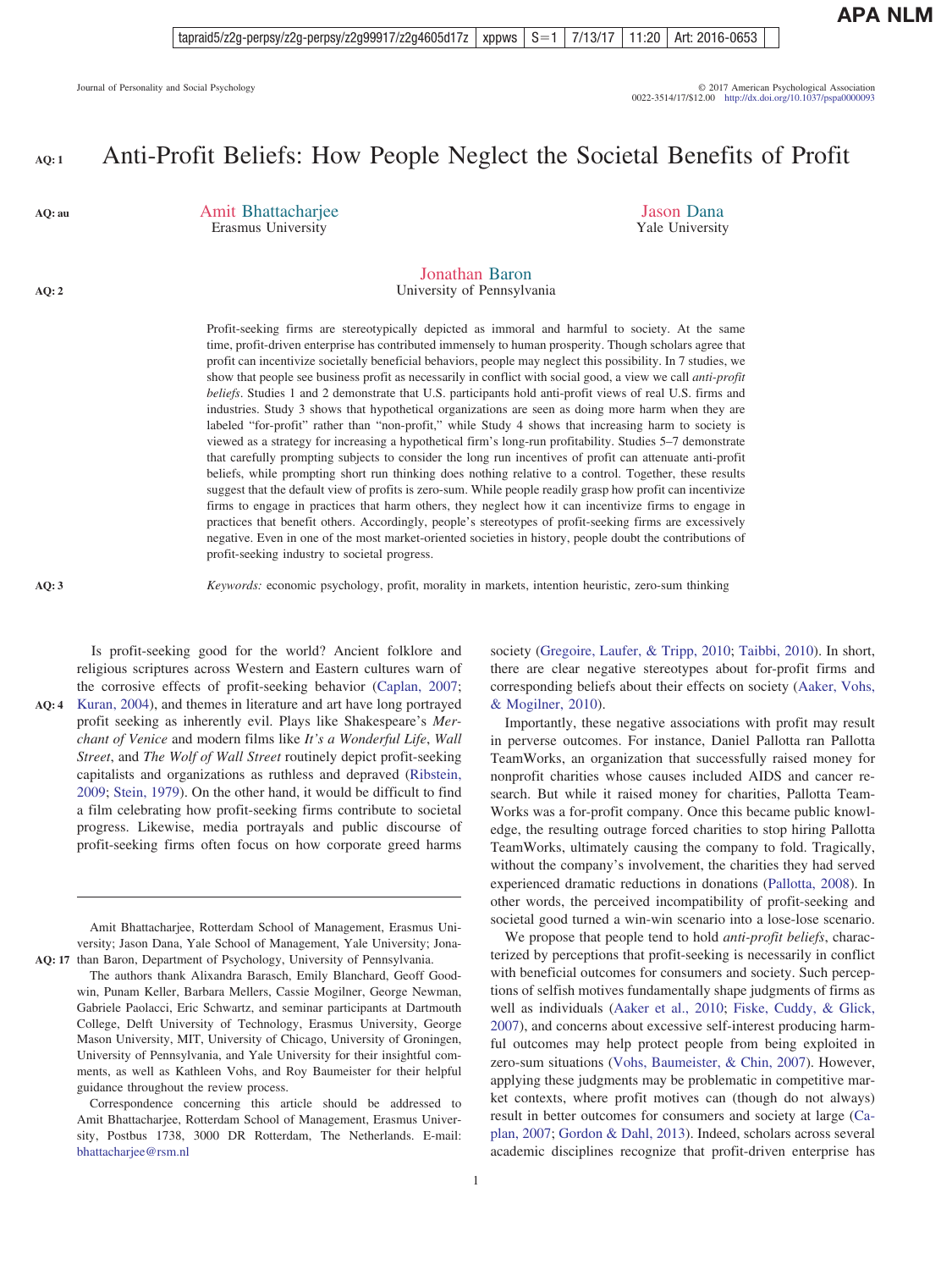#### Anti-Profit Beliefs: How People Neglect the Societal Benefits of Profit **AQ: 1**

Amit Bhattacharjee Erasmus University

Jason Dana Yale University

#### Jonathan Baron University of Pennsylvania

Profit-seeking firms are stereotypically depicted as immoral and harmful to society. At the same time, profit-driven enterprise has contributed immensely to human prosperity. Though scholars agree that profit can incentivize societally beneficial behaviors, people may neglect this possibility. In 7 studies, we show that people see business profit as necessarily in conflict with social good, a view we call *anti-profit beliefs*. Studies 1 and 2 demonstrate that U.S. participants hold anti-profit views of real U.S. firms and industries. Study 3 shows that hypothetical organizations are seen as doing more harm when they are labeled "for-profit" rather than "non-profit," while Study 4 shows that increasing harm to society is viewed as a strategy for increasing a hypothetical firm's long-run profitability. Studies 5–7 demonstrate that carefully prompting subjects to consider the long run incentives of profit can attenuate anti-profit beliefs, while prompting short run thinking does nothing relative to a control. Together, these results suggest that the default view of profits is zero-sum. While people readily grasp how profit can incentivize firms to engage in practices that harm others, they neglect how it can incentivize firms to engage in practices that benefit others. Accordingly, people's stereotypes of profit-seeking firms are excessively negative. Even in one of the most market-oriented societies in history, people doubt the contributions of profit-seeking industry to societal progress.

 $\frac{1}{2}$ **AQ: 3**

**AQ: au**

**AQ: 2**

*Keywords:* economic psychology, profit, morality in markets, intention heuristic, zero-sum thinking

Is profit-seeking good for the world? Ancient folklore and religious scriptures across Western and Eastern cultures warn of the corrosive effects of profit-seeking behavior [\(Caplan, 2007;](#page-21-0) AQ: 4 [Kuran, 2004\)](#page-23-0), and themes in literature and art have long portrayed profit seeking as inherently evil. Plays like Shakespeare's *Merchant of Venice* and modern films like *It's a Wonderful Life*, *Wall Street*, and *The Wolf of Wall Street* routinely depict profit-seeking capitalists and organizations as ruthless and depraved [\(Ribstein,](#page-23-0) [2009;](#page-23-0) [Stein, 1979\)](#page-23-0). On the other hand, it would be difficult to find a film celebrating how profit-seeking firms contribute to societal progress. Likewise, media portrayals and public discourse of profit-seeking firms often focus on how corporate greed harms

Amit Bhattacharjee, Rotterdam School of Management, Erasmus University; Jason Dana, Yale School of Management, Yale University; Jona-AQ: 17 than Baron, Department of Psychology, University of Pennsylvania.

The authors thank Alixandra Barasch, Emily Blanchard, Geoff Goodwin, Punam Keller, Barbara Mellers, Cassie Mogilner, George Newman, Gabriele Paolacci, Eric Schwartz, and seminar participants at Dartmouth College, Delft University of Technology, Erasmus University, George Mason University, MIT, University of Chicago, University of Groningen, University of Pennsylvania, and Yale University for their insightful comments, as well as Kathleen Vohs, and Roy Baumeister for their helpful guidance throughout the review process.

Correspondence concerning this article should be addressed to Amit Bhattacharjee, Rotterdam School of Management, Erasmus University, Postbus 1738, 3000 DR Rotterdam, The Netherlands. E-mail: [bhattacharjee@rsm.nl](mailto:bhattacharjee@rsm.nl)

1

society [\(Gregoire, Laufer, & Tripp, 2010;](#page-22-0) [Taibbi, 2010\)](#page-23-0). In short, there are clear negative stereotypes about for-profit firms and corresponding beliefs about their effects on society [\(Aaker, Vohs,](#page-21-0) [& Mogilner, 2010\)](#page-21-0).

Importantly, these negative associations with profit may result in perverse outcomes. For instance, Daniel Pallotta ran Pallotta TeamWorks, an organization that successfully raised money for nonprofit charities whose causes included AIDS and cancer research. But while it raised money for charities, Pallotta Team-Works was a for-profit company. Once this became public knowledge, the resulting outrage forced charities to stop hiring Pallotta TeamWorks, ultimately causing the company to fold. Tragically, without the company's involvement, the charities they had served experienced dramatic reductions in donations [\(Pallotta, 2008\)](#page-23-0). In other words, the perceived incompatibility of profit-seeking and societal good turned a win-win scenario into a lose-lose scenario.

We propose that people tend to hold *anti-profit beliefs*, characterized by perceptions that profit-seeking is necessarily in conflict with beneficial outcomes for consumers and society. Such perceptions of selfish motives fundamentally shape judgments of firms as well as individuals [\(Aaker et al., 2010;](#page-21-0) [Fiske, Cuddy, & Glick,](#page-22-0) [2007\)](#page-22-0), and concerns about excessive self-interest producing harmful outcomes may help protect people from being exploited in zero-sum situations [\(Vohs, Baumeister, & Chin, 2007\)](#page-23-0). However, applying these judgments may be problematic in competitive market contexts, where profit motives can (though do not always) result in better outcomes for consumers and society at large [\(Ca](#page-21-0)[plan, 2007;](#page-21-0) [Gordon & Dahl, 2013\)](#page-22-0). Indeed, scholars across several academic disciplines recognize that profit-driven enterprise has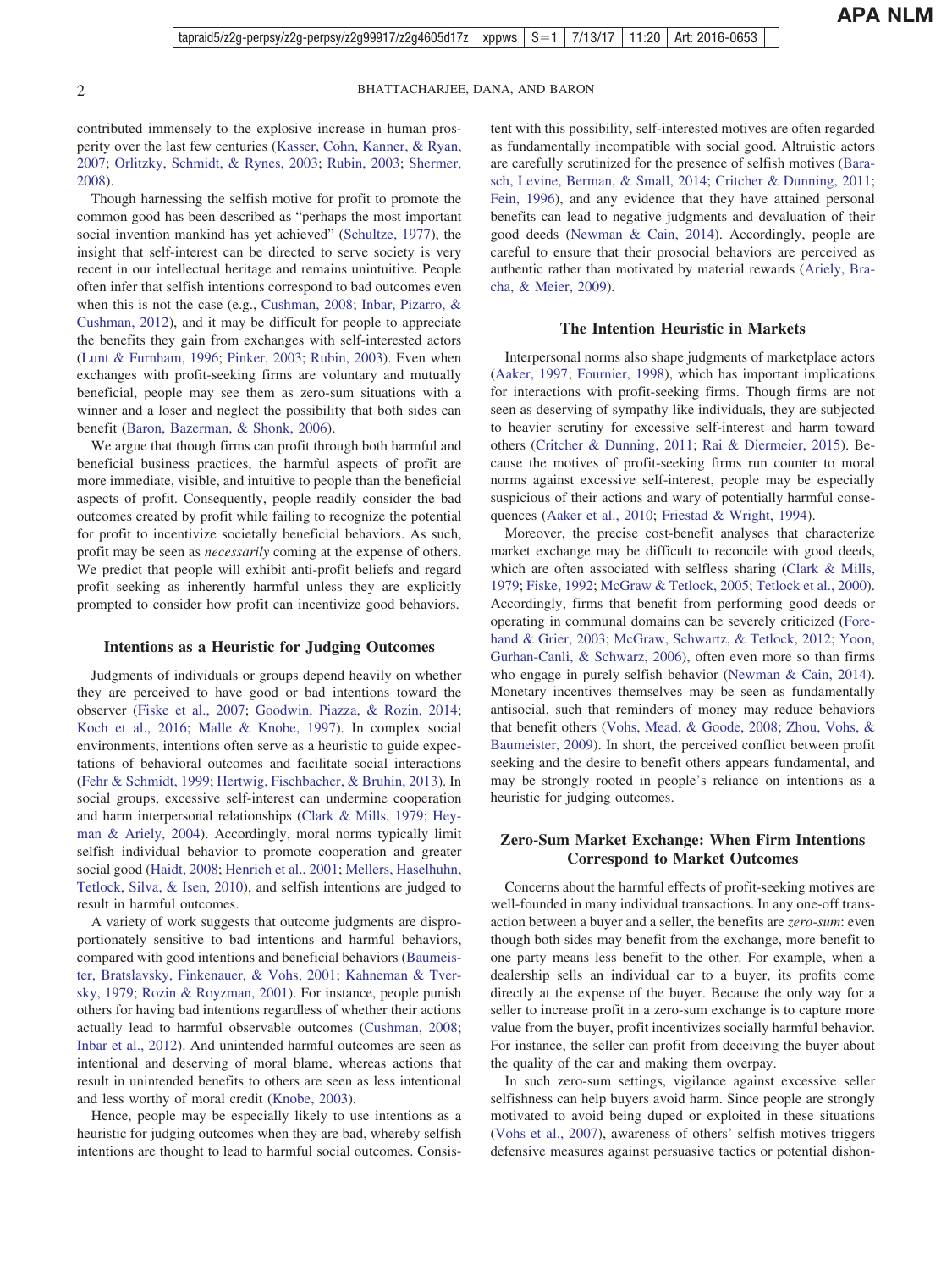contributed immensely to the explosive increase in human prosperity over the last few centuries [\(Kasser, Cohn, Kanner, & Ryan,](#page-22-0) [2007;](#page-22-0) [Orlitzky, Schmidt, & Rynes, 2003;](#page-23-0) [Rubin, 2003;](#page-23-0) [Shermer,](#page-23-0) [2008\)](#page-23-0).

Though harnessing the selfish motive for profit to promote the common good has been described as "perhaps the most important social invention mankind has yet achieved" [\(Schultze, 1977\)](#page-23-0), the insight that self-interest can be directed to serve society is very recent in our intellectual heritage and remains unintuitive. People often infer that selfish intentions correspond to bad outcomes even when this is not the case (e.g., [Cushman, 2008;](#page-21-0) [Inbar, Pizarro, &](#page-22-0) [Cushman, 2012\)](#page-22-0), and it may be difficult for people to appreciate the benefits they gain from exchanges with self-interested actors [\(Lunt & Furnham, 1996;](#page-23-0) [Pinker, 2003;](#page-23-0) [Rubin, 2003\)](#page-23-0). Even when exchanges with profit-seeking firms are voluntary and mutually beneficial, people may see them as zero-sum situations with a winner and a loser and neglect the possibility that both sides can benefit [\(Baron, Bazerman, & Shonk, 2006\)](#page-21-0).

We argue that though firms can profit through both harmful and beneficial business practices, the harmful aspects of profit are more immediate, visible, and intuitive to people than the beneficial aspects of profit. Consequently, people readily consider the bad outcomes created by profit while failing to recognize the potential for profit to incentivize societally beneficial behaviors. As such, profit may be seen as *necessarily* coming at the expense of others. We predict that people will exhibit anti-profit beliefs and regard profit seeking as inherently harmful unless they are explicitly prompted to consider how profit can incentivize good behaviors.

#### **Intentions as a Heuristic for Judging Outcomes**

Judgments of individuals or groups depend heavily on whether they are perceived to have good or bad intentions toward the observer [\(Fiske et al., 2007;](#page-22-0) [Goodwin, Piazza, & Rozin, 2014;](#page-22-0) [Koch et al., 2016;](#page-23-0) [Malle & Knobe, 1997\)](#page-23-0). In complex social environments, intentions often serve as a heuristic to guide expectations of behavioral outcomes and facilitate social interactions [\(Fehr & Schmidt, 1999;](#page-22-0) [Hertwig, Fischbacher, & Bruhin, 2013\)](#page-22-0). In social groups, excessive self-interest can undermine cooperation and harm interpersonal relationships [\(Clark & Mills, 1979;](#page-21-0) [Hey](#page-22-0)[man & Ariely, 2004\)](#page-22-0). Accordingly, moral norms typically limit selfish individual behavior to promote cooperation and greater social good [\(Haidt, 2008;](#page-22-0) [Henrich et al., 2001;](#page-22-0) [Mellers, Haselhuhn,](#page-23-0) [Tetlock, Silva, & Isen, 2010\)](#page-23-0), and selfish intentions are judged to result in harmful outcomes.

A variety of work suggests that outcome judgments are disproportionately sensitive to bad intentions and harmful behaviors, compared with good intentions and beneficial behaviors [\(Baumeis](#page-21-0)[ter, Bratslavsky, Finkenauer, & Vohs, 2001;](#page-21-0) [Kahneman & Tver](#page-22-0)[sky, 1979;](#page-22-0) [Rozin & Royzman, 2001\)](#page-23-0). For instance, people punish others for having bad intentions regardless of whether their actions actually lead to harmful observable outcomes [\(Cushman, 2008;](#page-21-0) [Inbar et al., 2012\)](#page-22-0). And unintended harmful outcomes are seen as intentional and deserving of moral blame, whereas actions that result in unintended benefits to others are seen as less intentional and less worthy of moral credit [\(Knobe, 2003\)](#page-23-0).

Hence, people may be especially likely to use intentions as a heuristic for judging outcomes when they are bad, whereby selfish intentions are thought to lead to harmful social outcomes. Consistent with this possibility, self-interested motives are often regarded as fundamentally incompatible with social good. Altruistic actors are carefully scrutinized for the presence of selfish motives [\(Bara](#page-21-0)[sch, Levine, Berman, & Small, 2014;](#page-21-0) [Critcher & Dunning, 2011;](#page-21-0) [Fein, 1996\)](#page-22-0), and any evidence that they have attained personal benefits can lead to negative judgments and devaluation of their good deeds [\(Newman & Cain, 2014\)](#page-23-0). Accordingly, people are careful to ensure that their prosocial behaviors are perceived as authentic rather than motivated by material rewards [\(Ariely, Bra](#page-21-0)[cha, & Meier, 2009\)](#page-21-0).

#### **The Intention Heuristic in Markets**

Interpersonal norms also shape judgments of marketplace actors [\(Aaker, 1997;](#page-21-0) [Fournier, 1998\)](#page-22-0), which has important implications for interactions with profit-seeking firms. Though firms are not seen as deserving of sympathy like individuals, they are subjected to heavier scrutiny for excessive self-interest and harm toward others [\(Critcher & Dunning, 2011;](#page-21-0) [Rai & Diermeier, 2015\)](#page-23-0). Because the motives of profit-seeking firms run counter to moral norms against excessive self-interest, people may be especially suspicious of their actions and wary of potentially harmful consequences [\(Aaker et al., 2010;](#page-21-0) [Friestad & Wright, 1994\)](#page-22-0).

Moreover, the precise cost-benefit analyses that characterize market exchange may be difficult to reconcile with good deeds, which are often associated with selfless sharing [\(Clark & Mills,](#page-21-0) [1979;](#page-21-0) [Fiske, 1992;](#page-22-0) [McGraw & Tetlock, 2005;](#page-23-0) [Tetlock et al., 2000\)](#page-23-0). Accordingly, firms that benefit from performing good deeds or operating in communal domains can be severely criticized [\(Fore](#page-22-0)[hand & Grier, 2003;](#page-22-0) [McGraw, Schwartz, & Tetlock, 2012;](#page-23-0) [Yoon,](#page-24-0) [Gurhan-Canli, & Schwarz, 2006\)](#page-24-0), often even more so than firms who engage in purely selfish behavior [\(Newman & Cain, 2014\)](#page-23-0). Monetary incentives themselves may be seen as fundamentally antisocial, such that reminders of money may reduce behaviors that benefit others [\(Vohs, Mead, & Goode, 2008;](#page-23-0) [Zhou, Vohs, &](#page-24-0) [Baumeister, 2009\)](#page-24-0). In short, the perceived conflict between profit seeking and the desire to benefit others appears fundamental, and may be strongly rooted in people's reliance on intentions as a heuristic for judging outcomes.

### **Zero-Sum Market Exchange: When Firm Intentions Correspond to Market Outcomes**

Concerns about the harmful effects of profit-seeking motives are well-founded in many individual transactions. In any one-off transaction between a buyer and a seller, the benefits are *zero-sum*: even though both sides may benefit from the exchange, more benefit to one party means less benefit to the other. For example, when a dealership sells an individual car to a buyer, its profits come directly at the expense of the buyer. Because the only way for a seller to increase profit in a zero-sum exchange is to capture more value from the buyer, profit incentivizes socially harmful behavior. For instance, the seller can profit from deceiving the buyer about the quality of the car and making them overpay.

In such zero-sum settings, vigilance against excessive seller selfishness can help buyers avoid harm. Since people are strongly motivated to avoid being duped or exploited in these situations [\(Vohs et al., 2007\)](#page-23-0), awareness of others' selfish motives triggers defensive measures against persuasive tactics or potential dishon-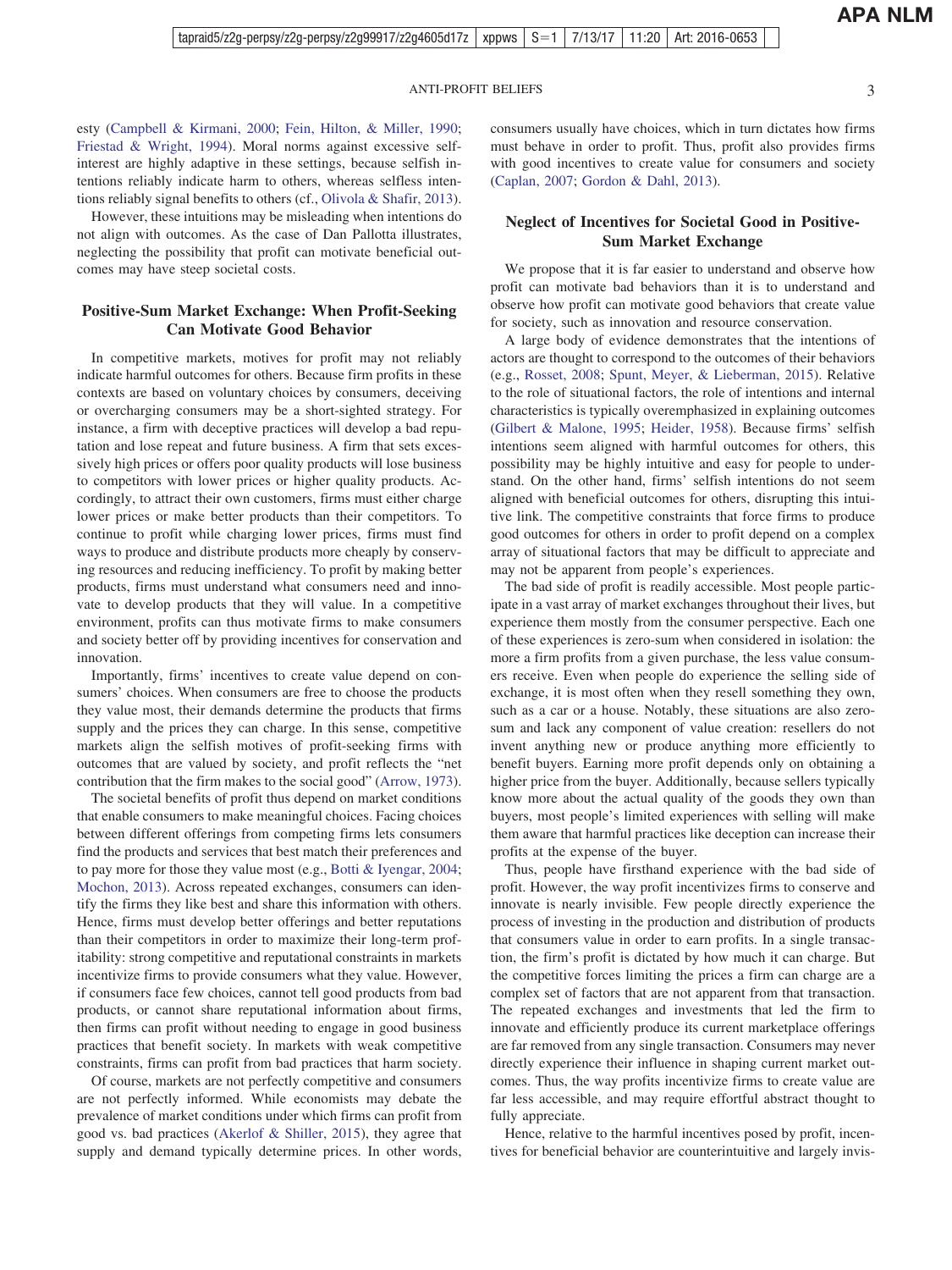esty [\(Campbell & Kirmani, 2000;](#page-21-0) [Fein, Hilton, & Miller, 1990;](#page-22-0) [Friestad & Wright, 1994\)](#page-22-0). Moral norms against excessive selfinterest are highly adaptive in these settings, because selfish intentions reliably indicate harm to others, whereas selfless intentions reliably signal benefits to others (cf., [Olivola & Shafir, 2013\)](#page-23-0).

However, these intuitions may be misleading when intentions do not align with outcomes. As the case of Dan Pallotta illustrates, neglecting the possibility that profit can motivate beneficial outcomes may have steep societal costs.

### **Positive-Sum Market Exchange: When Profit-Seeking Can Motivate Good Behavior**

In competitive markets, motives for profit may not reliably indicate harmful outcomes for others. Because firm profits in these contexts are based on voluntary choices by consumers, deceiving or overcharging consumers may be a short-sighted strategy. For instance, a firm with deceptive practices will develop a bad reputation and lose repeat and future business. A firm that sets excessively high prices or offers poor quality products will lose business to competitors with lower prices or higher quality products. Accordingly, to attract their own customers, firms must either charge lower prices or make better products than their competitors. To continue to profit while charging lower prices, firms must find ways to produce and distribute products more cheaply by conserving resources and reducing inefficiency. To profit by making better products, firms must understand what consumers need and innovate to develop products that they will value. In a competitive environment, profits can thus motivate firms to make consumers and society better off by providing incentives for conservation and innovation.

Importantly, firms' incentives to create value depend on consumers' choices. When consumers are free to choose the products they value most, their demands determine the products that firms supply and the prices they can charge. In this sense, competitive markets align the selfish motives of profit-seeking firms with outcomes that are valued by society, and profit reflects the "net contribution that the firm makes to the social good" [\(Arrow, 1973\)](#page-21-0).

The societal benefits of profit thus depend on market conditions that enable consumers to make meaningful choices. Facing choices between different offerings from competing firms lets consumers find the products and services that best match their preferences and to pay more for those they value most (e.g., [Botti & Iyengar, 2004;](#page-21-0) [Mochon, 2013\)](#page-23-0). Across repeated exchanges, consumers can identify the firms they like best and share this information with others. Hence, firms must develop better offerings and better reputations than their competitors in order to maximize their long-term profitability: strong competitive and reputational constraints in markets incentivize firms to provide consumers what they value. However, if consumers face few choices, cannot tell good products from bad products, or cannot share reputational information about firms, then firms can profit without needing to engage in good business practices that benefit society. In markets with weak competitive constraints, firms can profit from bad practices that harm society.

Of course, markets are not perfectly competitive and consumers are not perfectly informed. While economists may debate the prevalence of market conditions under which firms can profit from good vs. bad practices [\(Akerlof & Shiller, 2015\)](#page-21-0), they agree that supply and demand typically determine prices. In other words, consumers usually have choices, which in turn dictates how firms must behave in order to profit. Thus, profit also provides firms with good incentives to create value for consumers and society [\(Caplan, 2007;](#page-21-0) [Gordon & Dahl, 2013\)](#page-22-0).

#### **Neglect of Incentives for Societal Good in Positive-Sum Market Exchange**

We propose that it is far easier to understand and observe how profit can motivate bad behaviors than it is to understand and observe how profit can motivate good behaviors that create value for society, such as innovation and resource conservation.

A large body of evidence demonstrates that the intentions of actors are thought to correspond to the outcomes of their behaviors (e.g., [Rosset, 2008;](#page-23-0) [Spunt, Meyer, & Lieberman, 2015\)](#page-23-0). Relative to the role of situational factors, the role of intentions and internal characteristics is typically overemphasized in explaining outcomes [\(Gilbert & Malone, 1995;](#page-22-0) [Heider, 1958\)](#page-22-0). Because firms' selfish intentions seem aligned with harmful outcomes for others, this possibility may be highly intuitive and easy for people to understand. On the other hand, firms' selfish intentions do not seem aligned with beneficial outcomes for others, disrupting this intuitive link. The competitive constraints that force firms to produce good outcomes for others in order to profit depend on a complex array of situational factors that may be difficult to appreciate and may not be apparent from people's experiences.

The bad side of profit is readily accessible. Most people participate in a vast array of market exchanges throughout their lives, but experience them mostly from the consumer perspective. Each one of these experiences is zero-sum when considered in isolation: the more a firm profits from a given purchase, the less value consumers receive. Even when people do experience the selling side of exchange, it is most often when they resell something they own, such as a car or a house. Notably, these situations are also zerosum and lack any component of value creation: resellers do not invent anything new or produce anything more efficiently to benefit buyers. Earning more profit depends only on obtaining a higher price from the buyer. Additionally, because sellers typically know more about the actual quality of the goods they own than buyers, most people's limited experiences with selling will make them aware that harmful practices like deception can increase their profits at the expense of the buyer.

Thus, people have firsthand experience with the bad side of profit. However, the way profit incentivizes firms to conserve and innovate is nearly invisible. Few people directly experience the process of investing in the production and distribution of products that consumers value in order to earn profits. In a single transaction, the firm's profit is dictated by how much it can charge. But the competitive forces limiting the prices a firm can charge are a complex set of factors that are not apparent from that transaction. The repeated exchanges and investments that led the firm to innovate and efficiently produce its current marketplace offerings are far removed from any single transaction. Consumers may never directly experience their influence in shaping current market outcomes. Thus, the way profits incentivize firms to create value are far less accessible, and may require effortful abstract thought to fully appreciate.

Hence, relative to the harmful incentives posed by profit, incentives for beneficial behavior are counterintuitive and largely invis-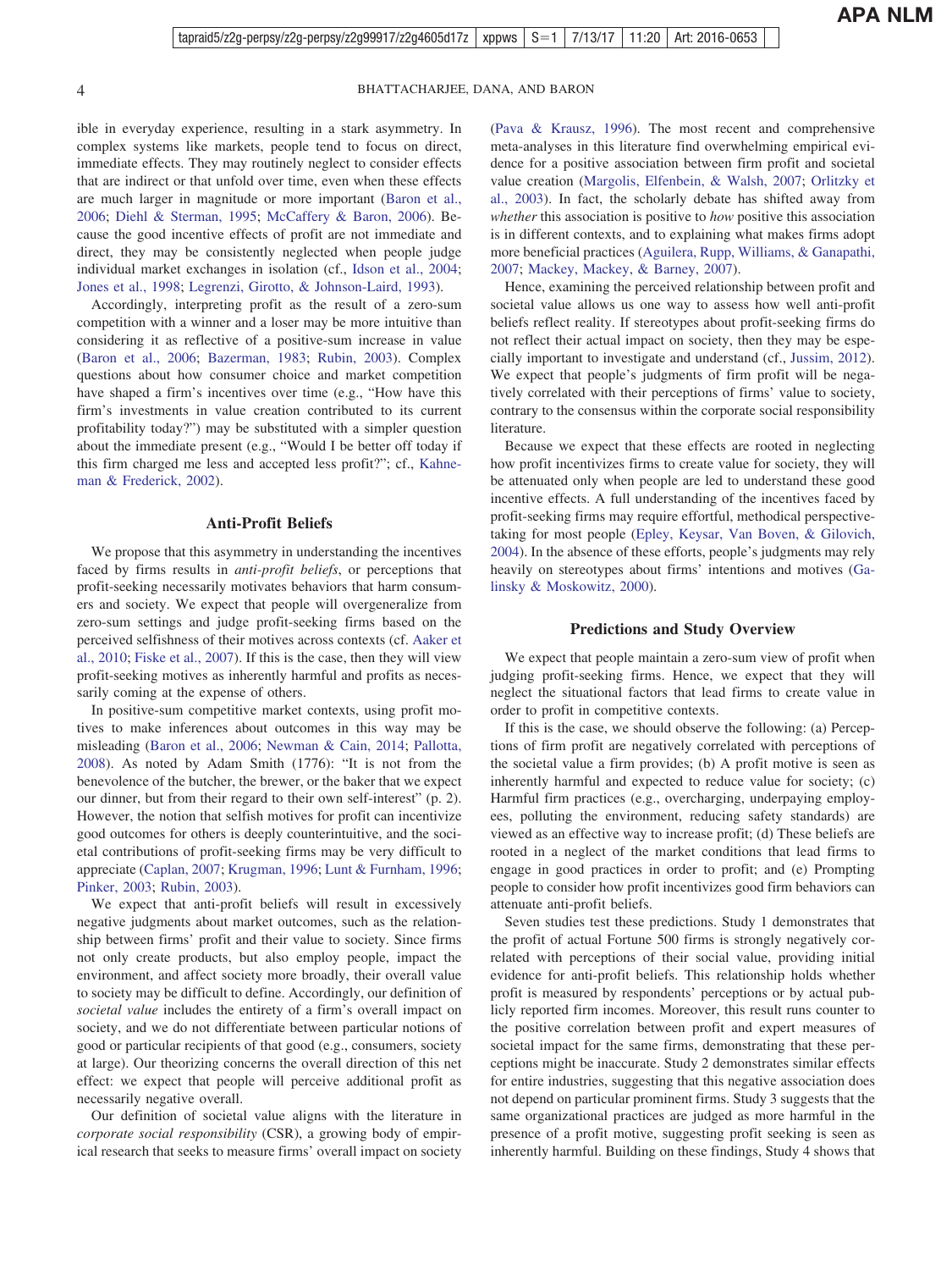ible in everyday experience, resulting in a stark asymmetry. In complex systems like markets, people tend to focus on direct, immediate effects. They may routinely neglect to consider effects that are indirect or that unfold over time, even when these effects are much larger in magnitude or more important [\(Baron et al.,](#page-21-0) [2006;](#page-21-0) [Diehl & Sterman, 1995;](#page-22-0) [McCaffery & Baron, 2006\)](#page-23-0). Because the good incentive effects of profit are not immediate and direct, they may be consistently neglected when people judge individual market exchanges in isolation (cf., [Idson et al., 2004;](#page-22-0) [Jones et al., 1998;](#page-22-0) [Legrenzi, Girotto, & Johnson-Laird, 1993\)](#page-23-0).

Accordingly, interpreting profit as the result of a zero-sum competition with a winner and a loser may be more intuitive than considering it as reflective of a positive-sum increase in value [\(Baron et al., 2006;](#page-21-0) [Bazerman, 1983;](#page-21-0) [Rubin, 2003\)](#page-23-0). Complex questions about how consumer choice and market competition have shaped a firm's incentives over time (e.g., "How have this firm's investments in value creation contributed to its current profitability today?") may be substituted with a simpler question about the immediate present (e.g., "Would I be better off today if this firm charged me less and accepted less profit?"; cf., [Kahne](#page-22-0)[man & Frederick, 2002\)](#page-22-0).

#### **Anti-Profit Beliefs**

We propose that this asymmetry in understanding the incentives faced by firms results in *anti-profit beliefs*, or perceptions that profit-seeking necessarily motivates behaviors that harm consumers and society. We expect that people will overgeneralize from zero-sum settings and judge profit-seeking firms based on the perceived selfishness of their motives across contexts (cf. [Aaker et](#page-21-0) [al., 2010;](#page-21-0) [Fiske et al., 2007\)](#page-22-0). If this is the case, then they will view profit-seeking motives as inherently harmful and profits as necessarily coming at the expense of others.

In positive-sum competitive market contexts, using profit motives to make inferences about outcomes in this way may be misleading [\(Baron et al., 2006;](#page-21-0) [Newman & Cain, 2014;](#page-23-0) [Pallotta,](#page-23-0) [2008\)](#page-23-0). As noted by Adam Smith (1776): "It is not from the benevolence of the butcher, the brewer, or the baker that we expect our dinner, but from their regard to their own self-interest" (p. 2). However, the notion that selfish motives for profit can incentivize good outcomes for others is deeply counterintuitive, and the societal contributions of profit-seeking firms may be very difficult to appreciate [\(Caplan, 2007;](#page-21-0) [Krugman, 1996;](#page-23-0) [Lunt & Furnham, 1996;](#page-23-0) [Pinker, 2003;](#page-23-0) [Rubin, 2003\)](#page-23-0).

We expect that anti-profit beliefs will result in excessively negative judgments about market outcomes, such as the relationship between firms' profit and their value to society. Since firms not only create products, but also employ people, impact the environment, and affect society more broadly, their overall value to society may be difficult to define. Accordingly, our definition of *societal value* includes the entirety of a firm's overall impact on society, and we do not differentiate between particular notions of good or particular recipients of that good (e.g., consumers, society at large). Our theorizing concerns the overall direction of this net effect: we expect that people will perceive additional profit as necessarily negative overall.

Our definition of societal value aligns with the literature in *corporate social responsibility* (CSR), a growing body of empirical research that seeks to measure firms' overall impact on society

[\(Pava & Krausz, 1996\)](#page-23-0). The most recent and comprehensive meta-analyses in this literature find overwhelming empirical evidence for a positive association between firm profit and societal value creation [\(Margolis, Elfenbein, & Walsh, 2007;](#page-23-0) [Orlitzky et](#page-23-0) [al., 2003\)](#page-23-0). In fact, the scholarly debate has shifted away from *whether* this association is positive to *how* positive this association is in different contexts, and to explaining what makes firms adopt more beneficial practices [\(Aguilera, Rupp, Williams, & Ganapathi,](#page-21-0) [2007;](#page-21-0) [Mackey, Mackey, & Barney, 2007\)](#page-23-0).

Hence, examining the perceived relationship between profit and societal value allows us one way to assess how well anti-profit beliefs reflect reality. If stereotypes about profit-seeking firms do not reflect their actual impact on society, then they may be especially important to investigate and understand (cf., [Jussim, 2012\)](#page-22-0). We expect that people's judgments of firm profit will be negatively correlated with their perceptions of firms' value to society, contrary to the consensus within the corporate social responsibility literature.

Because we expect that these effects are rooted in neglecting how profit incentivizes firms to create value for society, they will be attenuated only when people are led to understand these good incentive effects. A full understanding of the incentives faced by profit-seeking firms may require effortful, methodical perspectivetaking for most people [\(Epley, Keysar, Van Boven, & Gilovich,](#page-22-0) [2004\)](#page-22-0). In the absence of these efforts, people's judgments may rely heavily on stereotypes about firms' intentions and motives [\(Ga](#page-22-0)[linsky & Moskowitz, 2000\)](#page-22-0).

#### **Predictions and Study Overview**

We expect that people maintain a zero-sum view of profit when judging profit-seeking firms. Hence, we expect that they will neglect the situational factors that lead firms to create value in order to profit in competitive contexts.

If this is the case, we should observe the following: (a) Perceptions of firm profit are negatively correlated with perceptions of the societal value a firm provides; (b) A profit motive is seen as inherently harmful and expected to reduce value for society; (c) Harmful firm practices (e.g., overcharging, underpaying employees, polluting the environment, reducing safety standards) are viewed as an effective way to increase profit; (d) These beliefs are rooted in a neglect of the market conditions that lead firms to engage in good practices in order to profit; and (e) Prompting people to consider how profit incentivizes good firm behaviors can attenuate anti-profit beliefs.

Seven studies test these predictions. Study 1 demonstrates that the profit of actual Fortune 500 firms is strongly negatively correlated with perceptions of their social value, providing initial evidence for anti-profit beliefs. This relationship holds whether profit is measured by respondents' perceptions or by actual publicly reported firm incomes. Moreover, this result runs counter to the positive correlation between profit and expert measures of societal impact for the same firms, demonstrating that these perceptions might be inaccurate. Study 2 demonstrates similar effects for entire industries, suggesting that this negative association does not depend on particular prominent firms. Study 3 suggests that the same organizational practices are judged as more harmful in the presence of a profit motive, suggesting profit seeking is seen as inherently harmful. Building on these findings, Study 4 shows that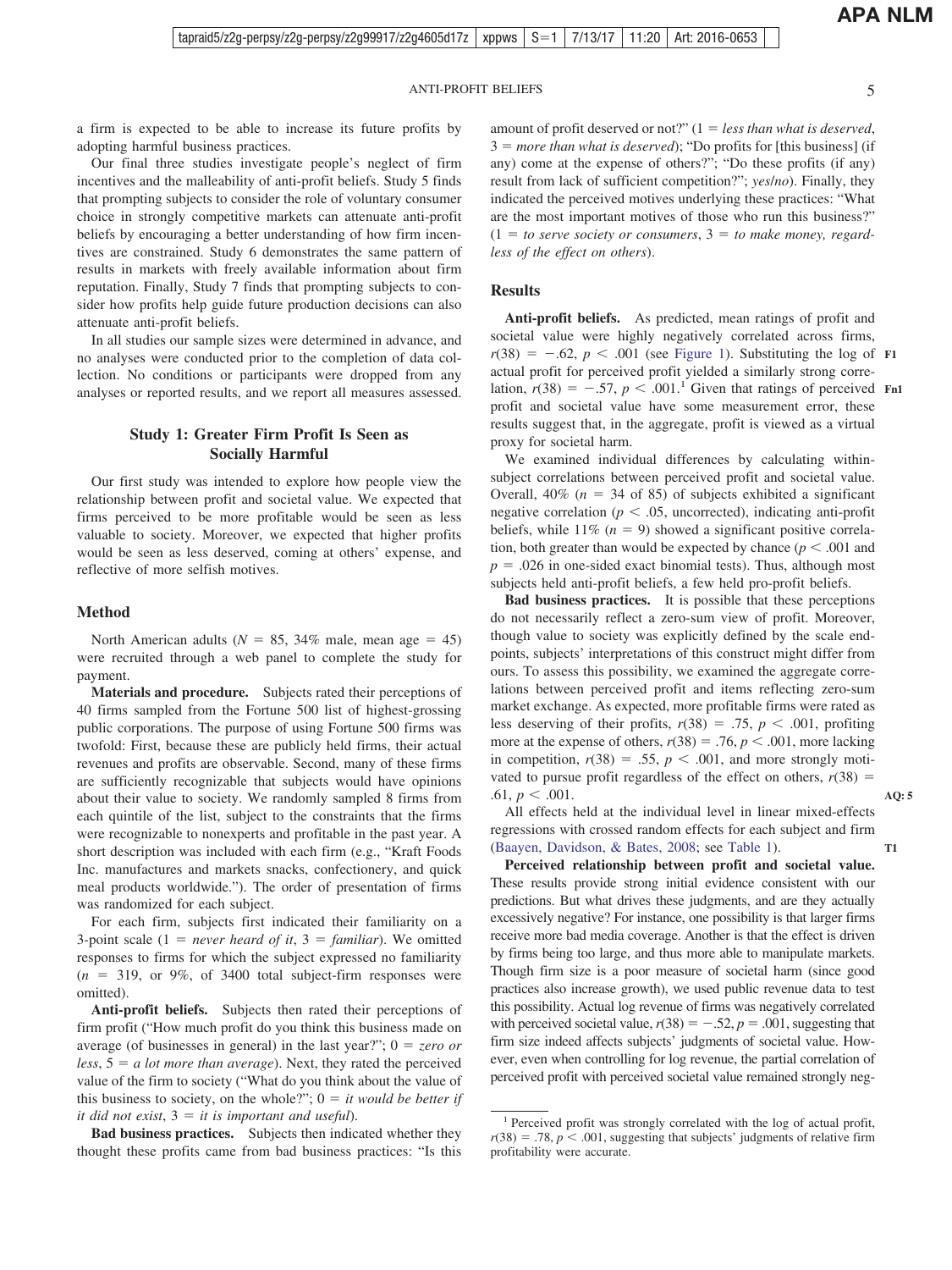**APA NLM**

**AQ: 5**

**T1**

a firm is expected to be able to increase its future profits by adopting harmful business practices.

Our final three studies investigate people's neglect of firm incentives and the malleability of anti-profit beliefs. Study 5 finds that prompting subjects to consider the role of voluntary consumer choice in strongly competitive markets can attenuate anti-profit beliefs by encouraging a better understanding of how firm incentives are constrained. Study 6 demonstrates the same pattern of results in markets with freely available information about firm reputation. Finally, Study 7 finds that prompting subjects to consider how profits help guide future production decisions can also attenuate anti-profit beliefs.

In all studies our sample sizes were determined in advance, and no analyses were conducted prior to the completion of data collection. No conditions or participants were dropped from any analyses or reported results, and we report all measures assessed.

### **Study 1: Greater Firm Profit Is Seen as Socially Harmful**

Our first study was intended to explore how people view the relationship between profit and societal value. We expected that firms perceived to be more profitable would be seen as less valuable to society. Moreover, we expected that higher profits would be seen as less deserved, coming at others' expense, and reflective of more selfish motives.

#### **Method**

North American adults ( $N = 85$ , 34% male, mean age = 45) were recruited through a web panel to complete the study for payment.

**Materials and procedure.** Subjects rated their perceptions of 40 firms sampled from the Fortune 500 list of highest-grossing public corporations. The purpose of using Fortune 500 firms was twofold: First, because these are publicly held firms, their actual revenues and profits are observable. Second, many of these firms are sufficiently recognizable that subjects would have opinions about their value to society. We randomly sampled 8 firms from each quintile of the list, subject to the constraints that the firms were recognizable to nonexperts and profitable in the past year. A short description was included with each firm (e.g., "Kraft Foods Inc. manufactures and markets snacks, confectionery, and quick meal products worldwide."). The order of presentation of firms was randomized for each subject.

For each firm, subjects first indicated their familiarity on a 3-point scale  $(1 = never heard of it, 3 = familiar)$ . We omitted responses to firms for which the subject expressed no familiarity  $(n = 319, \text{ or } 9\%, \text{ of } 3400 \text{ total subject-firm responses were}$ omitted).

**Anti-profit beliefs.** Subjects then rated their perceptions of firm profit ("How much profit do you think this business made on average (of businesses in general) in the last year?";  $0 = zero$  or  $less, 5 = a$  *lot more than average*). Next, they rated the perceived value of the firm to society ("What do you think about the value of this business to society, on the whole?";  $0 = it$  *would be better if*  $it$  did not exist,  $3 = it$  is important and useful).

**Bad business practices.** Subjects then indicated whether they thought these profits came from bad business practices: "Is this

amount of profit deserved or not?"  $(1 = less than what is described,$ 3 = *more than what is deserved*); "Do profits for [this business] (if any) come at the expense of others?"; "Do these profits (if any) result from lack of sufficient competition?"; *yes*/*no*). Finally, they indicated the perceived motives underlying these practices: "What are the most important motives of those who run this business?"  $(1 = to serve society or consumers, 3 = to make money, regard$ *less of the effect on others*).

#### **Results**

**Anti-profit beliefs.** As predicted, mean ratings of profit and societal value were highly negatively correlated across firms,  $r(38) = -.62$ ,  $p < .001$  (see [Figure 1\)](#page-5-0). Substituting the log of F1 actual profit for perceived profit yielded a similarly strong correlation,  $r(38) = -.57$ ,  $p < .001$ .<sup>1</sup> Given that ratings of perceived Fn1 profit and societal value have some measurement error, these results suggest that, in the aggregate, profit is viewed as a virtual proxy for societal harm.

We examined individual differences by calculating withinsubject correlations between perceived profit and societal value. Overall,  $40\%$  ( $n = 34$  of 85) of subjects exhibited a significant negative correlation ( $p < .05$ , uncorrected), indicating anti-profit beliefs, while  $11\%$  ( $n = 9$ ) showed a significant positive correlation, both greater than would be expected by chance  $(p < .001$  and  $p = 0.026$  in one-sided exact binomial tests). Thus, although most subjects held anti-profit beliefs, a few held pro-profit beliefs.

**Bad business practices.** It is possible that these perceptions do not necessarily reflect a zero-sum view of profit. Moreover, though value to society was explicitly defined by the scale endpoints, subjects' interpretations of this construct might differ from ours. To assess this possibility, we examined the aggregate correlations between perceived profit and items reflecting zero-sum market exchange. As expected, more profitable firms were rated as less deserving of their profits,  $r(38) = .75$ ,  $p < .001$ , profiting more at the expense of others,  $r(38) = .76$ ,  $p < .001$ , more lacking in competition,  $r(38) = .55$ ,  $p < .001$ , and more strongly motivated to pursue profit regardless of the effect on others,  $r(38) =$  $.61, p \leq .001$ .

All effects held at the individual level in linear mixed-effects regressions with crossed random effects for each subject and firm [\(Baayen, Davidson, & Bates, 2008;](#page-21-0) see [Table 1\)](#page-5-0).

**Perceived relationship between profit and societal value.** These results provide strong initial evidence consistent with our predictions. But what drives these judgments, and are they actually excessively negative? For instance, one possibility is that larger firms receive more bad media coverage. Another is that the effect is driven by firms being too large, and thus more able to manipulate markets. Though firm size is a poor measure of societal harm (since good practices also increase growth), we used public revenue data to test this possibility. Actual log revenue of firms was negatively correlated with perceived societal value,  $r(38) = -.52$ ,  $p = .001$ , suggesting that firm size indeed affects subjects' judgments of societal value. However, even when controlling for log revenue, the partial correlation of perceived profit with perceived societal value remained strongly neg-

<sup>&</sup>lt;sup>1</sup> Perceived profit was strongly correlated with the log of actual profit,  $r(38) = .78$ ,  $p < .001$ , suggesting that subjects' judgments of relative firm profitability were accurate.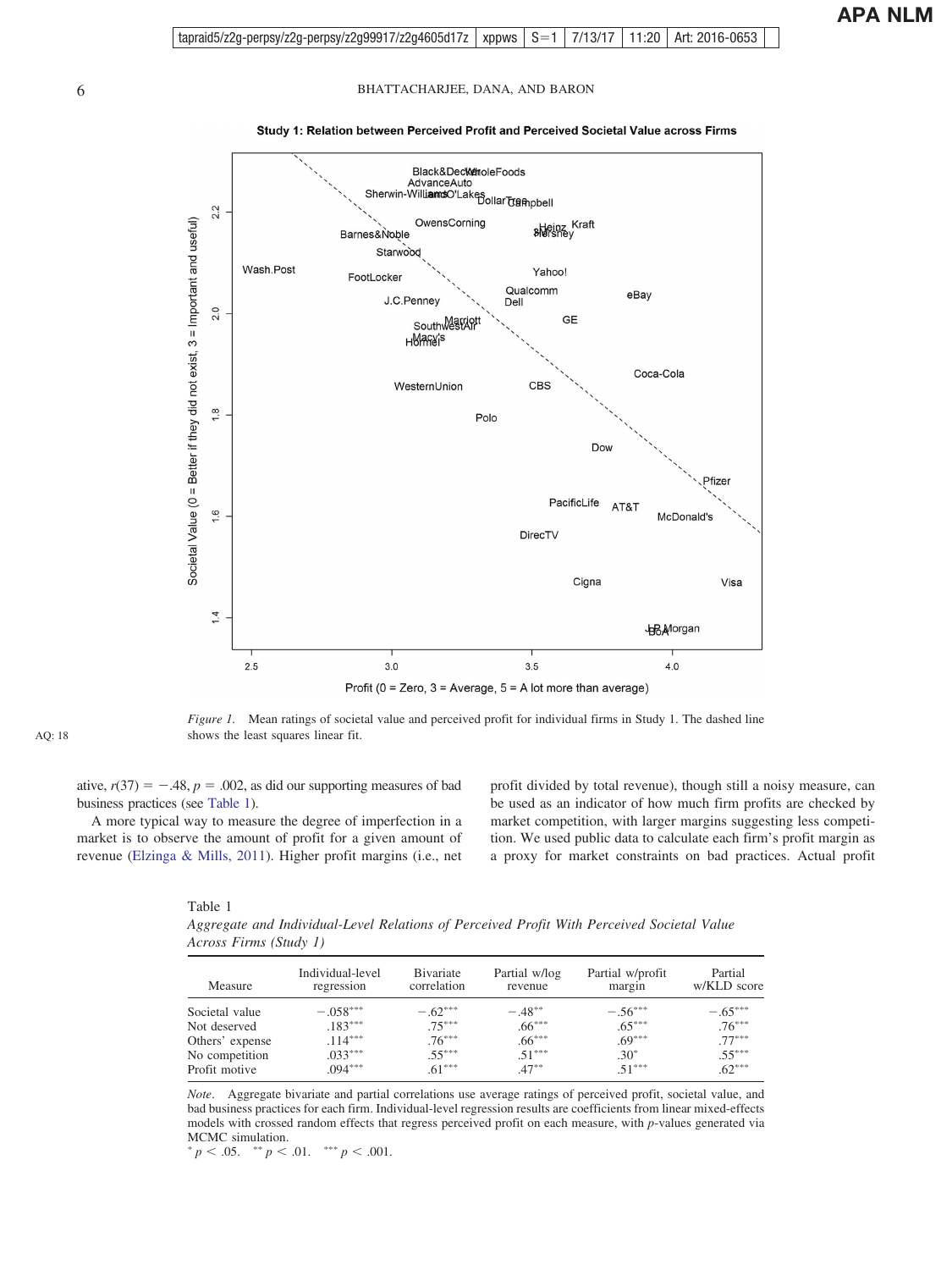<span id="page-5-0"></span>

Study 1: Relation between Perceived Profit and Perceived Societal Value across Firms

*Figure 1.* Mean ratings of societal value and perceived profit for individual firms in Study 1. The dashed line shows the least squares linear fit.

ative,  $r(37) = -.48$ ,  $p = .002$ , as did our supporting measures of bad business practices (see Table 1).

A more typical way to measure the degree of imperfection in a market is to observe the amount of profit for a given amount of revenue [\(Elzinga & Mills, 2011\)](#page-22-0). Higher profit margins (i.e., net profit divided by total revenue), though still a noisy measure, can be used as an indicator of how much firm profits are checked by market competition, with larger margins suggesting less competition. We used public data to calculate each firm's profit margin as a proxy for market constraints on bad practices. Actual profit

| Table 1                                                                                    |  |  |  |
|--------------------------------------------------------------------------------------------|--|--|--|
| Aggregate and Individual-Level Relations of Perceived Profit With Perceived Societal Value |  |  |  |
| Across Firms (Study 1)                                                                     |  |  |  |

| Measure         | Individual-level<br>regression | <b>B</b> ivariate<br>correlation | Partial w/log<br>revenue | Partial w/profit<br>margin | Partial<br>w/KLD score |
|-----------------|--------------------------------|----------------------------------|--------------------------|----------------------------|------------------------|
| Societal value  | $-.058***$                     | $-.62***$                        | $-48**$                  | $-.56***$                  | $-.65***$              |
| Not deserved    | $.183***$                      | $.75***$                         | $.66***$                 | $.65***$                   | $.76***$               |
| Others' expense | $.114***$                      | $.76***$                         | $.66***$                 | $.69***$                   | $.77***$               |
| No competition  | $.033***$                      | $.55***$                         | $51***$                  | $.30*$                     | $.55***$               |
| Profit motive   | $.094***$                      | $.61***$                         | $.47***$                 | $51***$                    | $.62***$               |

*Note*. Aggregate bivariate and partial correlations use average ratings of perceived profit, societal value, and bad business practices for each firm. Individual-level regression results are coefficients from linear mixed-effects models with crossed random effects that regress perceived profit on each measure, with *p*-values generated via MCMC simulation.

 $p < .05.$  \*\*  $p < .01.$  \*\*\*  $p < .001.$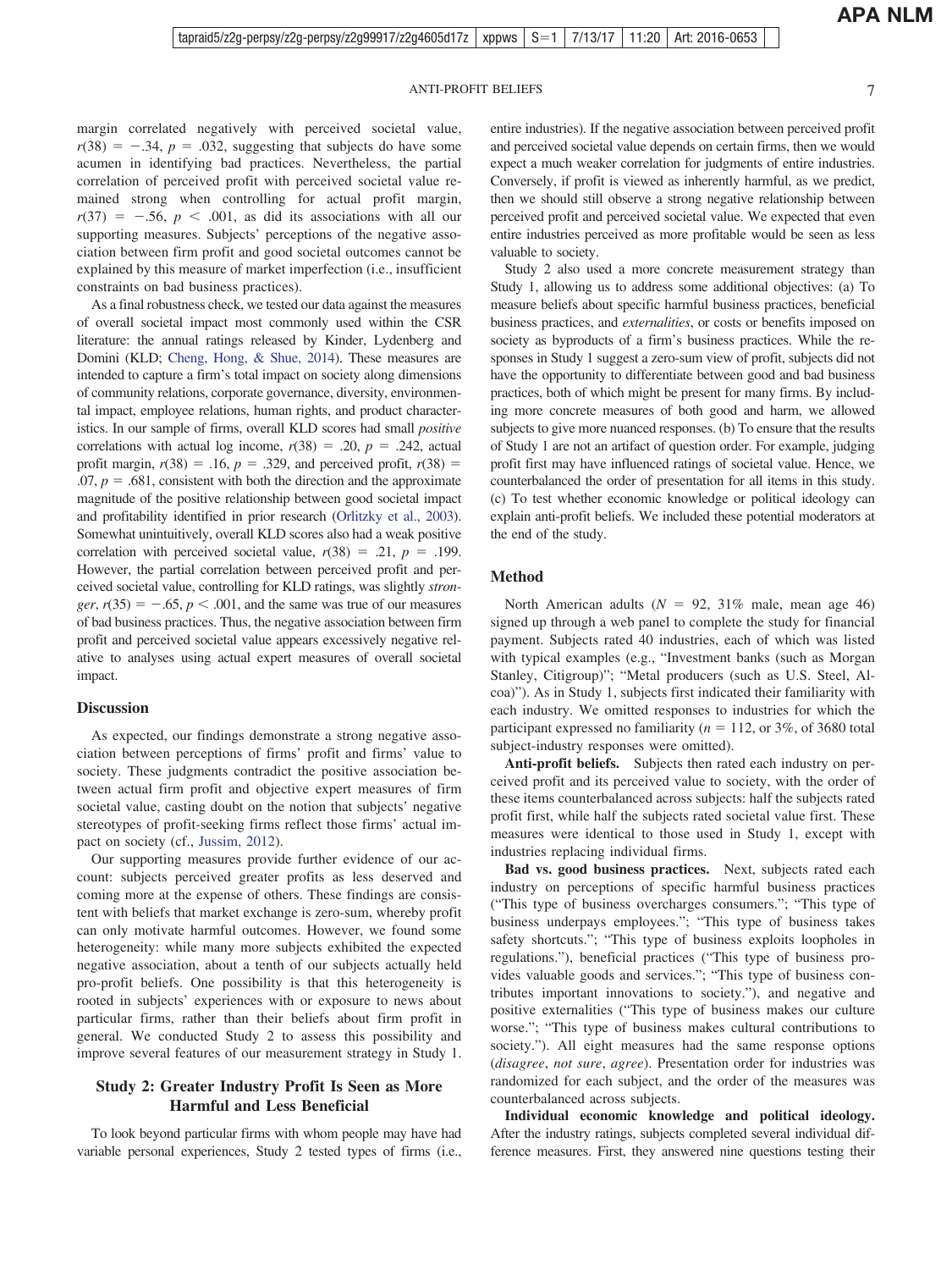margin correlated negatively with perceived societal value,  $r(38) = -.34$ ,  $p = .032$ , suggesting that subjects do have some acumen in identifying bad practices. Nevertheless, the partial correlation of perceived profit with perceived societal value remained strong when controlling for actual profit margin,  $r(37) = -.56, p < .001$ , as did its associations with all our supporting measures. Subjects' perceptions of the negative association between firm profit and good societal outcomes cannot be explained by this measure of market imperfection (i.e., insufficient constraints on bad business practices).

As a final robustness check, we tested our data against the measures of overall societal impact most commonly used within the CSR literature: the annual ratings released by Kinder, Lydenberg and Domini (KLD; [Cheng, Hong, & Shue, 2014\)](#page-21-0). These measures are intended to capture a firm's total impact on society along dimensions of community relations, corporate governance, diversity, environmental impact, employee relations, human rights, and product characteristics. In our sample of firms, overall KLD scores had small *positive* correlations with actual log income,  $r(38) = .20$ ,  $p = .242$ , actual profit margin,  $r(38) = .16$ ,  $p = .329$ , and perceived profit,  $r(38) =$  $.07, p = .681$ , consistent with both the direction and the approximate magnitude of the positive relationship between good societal impact and profitability identified in prior research [\(Orlitzky et al., 2003\)](#page-23-0). Somewhat unintuitively, overall KLD scores also had a weak positive correlation with perceived societal value,  $r(38) = .21$ ,  $p = .199$ . However, the partial correlation between perceived profit and perceived societal value, controlling for KLD ratings, was slightly *stron* $ger, r(35) = -.65, p < .001$ , and the same was true of our measures of bad business practices. Thus, the negative association between firm profit and perceived societal value appears excessively negative relative to analyses using actual expert measures of overall societal impact.

#### **Discussion**

As expected, our findings demonstrate a strong negative association between perceptions of firms' profit and firms' value to society. These judgments contradict the positive association between actual firm profit and objective expert measures of firm societal value, casting doubt on the notion that subjects' negative stereotypes of profit-seeking firms reflect those firms' actual impact on society (cf., [Jussim, 2012\)](#page-22-0).

Our supporting measures provide further evidence of our account: subjects perceived greater profits as less deserved and coming more at the expense of others. These findings are consistent with beliefs that market exchange is zero-sum, whereby profit can only motivate harmful outcomes. However, we found some heterogeneity: while many more subjects exhibited the expected negative association, about a tenth of our subjects actually held pro-profit beliefs. One possibility is that this heterogeneity is rooted in subjects' experiences with or exposure to news about particular firms, rather than their beliefs about firm profit in general. We conducted Study 2 to assess this possibility and improve several features of our measurement strategy in Study 1.

#### **Study 2: Greater Industry Profit Is Seen as More Harmful and Less Beneficial**

To look beyond particular firms with whom people may have had variable personal experiences, Study 2 tested types of firms (i.e.,

entire industries). If the negative association between perceived profit and perceived societal value depends on certain firms, then we would expect a much weaker correlation for judgments of entire industries. Conversely, if profit is viewed as inherently harmful, as we predict, then we should still observe a strong negative relationship between perceived profit and perceived societal value. We expected that even entire industries perceived as more profitable would be seen as less valuable to society.

Study 2 also used a more concrete measurement strategy than Study 1, allowing us to address some additional objectives: (a) To measure beliefs about specific harmful business practices, beneficial business practices, and *externalities*, or costs or benefits imposed on society as byproducts of a firm's business practices. While the responses in Study 1 suggest a zero-sum view of profit, subjects did not have the opportunity to differentiate between good and bad business practices, both of which might be present for many firms. By including more concrete measures of both good and harm, we allowed subjects to give more nuanced responses. (b) To ensure that the results of Study 1 are not an artifact of question order. For example, judging profit first may have influenced ratings of societal value. Hence, we counterbalanced the order of presentation for all items in this study. (c) To test whether economic knowledge or political ideology can explain anti-profit beliefs. We included these potential moderators at the end of the study.

#### **Method**

North American adults  $(N = 92, 31\%$  male, mean age 46) signed up through a web panel to complete the study for financial payment. Subjects rated 40 industries, each of which was listed with typical examples (e.g., "Investment banks (such as Morgan Stanley, Citigroup)"; "Metal producers (such as U.S. Steel, Alcoa)"). As in Study 1, subjects first indicated their familiarity with each industry. We omitted responses to industries for which the participant expressed no familiarity ( $n = 112$ , or 3%, of 3680 total subject-industry responses were omitted).

**Anti-profit beliefs.** Subjects then rated each industry on perceived profit and its perceived value to society, with the order of these items counterbalanced across subjects: half the subjects rated profit first, while half the subjects rated societal value first. These measures were identical to those used in Study 1, except with industries replacing individual firms.

**Bad vs. good business practices.** Next, subjects rated each industry on perceptions of specific harmful business practices ("This type of business overcharges consumers."; "This type of business underpays employees."; "This type of business takes safety shortcuts."; "This type of business exploits loopholes in regulations."), beneficial practices ("This type of business provides valuable goods and services."; "This type of business contributes important innovations to society."), and negative and positive externalities ("This type of business makes our culture worse."; "This type of business makes cultural contributions to society."). All eight measures had the same response options (*disagree*, *not sure*, *agree*). Presentation order for industries was randomized for each subject, and the order of the measures was counterbalanced across subjects.

**Individual economic knowledge and political ideology.** After the industry ratings, subjects completed several individual difference measures. First, they answered nine questions testing their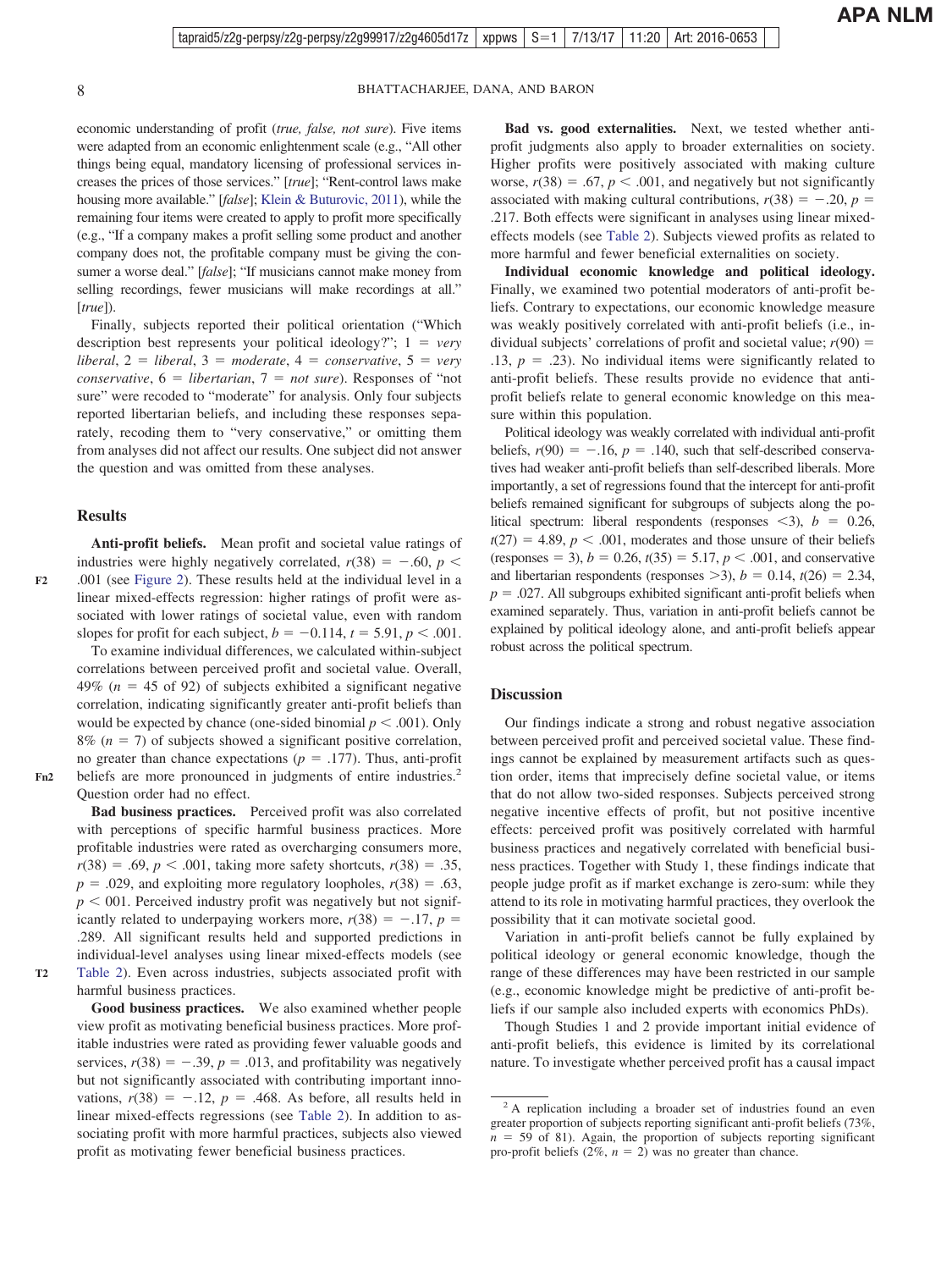economic understanding of profit (*true, false, not sure*). Five items were adapted from an economic enlightenment scale (e.g., "All other things being equal, mandatory licensing of professional services increases the prices of those services." [*true*]; "Rent-control laws make housing more available." [*false*]; [Klein & Buturovic, 2011\)](#page-22-0), while the remaining four items were created to apply to profit more specifically (e.g., "If a company makes a profit selling some product and another company does not, the profitable company must be giving the consumer a worse deal." [*false*]; "If musicians cannot make money from selling recordings, fewer musicians will make recordings at all." [*true*]).

Finally, subjects reported their political orientation ("Which description best represents your political ideology?";  $1 = very$ *, 2 = <i>liberal*, 3 = *moderate*, 4 = *conservative*, 5 = *very*  $\textit{conservative}$ ,  $6 = \textit{libertarian}$ ,  $7 = \textit{not sure}$ ). Responses of "not sure" were recoded to "moderate" for analysis. Only four subjects reported libertarian beliefs, and including these responses separately, recoding them to "very conservative," or omitting them from analyses did not affect our results. One subject did not answer the question and was omitted from these analyses.

#### **Results**

This intended solely for the personal use of the individual user and is not to be disseminated by the individual user and is not to be disseminated by the individual user and is not to be disseminated by the individual use

**Fn2**

**T2**

**F2**

**Anti-profit beliefs.** Mean profit and societal value ratings of industries were highly negatively correlated,  $r(38) = -.60, p <$ .001 (see [Figure 2\)](#page-8-0). These results held at the individual level in a linear mixed-effects regression: higher ratings of profit were associated with lower ratings of societal value, even with random slopes for profit for each subject,  $b = -0.114$ ,  $t = 5.91$ ,  $p < .001$ .

To examine individual differences, we calculated within-subject correlations between perceived profit and societal value. Overall, 49%  $(n = 45$  of 92) of subjects exhibited a significant negative correlation, indicating significantly greater anti-profit beliefs than would be expected by chance (one-sided binomial  $p < .001$ ). Only  $8\%$  ( $n = 7$ ) of subjects showed a significant positive correlation, no greater than chance expectations ( $p = .177$ ). Thus, anti-profit beliefs are more pronounced in judgments of entire industries.<sup>2</sup> Question order had no effect.

**Bad business practices.** Perceived profit was also correlated with perceptions of specific harmful business practices. More profitable industries were rated as overcharging consumers more,  $r(38) = .69, p < .001$ , taking more safety shortcuts,  $r(38) = .35$ ,  $p = .029$ , and exploiting more regulatory loopholes,  $r(38) = .63$ ,  $p < 001$ . Perceived industry profit was negatively but not significantly related to underpaying workers more,  $r(38) = -.17$ ,  $p =$ .289. All significant results held and supported predictions in individual-level analyses using linear mixed-effects models (see [Table 2\)](#page-9-0). Even across industries, subjects associated profit with harmful business practices.

**Good business practices.** We also examined whether people view profit as motivating beneficial business practices. More profitable industries were rated as providing fewer valuable goods and services,  $r(38) = -.39$ ,  $p = .013$ , and profitability was negatively but not significantly associated with contributing important innovations,  $r(38) = -.12$ ,  $p = .468$ . As before, all results held in linear mixed-effects regressions (see [Table 2\)](#page-9-0). In addition to associating profit with more harmful practices, subjects also viewed profit as motivating fewer beneficial business practices.

**Bad vs. good externalities.** Next, we tested whether antiprofit judgments also apply to broader externalities on society. Higher profits were positively associated with making culture worse,  $r(38) = .67$ ,  $p < .001$ , and negatively but not significantly associated with making cultural contributions,  $r(38) = -.20$ ,  $p =$ .217. Both effects were significant in analyses using linear mixedeffects models (see [Table 2\)](#page-9-0). Subjects viewed profits as related to more harmful and fewer beneficial externalities on society.

**Individual economic knowledge and political ideology.** Finally, we examined two potential moderators of anti-profit beliefs. Contrary to expectations, our economic knowledge measure was weakly positively correlated with anti-profit beliefs (i.e., individual subjects' correlations of profit and societal value;  $r(90)$  =  $.13, p = .23$ ). No individual items were significantly related to anti-profit beliefs. These results provide no evidence that antiprofit beliefs relate to general economic knowledge on this measure within this population.

Political ideology was weakly correlated with individual anti-profit beliefs,  $r(90) = -.16$ ,  $p = .140$ , such that self-described conservatives had weaker anti-profit beliefs than self-described liberals. More importantly, a set of regressions found that the intercept for anti-profit beliefs remained significant for subgroups of subjects along the political spectrum: liberal respondents (responses  $\langle 3 \rangle$ ,  $b = 0.26$ ,  $t(27) = 4.89, p < .001$ , moderates and those unsure of their beliefs (responses = 3),  $b = 0.26$ ,  $t(35) = 5.17$ ,  $p < .001$ , and conservative and libertarian respondents (responses  $>$ 3),  $b = 0.14$ ,  $t(26) = 2.34$ ,  $p = 0.027$ . All subgroups exhibited significant anti-profit beliefs when examined separately. Thus, variation in anti-profit beliefs cannot be explained by political ideology alone, and anti-profit beliefs appear robust across the political spectrum.

#### **Discussion**

Our findings indicate a strong and robust negative association between perceived profit and perceived societal value. These findings cannot be explained by measurement artifacts such as question order, items that imprecisely define societal value, or items that do not allow two-sided responses. Subjects perceived strong negative incentive effects of profit, but not positive incentive effects: perceived profit was positively correlated with harmful business practices and negatively correlated with beneficial business practices. Together with Study 1, these findings indicate that people judge profit as if market exchange is zero-sum: while they attend to its role in motivating harmful practices, they overlook the possibility that it can motivate societal good.

Variation in anti-profit beliefs cannot be fully explained by political ideology or general economic knowledge, though the range of these differences may have been restricted in our sample (e.g., economic knowledge might be predictive of anti-profit beliefs if our sample also included experts with economics PhDs).

Though Studies 1 and 2 provide important initial evidence of anti-profit beliefs, this evidence is limited by its correlational nature. To investigate whether perceived profit has a causal impact

<sup>&</sup>lt;sup>2</sup> A replication including a broader set of industries found an even greater proportion of subjects reporting significant anti-profit beliefs (73%,  $n = 59$  of 81). Again, the proportion of subjects reporting significant pro-profit beliefs  $(2\%, n = 2)$  was no greater than chance.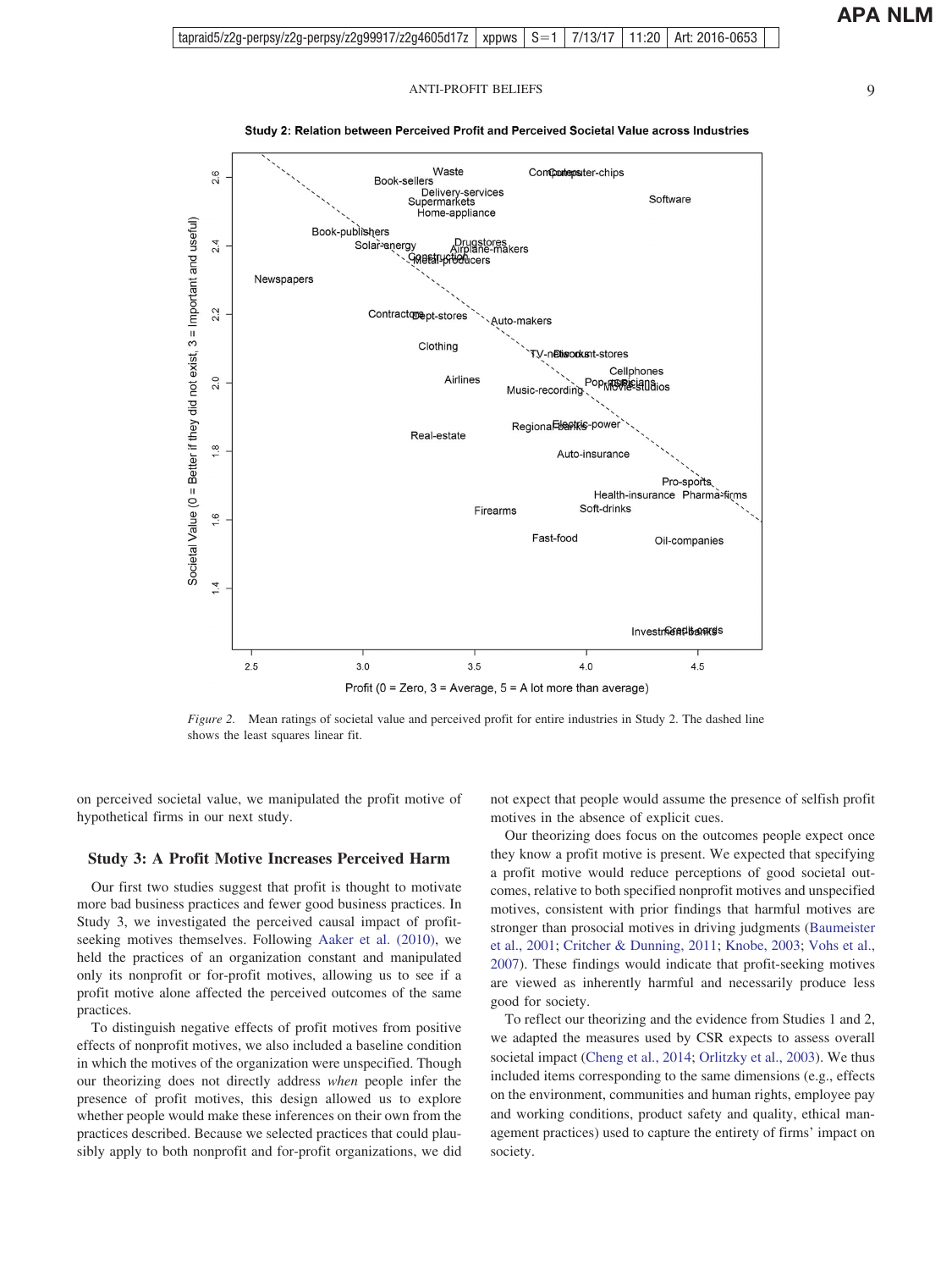<span id="page-8-0"></span>

#### Study 2: Relation between Perceived Profit and Perceived Societal Value across Industries

*Figure 2.* Mean ratings of societal value and perceived profit for entire industries in Study 2. The dashed line shows the least squares linear fit.

on perceived societal value, we manipulated the profit motive of hypothetical firms in our next study.

#### **Study 3: A Profit Motive Increases Perceived Harm**

Our first two studies suggest that profit is thought to motivate more bad business practices and fewer good business practices. In Study 3, we investigated the perceived causal impact of profitseeking motives themselves. Following [Aaker et al. \(2010\),](#page-21-0) we held the practices of an organization constant and manipulated only its nonprofit or for-profit motives, allowing us to see if a profit motive alone affected the perceived outcomes of the same practices.

To distinguish negative effects of profit motives from positive effects of nonprofit motives, we also included a baseline condition in which the motives of the organization were unspecified. Though our theorizing does not directly address *when* people infer the presence of profit motives, this design allowed us to explore whether people would make these inferences on their own from the practices described. Because we selected practices that could plausibly apply to both nonprofit and for-profit organizations, we did

not expect that people would assume the presence of selfish profit motives in the absence of explicit cues.

Our theorizing does focus on the outcomes people expect once they know a profit motive is present. We expected that specifying a profit motive would reduce perceptions of good societal outcomes, relative to both specified nonprofit motives and unspecified motives, consistent with prior findings that harmful motives are stronger than prosocial motives in driving judgments [\(Baumeister](#page-21-0) [et al., 2001;](#page-21-0) [Critcher & Dunning, 2011;](#page-21-0) [Knobe, 2003;](#page-23-0) [Vohs et al.,](#page-23-0) [2007\)](#page-23-0). These findings would indicate that profit-seeking motives are viewed as inherently harmful and necessarily produce less good for society.

To reflect our theorizing and the evidence from Studies 1 and 2, we adapted the measures used by CSR expects to assess overall societal impact [\(Cheng et al., 2014;](#page-21-0) [Orlitzky et al., 2003\)](#page-23-0). We thus included items corresponding to the same dimensions (e.g., effects on the environment, communities and human rights, employee pay and working conditions, product safety and quality, ethical management practices) used to capture the entirety of firms' impact on society.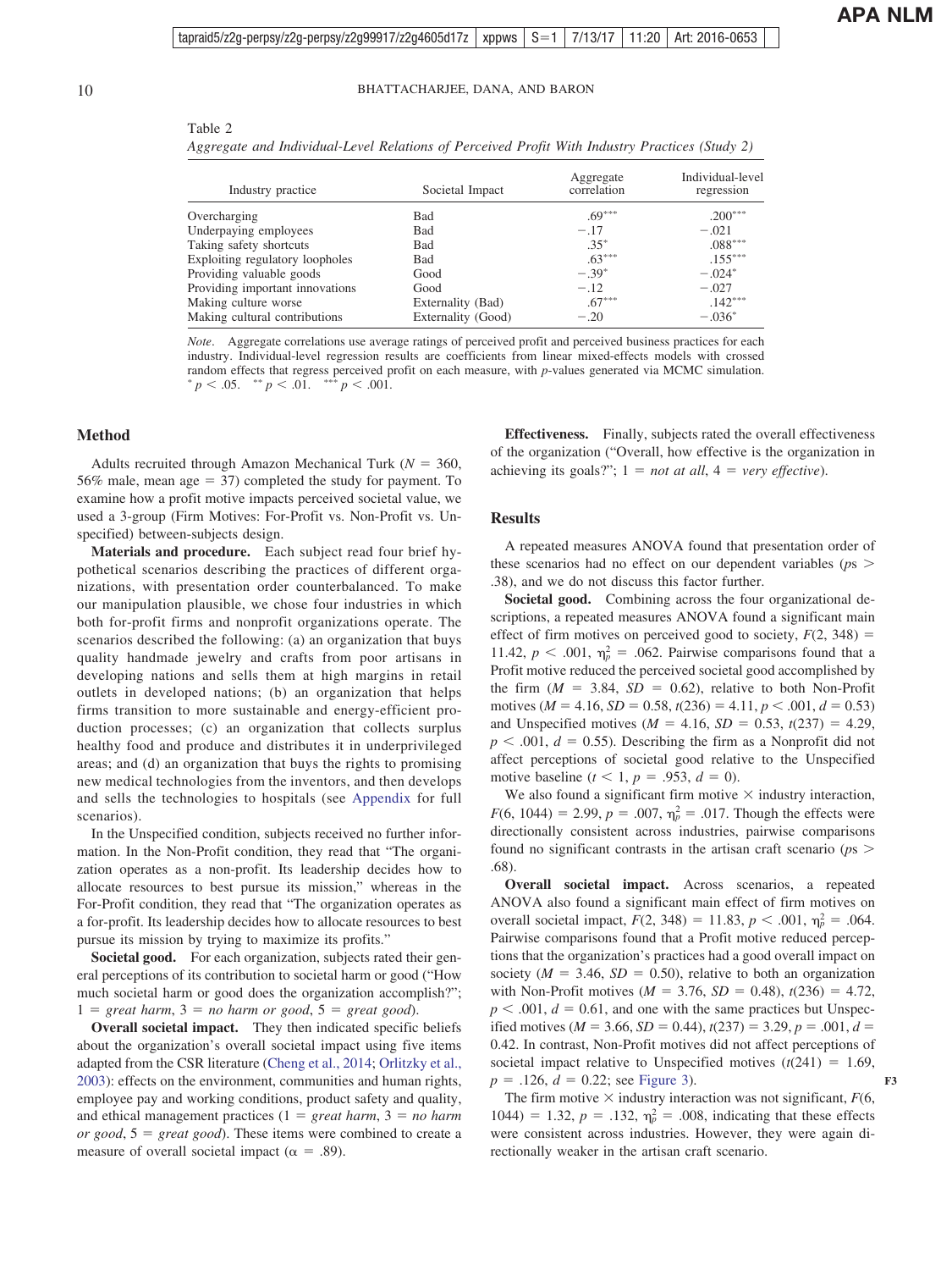$T<sub>11</sub>$ 

<span id="page-9-0"></span>10 BHATTACHARJEE, DANA, AND BARON

| $1$ able $2$                                                                                   |  |
|------------------------------------------------------------------------------------------------|--|
| Aggregate and Individual-Level Relations of Perceived Profit With Industry Practices (Study 2) |  |

| Industry practice               | Societal Impact    | Aggregate<br>correlation | Individual-level<br>regression |
|---------------------------------|--------------------|--------------------------|--------------------------------|
| Overcharging                    | <b>Bad</b>         | $.69***$                 | $.200***$                      |
| Underpaying employees           | Bad                | $-.17$                   | $-.021$                        |
| Taking safety shortcuts         | <b>Bad</b>         | $.35*$                   | $.088***$                      |
| Exploiting regulatory loopholes | Bad                | $.63***$                 | $.155***$                      |
| Providing valuable goods        | Good               | $-.39*$                  | $-.024*$                       |
| Providing important innovations | Good               | $-.12$                   | $-.027$                        |
| Making culture worse            | Externality (Bad)  | $.67***$                 | $.142***$                      |
| Making cultural contributions   | Externality (Good) | $-.20$                   | $-.036*$                       |

*Note*. Aggregate correlations use average ratings of perceived profit and perceived business practices for each industry. Individual-level regression results are coefficients from linear mixed-effects models with crossed random effects that regress perceived profit on each measure, with *p*-values generated via MCMC simulation.  $p < .05.$   $\longrightarrow^{*} p < .01.$   $\longrightarrow^{*} p < .001.$ 

#### **Method**

Adults recruited through Amazon Mechanical Turk ( $N = 360$ , 56% male, mean age  $= 37$ ) completed the study for payment. To examine how a profit motive impacts perceived societal value, we used a 3-group (Firm Motives: For-Profit vs. Non-Profit vs. Unspecified) between-subjects design.

**Materials and procedure.** Each subject read four brief hypothetical scenarios describing the practices of different organizations, with presentation order counterbalanced. To make our manipulation plausible, we chose four industries in which both for-profit firms and nonprofit organizations operate. The scenarios described the following: (a) an organization that buys quality handmade jewelry and crafts from poor artisans in developing nations and sells them at high margins in retail outlets in developed nations; (b) an organization that helps firms transition to more sustainable and energy-efficient production processes; (c) an organization that collects surplus healthy food and produce and distributes it in underprivileged areas; and (d) an organization that buys the rights to promising new medical technologies from the inventors, and then develops and sells the technologies to hospitals (see [Appendix](#page-24-0) for full scenarios).

In the Unspecified condition, subjects received no further information. In the Non-Profit condition, they read that "The organization operates as a non-profit. Its leadership decides how to allocate resources to best pursue its mission," whereas in the For-Profit condition, they read that "The organization operates as a for-profit. Its leadership decides how to allocate resources to best pursue its mission by trying to maximize its profits."

**Societal good.** For each organization, subjects rated their general perceptions of its contribution to societal harm or good ("How much societal harm or good does the organization accomplish?";  $1 = \text{great harm}, 3 = \text{no harm or good}, 5 = \text{great good}.$ 

**Overall societal impact.** They then indicated specific beliefs about the organization's overall societal impact using five items adapted from the CSR literature [\(Cheng et al., 2014;](#page-21-0) [Orlitzky et al.,](#page-23-0) [2003\)](#page-23-0): effects on the environment, communities and human rights, employee pay and working conditions, product safety and quality, and ethical management practices  $(1 = great \, harm, 3 = no \, harm)$  $or good, 5 = great good.$  These items were combined to create a measure of overall societal impact ( $\alpha = .89$ ).

**Effectiveness.** Finally, subjects rated the overall effectiveness of the organization ("Overall, how effective is the organization in achieving its goals?";  $1 = not$  *at all*,  $4 = very$  *effective*).

#### **Results**

A repeated measures ANOVA found that presentation order of these scenarios had no effect on our dependent variables (*p*s .38), and we do not discuss this factor further.

**Societal good.** Combining across the four organizational descriptions, a repeated measures ANOVA found a significant main effect of firm motives on perceived good to society,  $F(2, 348) =$ 11.42,  $p < .001$ ,  $\eta_p^2 = .062$ . Pairwise comparisons found that a Profit motive reduced the perceived societal good accomplished by the firm  $(M = 3.84, SD = 0.62)$ , relative to both Non-Profit motives ( $M = 4.16$ ,  $SD = 0.58$ ,  $t(236) = 4.11$ ,  $p < .001$ ,  $d = 0.53$ ) and Unspecified motives ( $M = 4.16$ ,  $SD = 0.53$ ,  $t(237) = 4.29$ ,  $p < .001$ ,  $d = 0.55$ ). Describing the firm as a Nonprofit did not affect perceptions of societal good relative to the Unspecified motive baseline  $(t < 1, p = .953, d = 0)$ .

We also found a significant firm motive  $\times$  industry interaction,  $F(6, 1044) = 2.99, p = .007, \eta_p^2 = .017$ . Though the effects were directionally consistent across industries, pairwise comparisons found no significant contrasts in the artisan craft scenario (*p*s .68).

**Overall societal impact.** Across scenarios, a repeated ANOVA also found a significant main effect of firm motives on overall societal impact,  $F(2, 348) = 11.83$ ,  $p < .001$ ,  $\eta_p^2 = .064$ . Pairwise comparisons found that a Profit motive reduced perceptions that the organization's practices had a good overall impact on society ( $M = 3.46$ ,  $SD = 0.50$ ), relative to both an organization with Non-Profit motives ( $M = 3.76$ ,  $SD = 0.48$ ),  $t(236) = 4.72$ ,  $p < .001$ ,  $d = 0.61$ , and one with the same practices but Unspecified motives ( $M = 3.66$ ,  $SD = 0.44$ ),  $t(237) = 3.29$ ,  $p = .001$ ,  $d =$ 0.42. In contrast, Non-Profit motives did not affect perceptions of societal impact relative to Unspecified motives  $(t(241) = 1.69)$ ,  $p = .126$ ,  $d = 0.22$ ; see [Figure 3\)](#page-10-0).

The firm motive  $\times$  industry interaction was not significant,  $F(6)$ , 1044) = 1.32,  $p = .132$ ,  $\eta_p^2 = .008$ , indicating that these effects were consistent across industries. However, they were again directionally weaker in the artisan craft scenario.

**F3**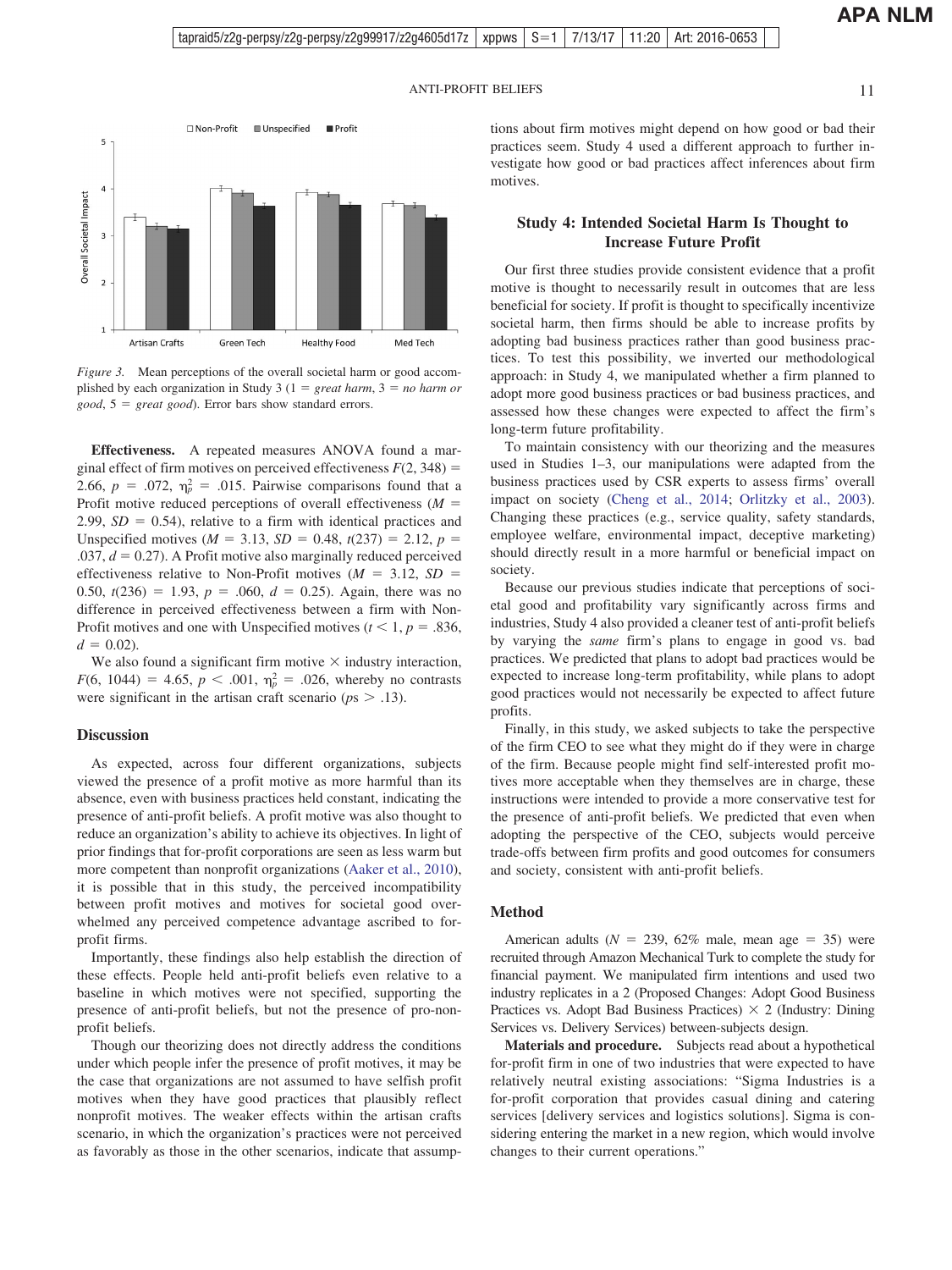**APA NLM**

<span id="page-10-0"></span>

*Figure 3.* Mean perceptions of the overall societal harm or good accomplished by each organization in Study 3  $(1 = \text{great harm}, 3 = \text{no harm or})$ *good*, 5 - *great good*). Error bars show standard errors.

**Effectiveness.** A repeated measures ANOVA found a marginal effect of firm motives on perceived effectiveness  $F(2, 348) =$ 2.66,  $p = .072$ ,  $\eta_p^2 = .015$ . Pairwise comparisons found that a Profit motive reduced perceptions of overall effectiveness  $(M =$  $2.99, SD = 0.54$ , relative to a firm with identical practices and Unspecified motives ( $M = 3.13$ ,  $SD = 0.48$ ,  $t(237) = 2.12$ ,  $p =$  $.037, d = 0.27$ ). A Profit motive also marginally reduced perceived effectiveness relative to Non-Profit motives  $(M = 3.12, SD =$ 0.50,  $t(236) = 1.93$ ,  $p = .060$ ,  $d = 0.25$ ). Again, there was no difference in perceived effectiveness between a firm with Non-Profit motives and one with Unspecified motives ( $t < 1$ ,  $p = .836$ ,  $d = 0.02$ ).

We also found a significant firm motive  $\times$  industry interaction,  $F(6, 1044) = 4.65$ ,  $p < .001$ ,  $\eta_p^2 = .026$ , whereby no contrasts were significant in the artisan craft scenario ( $p_s$  > .13).

#### **Discussion**

As expected, across four different organizations, subjects viewed the presence of a profit motive as more harmful than its absence, even with business practices held constant, indicating the presence of anti-profit beliefs. A profit motive was also thought to reduce an organization's ability to achieve its objectives. In light of prior findings that for-profit corporations are seen as less warm but more competent than nonprofit organizations [\(Aaker et al., 2010\)](#page-21-0), it is possible that in this study, the perceived incompatibility between profit motives and motives for societal good overwhelmed any perceived competence advantage ascribed to forprofit firms.

Importantly, these findings also help establish the direction of these effects. People held anti-profit beliefs even relative to a baseline in which motives were not specified, supporting the presence of anti-profit beliefs, but not the presence of pro-nonprofit beliefs.

Though our theorizing does not directly address the conditions under which people infer the presence of profit motives, it may be the case that organizations are not assumed to have selfish profit motives when they have good practices that plausibly reflect nonprofit motives. The weaker effects within the artisan crafts scenario, in which the organization's practices were not perceived as favorably as those in the other scenarios, indicate that assumptions about firm motives might depend on how good or bad their practices seem. Study 4 used a different approach to further investigate how good or bad practices affect inferences about firm motives.

### **Study 4: Intended Societal Harm Is Thought to Increase Future Profit**

Our first three studies provide consistent evidence that a profit motive is thought to necessarily result in outcomes that are less beneficial for society. If profit is thought to specifically incentivize societal harm, then firms should be able to increase profits by adopting bad business practices rather than good business practices. To test this possibility, we inverted our methodological approach: in Study 4, we manipulated whether a firm planned to adopt more good business practices or bad business practices, and assessed how these changes were expected to affect the firm's long-term future profitability.

To maintain consistency with our theorizing and the measures used in Studies 1–3, our manipulations were adapted from the business practices used by CSR experts to assess firms' overall impact on society [\(Cheng et al., 2014;](#page-21-0) [Orlitzky et al., 2003\)](#page-23-0). Changing these practices (e.g., service quality, safety standards, employee welfare, environmental impact, deceptive marketing) should directly result in a more harmful or beneficial impact on society.

Because our previous studies indicate that perceptions of societal good and profitability vary significantly across firms and industries, Study 4 also provided a cleaner test of anti-profit beliefs by varying the *same* firm's plans to engage in good vs. bad practices. We predicted that plans to adopt bad practices would be expected to increase long-term profitability, while plans to adopt good practices would not necessarily be expected to affect future profits.

Finally, in this study, we asked subjects to take the perspective of the firm CEO to see what they might do if they were in charge of the firm. Because people might find self-interested profit motives more acceptable when they themselves are in charge, these instructions were intended to provide a more conservative test for the presence of anti-profit beliefs. We predicted that even when adopting the perspective of the CEO, subjects would perceive trade-offs between firm profits and good outcomes for consumers and society, consistent with anti-profit beliefs.

#### **Method**

American adults ( $N = 239, 62\%$  male, mean age = 35) were recruited through Amazon Mechanical Turk to complete the study for financial payment. We manipulated firm intentions and used two industry replicates in a 2 (Proposed Changes: Adopt Good Business Practices vs. Adopt Bad Business Practices)  $\times$  2 (Industry: Dining Services vs. Delivery Services) between-subjects design.

**Materials and procedure.** Subjects read about a hypothetical for-profit firm in one of two industries that were expected to have relatively neutral existing associations: "Sigma Industries is a for-profit corporation that provides casual dining and catering services [delivery services and logistics solutions]. Sigma is considering entering the market in a new region, which would involve changes to their current operations."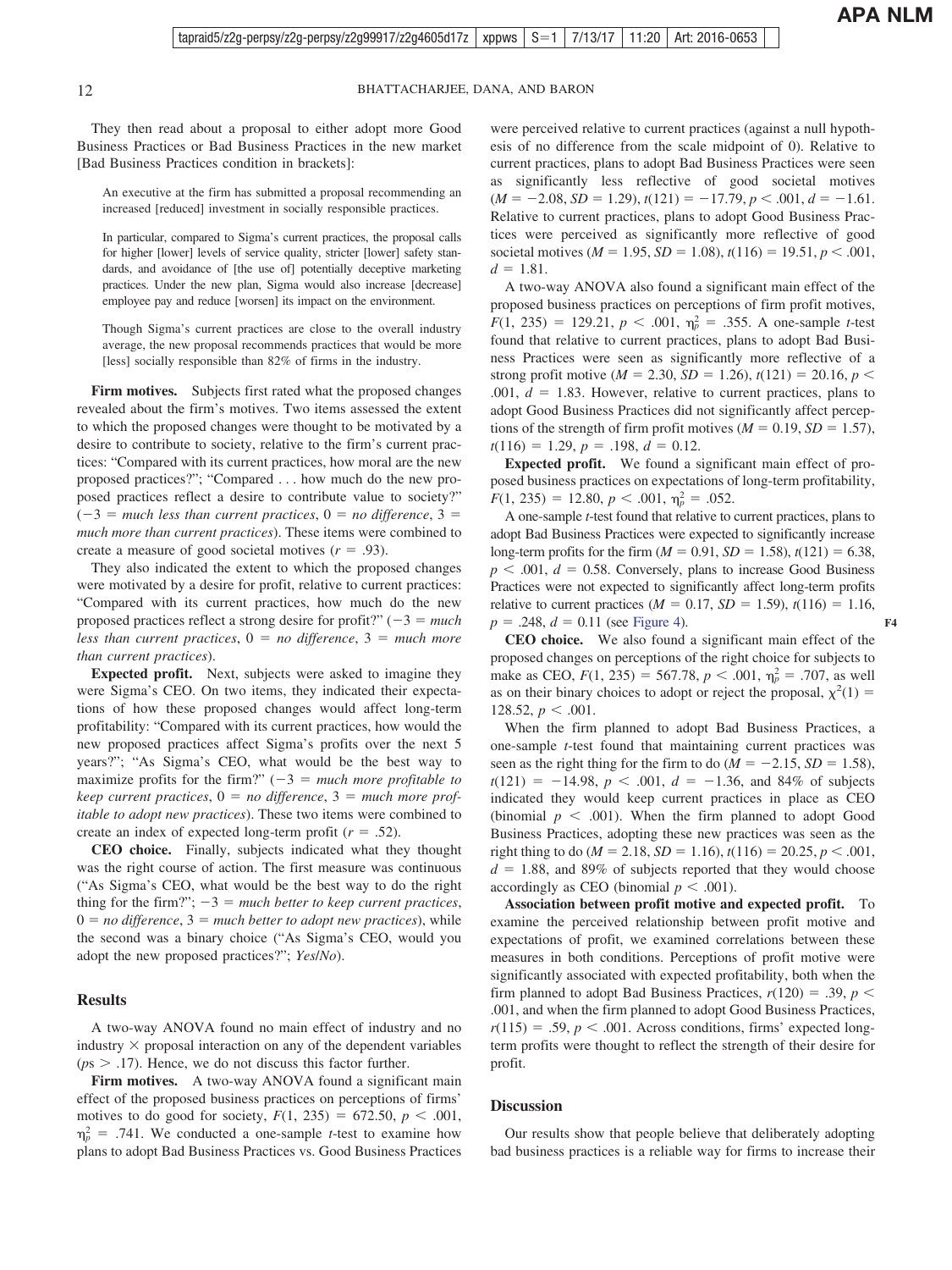They then read about a proposal to either adopt more Good Business Practices or Bad Business Practices in the new market [Bad Business Practices condition in brackets]:

An executive at the firm has submitted a proposal recommending an increased [reduced] investment in socially responsible practices.

In particular, compared to Sigma's current practices, the proposal calls for higher [lower] levels of service quality, stricter [lower] safety standards, and avoidance of [the use of] potentially deceptive marketing practices. Under the new plan, Sigma would also increase [decrease] employee pay and reduce [worsen] its impact on the environment.

Though Sigma's current practices are close to the overall industry average, the new proposal recommends practices that would be more [less] socially responsible than 82% of firms in the industry.

Firm motives. Subjects first rated what the proposed changes revealed about the firm's motives. Two items assessed the extent to which the proposed changes were thought to be motivated by a desire to contribute to society, relative to the firm's current practices: "Compared with its current practices, how moral are the new proposed practices?"; "Compared . . . how much do the new proposed practices reflect a desire to contribute value to society?"  $(-3 =$  much less than current practices,  $0 =$  no difference,  $3 =$ *much more than current practices*). These items were combined to create a measure of good societal motives  $(r = .93)$ .

They also indicated the extent to which the proposed changes were motivated by a desire for profit, relative to current practices: "Compared with its current practices, how much do the new proposed practices reflect a strong desire for profit?"  $(-3 = much$ *less than current practices*,  $0 = no$  *difference*,  $3 = much$  *more than current practices*).

**Expected profit.** Next, subjects were asked to imagine they were Sigma's CEO. On two items, they indicated their expectations of how these proposed changes would affect long-term profitability: "Compared with its current practices, how would the new proposed practices affect Sigma's profits over the next 5 years?"; "As Sigma's CEO, what would be the best way to maximize profits for the firm?"  $(-3)$  = *much more profitable to*  $keep$  current practices,  $0 = no$  difference,  $3 = much$  more prof*itable to adopt new practices*). These two items were combined to create an index of expected long-term profit  $(r = .52)$ .

**CEO choice.** Finally, subjects indicated what they thought was the right course of action. The first measure was continuous ("As Sigma's CEO, what would be the best way to do the right thing for the firm?";  $-3 =$  *much better to keep current practices*,  $0 = no$  *difference*,  $3 = much$  *better to adopt new practices*), while the second was a binary choice ("As Sigma's CEO, would you adopt the new proposed practices?"; *Yes*/*No*).

#### **Results**

A two-way ANOVA found no main effect of industry and no industry  $\times$  proposal interaction on any of the dependent variables  $(ps > .17)$ . Hence, we do not discuss this factor further.

Firm motives. A two-way ANOVA found a significant main effect of the proposed business practices on perceptions of firms' motives to do good for society,  $F(1, 235) = 672.50, p < .001$ ,  $\eta_p^2$  = .741. We conducted a one-sample *t*-test to examine how plans to adopt Bad Business Practices vs. Good Business Practices

were perceived relative to current practices (against a null hypothesis of no difference from the scale midpoint of 0). Relative to current practices, plans to adopt Bad Business Practices were seen as significantly less reflective of good societal motives  $(M = -2.08, SD = 1.29), t(121) = -17.79, p < .001, d = -1.61.$ Relative to current practices, plans to adopt Good Business Practices were perceived as significantly more reflective of good societal motives ( $M = 1.95$ ,  $SD = 1.08$ ),  $t(116) = 19.51$ ,  $p < .001$ ,  $d = 1.81$ .

A two-way ANOVA also found a significant main effect of the proposed business practices on perceptions of firm profit motives,  $F(1, 235) = 129.21, p < .001, \eta_p^2 = .355$ . A one-sample *t*-test found that relative to current practices, plans to adopt Bad Business Practices were seen as significantly more reflective of a strong profit motive ( $M = 2.30$ ,  $SD = 1.26$ ),  $t(121) = 20.16$ ,  $p <$  $.001, d = 1.83$ . However, relative to current practices, plans to adopt Good Business Practices did not significantly affect perceptions of the strength of firm profit motives  $(M = 0.19, SD = 1.57)$ ,  $t(116) = 1.29, p = .198, d = 0.12.$ 

**Expected profit.** We found a significant main effect of proposed business practices on expectations of long-term profitability,  $F(1, 235) = 12.80, p < .001, \eta_p^2 = .052.$ 

A one-sample *t*-test found that relative to current practices, plans to adopt Bad Business Practices were expected to significantly increase long-term profits for the firm  $(M = 0.91, SD = 1.58)$ ,  $t(121) = 6.38$ ,  $p$  < .001,  $d$  = 0.58. Conversely, plans to increase Good Business Practices were not expected to significantly affect long-term profits relative to current practices ( $M = 0.17$ ,  $SD = 1.59$ ),  $t(116) = 1.16$ ,  $p = .248$ ,  $d = 0.11$  (see [Figure 4\)](#page-12-0).

**CEO choice.** We also found a significant main effect of the proposed changes on perceptions of the right choice for subjects to make as CEO,  $F(1, 235) = 567.78$ ,  $p < .001$ ,  $\eta_p^2 = .707$ , as well as on their binary choices to adopt or reject the proposal,  $\chi^2(1)$  = 128.52,  $p < .001$ .

When the firm planned to adopt Bad Business Practices, a one-sample *t*-test found that maintaining current practices was seen as the right thing for the firm to do  $(M = -2.15, SD = 1.58)$ ,  $t(121) = -14.98$ ,  $p < .001$ ,  $d = -1.36$ , and 84% of subjects indicated they would keep current practices in place as CEO (binomial  $p \leq .001$ ). When the firm planned to adopt Good Business Practices, adopting these new practices was seen as the right thing to do ( $M = 2.18$ ,  $SD = 1.16$ ),  $t(116) = 20.25$ ,  $p < .001$ ,  $d = 1.88$ , and 89% of subjects reported that they would choose accordingly as CEO (binomial  $p < .001$ ).

**Association between profit motive and expected profit.** To examine the perceived relationship between profit motive and expectations of profit, we examined correlations between these measures in both conditions. Perceptions of profit motive were significantly associated with expected profitability, both when the firm planned to adopt Bad Business Practices,  $r(120) = .39$ ,  $p <$ .001, and when the firm planned to adopt Good Business Practices,  $r(115) = .59, p < .001$ . Across conditions, firms' expected longterm profits were thought to reflect the strength of their desire for profit.

#### **Discussion**

Our results show that people believe that deliberately adopting bad business practices is a reliable way for firms to increase their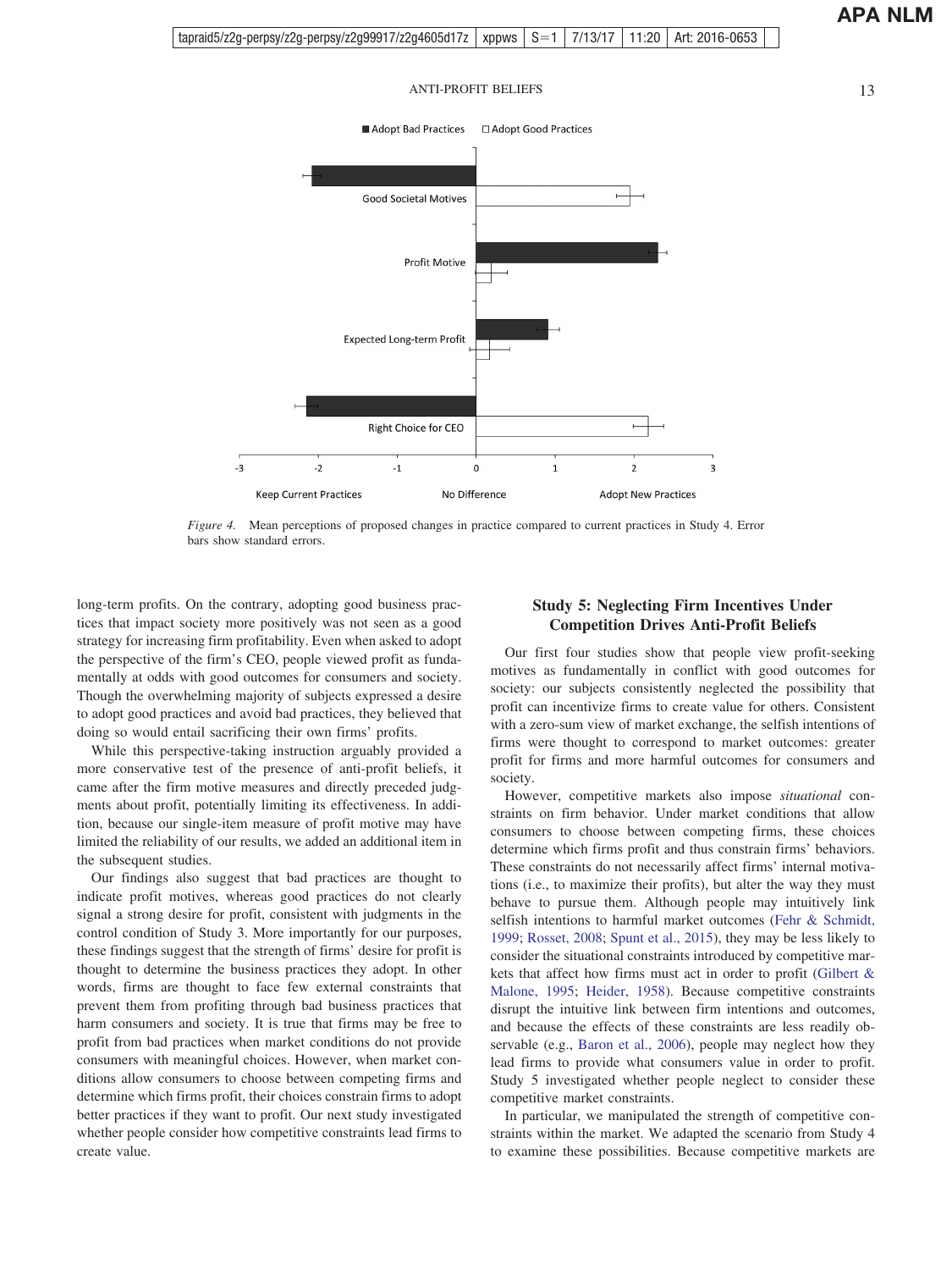

<span id="page-12-0"></span>

*Figure 4.* Mean perceptions of proposed changes in practice compared to current practices in Study 4. Error bars show standard errors.

long-term profits. On the contrary, adopting good business practices that impact society more positively was not seen as a good strategy for increasing firm profitability. Even when asked to adopt the perspective of the firm's CEO, people viewed profit as fundamentally at odds with good outcomes for consumers and society. Though the overwhelming majority of subjects expressed a desire to adopt good practices and avoid bad practices, they believed that doing so would entail sacrificing their own firms' profits.

While this perspective-taking instruction arguably provided a more conservative test of the presence of anti-profit beliefs, it came after the firm motive measures and directly preceded judgments about profit, potentially limiting its effectiveness. In addition, because our single-item measure of profit motive may have limited the reliability of our results, we added an additional item in the subsequent studies.

Our findings also suggest that bad practices are thought to indicate profit motives, whereas good practices do not clearly signal a strong desire for profit, consistent with judgments in the control condition of Study 3. More importantly for our purposes, these findings suggest that the strength of firms' desire for profit is thought to determine the business practices they adopt. In other words, firms are thought to face few external constraints that prevent them from profiting through bad business practices that harm consumers and society. It is true that firms may be free to profit from bad practices when market conditions do not provide consumers with meaningful choices. However, when market conditions allow consumers to choose between competing firms and determine which firms profit, their choices constrain firms to adopt better practices if they want to profit. Our next study investigated whether people consider how competitive constraints lead firms to create value.

### **Study 5: Neglecting Firm Incentives Under Competition Drives Anti-Profit Beliefs**

Our first four studies show that people view profit-seeking motives as fundamentally in conflict with good outcomes for society: our subjects consistently neglected the possibility that profit can incentivize firms to create value for others. Consistent with a zero-sum view of market exchange, the selfish intentions of firms were thought to correspond to market outcomes: greater profit for firms and more harmful outcomes for consumers and society.

However, competitive markets also impose *situational* constraints on firm behavior. Under market conditions that allow consumers to choose between competing firms, these choices determine which firms profit and thus constrain firms' behaviors. These constraints do not necessarily affect firms' internal motivations (i.e., to maximize their profits), but alter the way they must behave to pursue them. Although people may intuitively link selfish intentions to harmful market outcomes [\(Fehr & Schmidt,](#page-22-0) [1999;](#page-22-0) [Rosset, 2008;](#page-23-0) [Spunt et al., 2015\)](#page-23-0), they may be less likely to consider the situational constraints introduced by competitive markets that affect how firms must act in order to profit [\(Gilbert &](#page-22-0) [Malone, 1995;](#page-22-0) [Heider, 1958\)](#page-22-0). Because competitive constraints disrupt the intuitive link between firm intentions and outcomes, and because the effects of these constraints are less readily observable (e.g., [Baron et al., 2006\)](#page-21-0), people may neglect how they lead firms to provide what consumers value in order to profit. Study 5 investigated whether people neglect to consider these competitive market constraints.

In particular, we manipulated the strength of competitive constraints within the market. We adapted the scenario from Study 4 to examine these possibilities. Because competitive markets are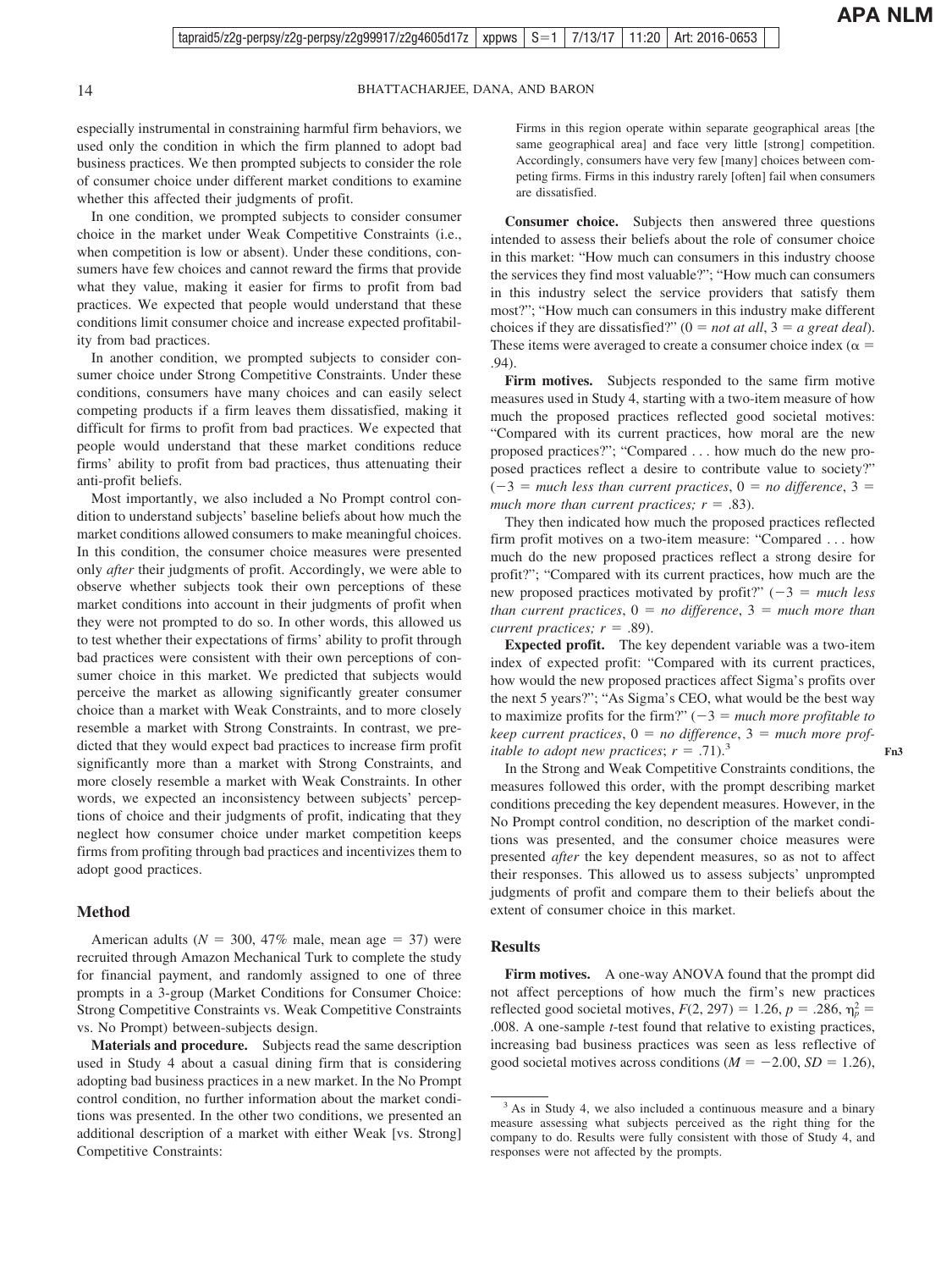**Fn3**

14 BHATTACHARJEE, DANA, AND BARON

especially instrumental in constraining harmful firm behaviors, we used only the condition in which the firm planned to adopt bad business practices. We then prompted subjects to consider the role of consumer choice under different market conditions to examine whether this affected their judgments of profit.

In one condition, we prompted subjects to consider consumer choice in the market under Weak Competitive Constraints (i.e., when competition is low or absent). Under these conditions, consumers have few choices and cannot reward the firms that provide what they value, making it easier for firms to profit from bad practices. We expected that people would understand that these conditions limit consumer choice and increase expected profitability from bad practices.

In another condition, we prompted subjects to consider consumer choice under Strong Competitive Constraints. Under these conditions, consumers have many choices and can easily select competing products if a firm leaves them dissatisfied, making it difficult for firms to profit from bad practices. We expected that people would understand that these market conditions reduce firms' ability to profit from bad practices, thus attenuating their anti-profit beliefs.

Most importantly, we also included a No Prompt control condition to understand subjects' baseline beliefs about how much the market conditions allowed consumers to make meaningful choices. In this condition, the consumer choice measures were presented only *after* their judgments of profit. Accordingly, we were able to observe whether subjects took their own perceptions of these market conditions into account in their judgments of profit when they were not prompted to do so. In other words, this allowed us to test whether their expectations of firms' ability to profit through bad practices were consistent with their own perceptions of consumer choice in this market. We predicted that subjects would perceive the market as allowing significantly greater consumer choice than a market with Weak Constraints, and to more closely resemble a market with Strong Constraints. In contrast, we predicted that they would expect bad practices to increase firm profit significantly more than a market with Strong Constraints, and more closely resemble a market with Weak Constraints. In other words, we expected an inconsistency between subjects' perceptions of choice and their judgments of profit, indicating that they neglect how consumer choice under market competition keeps firms from profiting through bad practices and incentivizes them to adopt good practices.

#### **Method**

American adults ( $N = 300, 47\%$  male, mean age = 37) were recruited through Amazon Mechanical Turk to complete the study for financial payment, and randomly assigned to one of three prompts in a 3-group (Market Conditions for Consumer Choice: Strong Competitive Constraints vs. Weak Competitive Constraints vs. No Prompt) between-subjects design.

**Materials and procedure.** Subjects read the same description used in Study 4 about a casual dining firm that is considering adopting bad business practices in a new market. In the No Prompt control condition, no further information about the market conditions was presented. In the other two conditions, we presented an additional description of a market with either Weak [vs. Strong] Competitive Constraints:

Firms in this region operate within separate geographical areas [the same geographical area] and face very little [strong] competition. Accordingly, consumers have very few [many] choices between competing firms. Firms in this industry rarely [often] fail when consumers are dissatisfied.

**Consumer choice.** Subjects then answered three questions intended to assess their beliefs about the role of consumer choice in this market: "How much can consumers in this industry choose the services they find most valuable?"; "How much can consumers in this industry select the service providers that satisfy them most?"; "How much can consumers in this industry make different choices if they are dissatisfied?"  $(0 = not at all, 3 = a great deal)$ . These items were averaged to create a consumer choice index ( $\alpha$  = .94).

Firm motives. Subjects responded to the same firm motive measures used in Study 4, starting with a two-item measure of how much the proposed practices reflected good societal motives: "Compared with its current practices, how moral are the new proposed practices?"; "Compared . . . how much do the new proposed practices reflect a desire to contribute value to society?"  $(-3 =$  much less than current practices,  $0 =$  no difference,  $3 =$ much more than current practices;  $r = .83$ ).

They then indicated how much the proposed practices reflected firm profit motives on a two-item measure: "Compared . . . how much do the new proposed practices reflect a strong desire for profit?"; "Compared with its current practices, how much are the new proposed practices motivated by profit?"  $(-3 = much less)$  $than current practices, 0 = no difference, 3 = much more than$ *current practices;*  $r = .89$ .

**Expected profit.** The key dependent variable was a two-item index of expected profit: "Compared with its current practices, how would the new proposed practices affect Sigma's profits over the next 5 years?"; "As Sigma's CEO, what would be the best way to maximize profits for the firm?"  $(-3 = \text{much more profitable to})$  $keep$  current practices,  $0 = no$  difference,  $3 = much$  more prof*itable to adopt new practices*;  $r = .71$ ).<sup>3</sup>

In the Strong and Weak Competitive Constraints conditions, the measures followed this order, with the prompt describing market conditions preceding the key dependent measures. However, in the No Prompt control condition, no description of the market conditions was presented, and the consumer choice measures were presented *after* the key dependent measures, so as not to affect their responses. This allowed us to assess subjects' unprompted judgments of profit and compare them to their beliefs about the extent of consumer choice in this market.

#### **Results**

**Firm motives.** A one-way ANOVA found that the prompt did not affect perceptions of how much the firm's new practices reflected good societal motives,  $F(2, 297) = 1.26$ ,  $p = .286$ ,  $\eta_p^2 =$ .008. A one-sample *t*-test found that relative to existing practices, increasing bad business practices was seen as less reflective of good societal motives across conditions ( $M = -2.00$ ,  $SD = 1.26$ ),

<sup>&</sup>lt;sup>3</sup> As in Study 4, we also included a continuous measure and a binary measure assessing what subjects perceived as the right thing for the company to do. Results were fully consistent with those of Study 4, and responses were not affected by the prompts.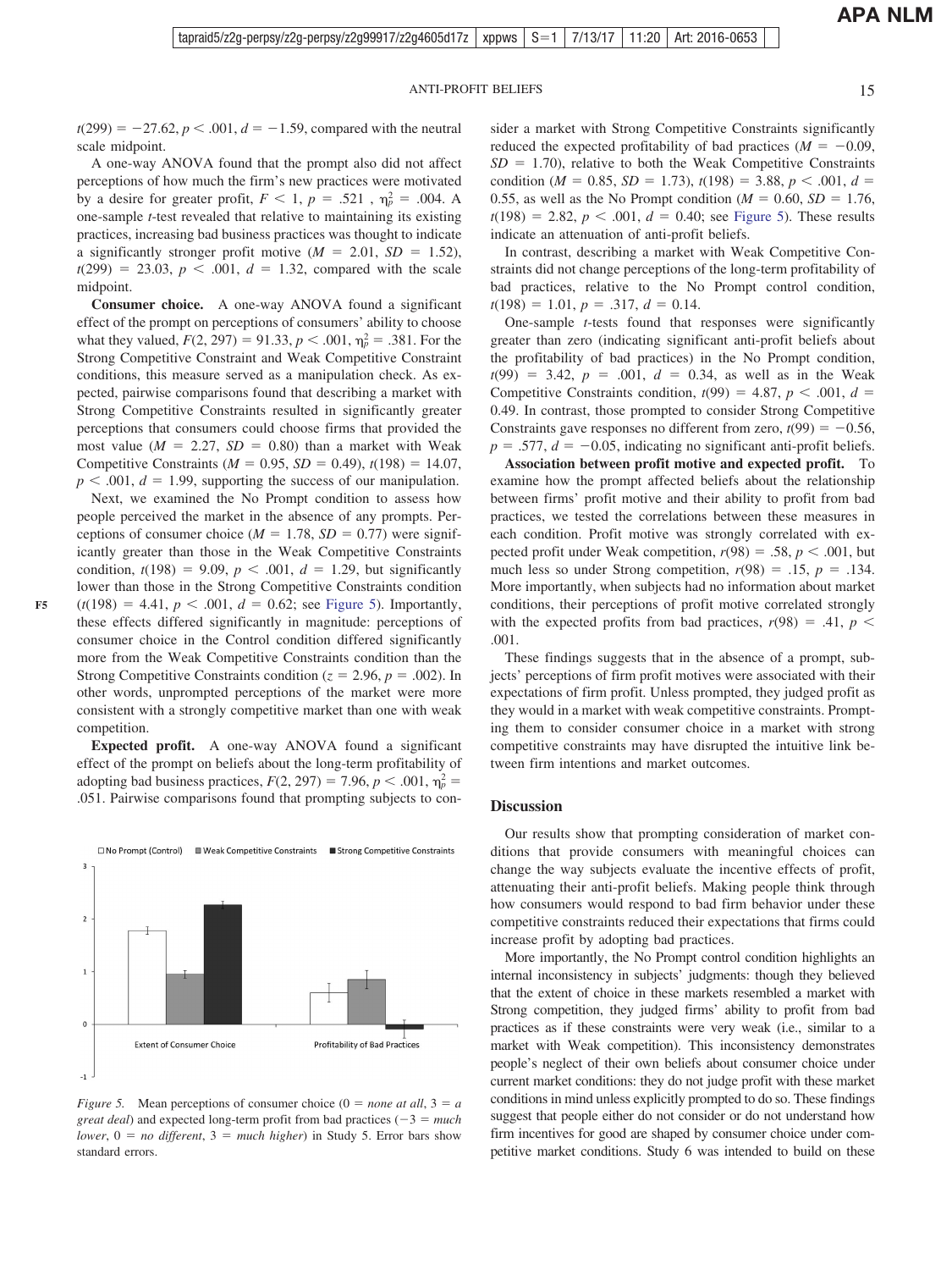$t(299) = -27.62, p < .001, d = -1.59$ , compared with the neutral scale midpoint.

A one-way ANOVA found that the prompt also did not affect perceptions of how much the firm's new practices were motivated by a desire for greater profit,  $F < 1$ ,  $p = .521$ ,  $\eta_p^2 = .004$ . A one-sample *t*-test revealed that relative to maintaining its existing practices, increasing bad business practices was thought to indicate a significantly stronger profit motive  $(M = 2.01, SD = 1.52)$ ,  $t(299) = 23.03, p < .001, d = 1.32, compared with the scale$ midpoint.

**Consumer choice.** A one-way ANOVA found a significant effect of the prompt on perceptions of consumers' ability to choose what they valued,  $F(2, 297) = 91.33$ ,  $p < .001$ ,  $\eta_p^2 = .381$ . For the Strong Competitive Constraint and Weak Competitive Constraint conditions, this measure served as a manipulation check. As expected, pairwise comparisons found that describing a market with Strong Competitive Constraints resulted in significantly greater perceptions that consumers could choose firms that provided the most value  $(M = 2.27, SD = 0.80)$  than a market with Weak Competitive Constraints ( $M = 0.95$ ,  $SD = 0.49$ ),  $t(198) = 14.07$ ,  $p < .001$ ,  $d = 1.99$ , supporting the success of our manipulation.

Next, we examined the No Prompt condition to assess how people perceived the market in the absence of any prompts. Perceptions of consumer choice  $(M = 1.78, SD = 0.77)$  were significantly greater than those in the Weak Competitive Constraints condition,  $t(198) = 9.09$ ,  $p < .001$ ,  $d = 1.29$ , but significantly lower than those in the Strong Competitive Constraints condition  $(t(198) = 4.41, p < .001, d = 0.62$ ; see Figure 5). Importantly, these effects differed significantly in magnitude: perceptions of consumer choice in the Control condition differed significantly more from the Weak Competitive Constraints condition than the Strong Competitive Constraints condition ( $z = 2.96$ ,  $p = .002$ ). In other words, unprompted perceptions of the market were more

This article is intended solely for the personal use of the individual user and is not to be disseminated broadly. **F5**

competition. **Expected profit.** A one-way ANOVA found a significant effect of the prompt on beliefs about the long-term profitability of adopting bad business practices,  $F(2, 297) = 7.96$ ,  $p < .001$ ,  $\eta_p^2 =$ .051. Pairwise comparisons found that prompting subjects to con-

□ No Prompt (Control) ■ Weak Competitive Constraints ■ Strong Competitive Constraints

consistent with a strongly competitive market than one with weak



sider a market with Strong Competitive Constraints significantly reduced the expected profitability of bad practices  $(M = -0.09,$  $SD = 1.70$ , relative to both the Weak Competitive Constraints condition (*M* = 0.85, *SD* = 1.73),  $t(198) = 3.88$ ,  $p < .001$ ,  $d =$ 0.55, as well as the No Prompt condition ( $M = 0.60$ ,  $SD = 1.76$ ,  $t(198) = 2.82, p < .001, d = 0.40$ ; see Figure 5). These results indicate an attenuation of anti-profit beliefs.

In contrast, describing a market with Weak Competitive Constraints did not change perceptions of the long-term profitability of bad practices, relative to the No Prompt control condition,  $t(198) = 1.01, p = .317, d = 0.14.$ 

One-sample *t*-tests found that responses were significantly greater than zero (indicating significant anti-profit beliefs about the profitability of bad practices) in the No Prompt condition,  $t(99) = 3.42, p = .001, d = 0.34,$  as well as in the Weak Competitive Constraints condition,  $t(99) = 4.87$ ,  $p < .001$ ,  $d =$ 0.49. In contrast, those prompted to consider Strong Competitive Constraints gave responses no different from zero,  $t(99) = -0.56$ ,  $p = .577$ ,  $d = -0.05$ , indicating no significant anti-profit beliefs.

**Association between profit motive and expected profit.** To examine how the prompt affected beliefs about the relationship between firms' profit motive and their ability to profit from bad practices, we tested the correlations between these measures in each condition. Profit motive was strongly correlated with expected profit under Weak competition,  $r(98) = .58$ ,  $p < .001$ , but much less so under Strong competition,  $r(98) = .15$ ,  $p = .134$ . More importantly, when subjects had no information about market conditions, their perceptions of profit motive correlated strongly with the expected profits from bad practices,  $r(98) = .41$ ,  $p <$ .001.

These findings suggests that in the absence of a prompt, subjects' perceptions of firm profit motives were associated with their expectations of firm profit. Unless prompted, they judged profit as they would in a market with weak competitive constraints. Prompting them to consider consumer choice in a market with strong competitive constraints may have disrupted the intuitive link between firm intentions and market outcomes.

#### **Discussion**

Our results show that prompting consideration of market conditions that provide consumers with meaningful choices can change the way subjects evaluate the incentive effects of profit, attenuating their anti-profit beliefs. Making people think through how consumers would respond to bad firm behavior under these competitive constraints reduced their expectations that firms could increase profit by adopting bad practices.

More importantly, the No Prompt control condition highlights an internal inconsistency in subjects' judgments: though they believed that the extent of choice in these markets resembled a market with Strong competition, they judged firms' ability to profit from bad practices as if these constraints were very weak (i.e., similar to a market with Weak competition). This inconsistency demonstrates people's neglect of their own beliefs about consumer choice under current market conditions: they do not judge profit with these market conditions in mind unless explicitly prompted to do so. These findings suggest that people either do not consider or do not understand how firm incentives for good are shaped by consumer choice under competitive market conditions. Study 6 was intended to build on these

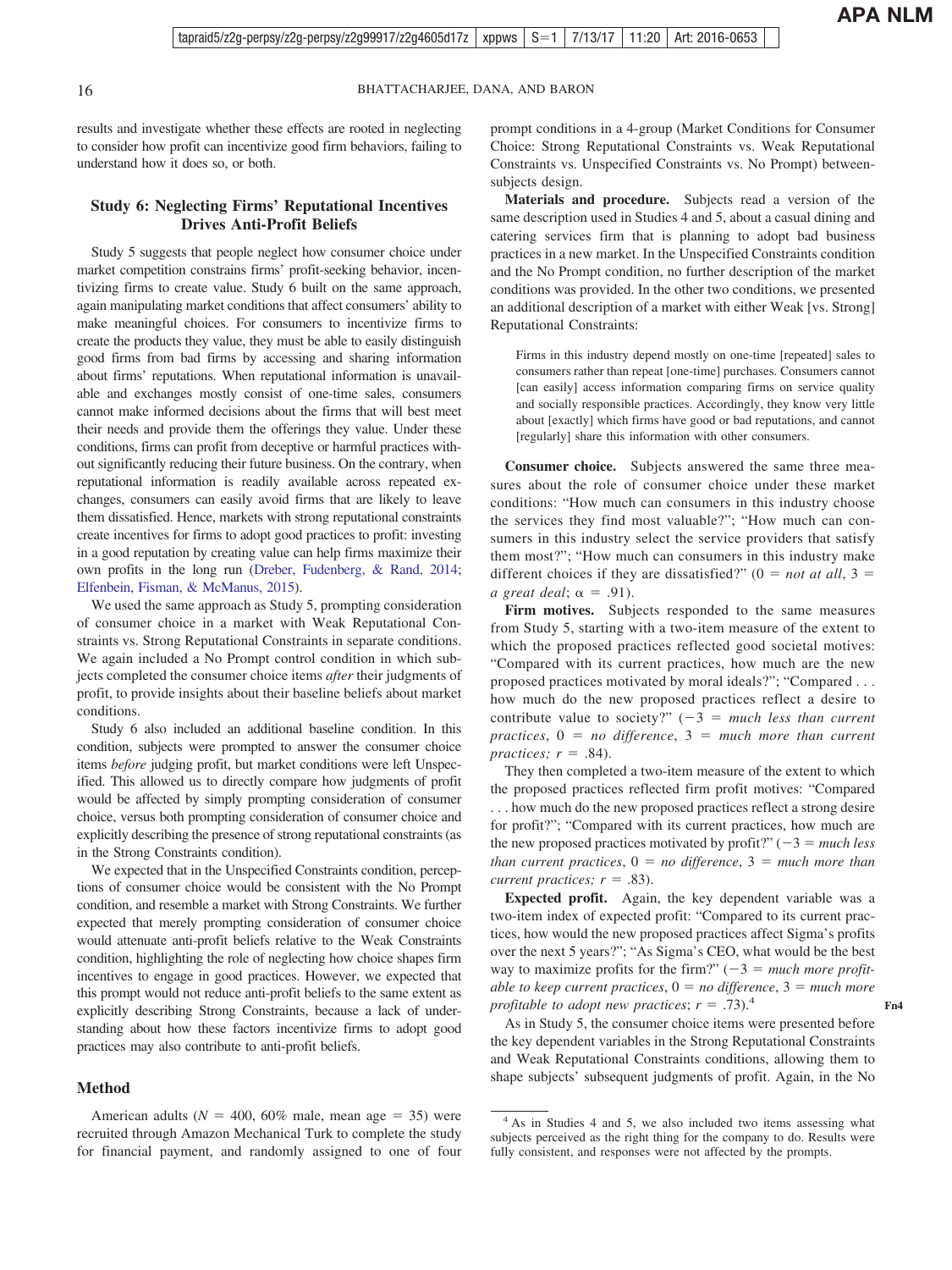results and investigate whether these effects are rooted in neglecting to consider how profit can incentivize good firm behaviors, failing to understand how it does so, or both.

#### **Study 6: Neglecting Firms' Reputational Incentives Drives Anti-Profit Beliefs**

Study 5 suggests that people neglect how consumer choice under market competition constrains firms' profit-seeking behavior, incentivizing firms to create value. Study 6 built on the same approach, again manipulating market conditions that affect consumers' ability to make meaningful choices. For consumers to incentivize firms to create the products they value, they must be able to easily distinguish good firms from bad firms by accessing and sharing information about firms' reputations. When reputational information is unavailable and exchanges mostly consist of one-time sales, consumers cannot make informed decisions about the firms that will best meet their needs and provide them the offerings they value. Under these conditions, firms can profit from deceptive or harmful practices without significantly reducing their future business. On the contrary, when reputational information is readily available across repeated exchanges, consumers can easily avoid firms that are likely to leave them dissatisfied. Hence, markets with strong reputational constraints create incentives for firms to adopt good practices to profit: investing in a good reputation by creating value can help firms maximize their own profits in the long run [\(Dreber, Fudenberg, & Rand, 2014;](#page-22-0) [Elfenbein, Fisman, & McManus, 2015\)](#page-22-0).

We used the same approach as Study 5, prompting consideration of consumer choice in a market with Weak Reputational Constraints vs. Strong Reputational Constraints in separate conditions. We again included a No Prompt control condition in which subjects completed the consumer choice items *after* their judgments of profit, to provide insights about their baseline beliefs about market conditions.

Study 6 also included an additional baseline condition. In this condition, subjects were prompted to answer the consumer choice items *before* judging profit, but market conditions were left Unspecified. This allowed us to directly compare how judgments of profit would be affected by simply prompting consideration of consumer choice, versus both prompting consideration of consumer choice and explicitly describing the presence of strong reputational constraints (as in the Strong Constraints condition).

We expected that in the Unspecified Constraints condition, perceptions of consumer choice would be consistent with the No Prompt condition, and resemble a market with Strong Constraints. We further expected that merely prompting consideration of consumer choice would attenuate anti-profit beliefs relative to the Weak Constraints condition, highlighting the role of neglecting how choice shapes firm incentives to engage in good practices. However, we expected that this prompt would not reduce anti-profit beliefs to the same extent as explicitly describing Strong Constraints, because a lack of understanding about how these factors incentivize firms to adopt good practices may also contribute to anti-profit beliefs.

#### **Method**

American adults ( $N = 400, 60\%$  male, mean age = 35) were recruited through Amazon Mechanical Turk to complete the study for financial payment, and randomly assigned to one of four prompt conditions in a 4-group (Market Conditions for Consumer Choice: Strong Reputational Constraints vs. Weak Reputational Constraints vs. Unspecified Constraints vs. No Prompt) betweensubjects design.

**Materials and procedure.** Subjects read a version of the same description used in Studies 4 and 5, about a casual dining and catering services firm that is planning to adopt bad business practices in a new market. In the Unspecified Constraints condition and the No Prompt condition, no further description of the market conditions was provided. In the other two conditions, we presented an additional description of a market with either Weak [vs. Strong] Reputational Constraints:

Firms in this industry depend mostly on one-time [repeated] sales to consumers rather than repeat [one-time] purchases. Consumers cannot [can easily] access information comparing firms on service quality and socially responsible practices. Accordingly, they know very little about [exactly] which firms have good or bad reputations, and cannot [regularly] share this information with other consumers.

**Consumer choice.** Subjects answered the same three measures about the role of consumer choice under these market conditions: "How much can consumers in this industry choose the services they find most valuable?"; "How much can consumers in this industry select the service providers that satisfy them most?"; "How much can consumers in this industry make different choices if they are dissatisfied?"  $(0 = not at all, 3 = 1)$  $a\,\, great\,\, deal; \alpha = .91$ .

Firm motives. Subjects responded to the same measures from Study 5, starting with a two-item measure of the extent to which the proposed practices reflected good societal motives: "Compared with its current practices, how much are the new proposed practices motivated by moral ideals?"; "Compared . . . how much do the new proposed practices reflect a desire to contribute value to society?"  $(-3)$  = much less than current  $practices, 0 = no difference, 3 = much more than current$  $practices; r = .84$ ).

They then completed a two-item measure of the extent to which the proposed practices reflected firm profit motives: "Compared . . . how much do the new proposed practices reflect a strong desire for profit?"; "Compared with its current practices, how much are the new proposed practices motivated by profit?"  $(-3 = much less)$  $than current practices, 0 = no difference, 3 = much more than$ *current practices;*  $r = .83$ .

**Expected profit.** Again, the key dependent variable was a two-item index of expected profit: "Compared to its current practices, how would the new proposed practices affect Sigma's profits over the next 5 years?"; "As Sigma's CEO, what would be the best way to maximize profits for the firm?"  $(-3)$  = *much more profit* $able to keep current practices,  $0 = no$  difference,  $3 = much more$$ *profitable to adopt new practices*;  $r = .73$ .

As in Study 5, the consumer choice items were presented before the key dependent variables in the Strong Reputational Constraints and Weak Reputational Constraints conditions, allowing them to shape subjects' subsequent judgments of profit. Again, in the No

<sup>&</sup>lt;sup>4</sup> As in Studies 4 and 5, we also included two items assessing what subjects perceived as the right thing for the company to do. Results were fully consistent, and responses were not affected by the prompts.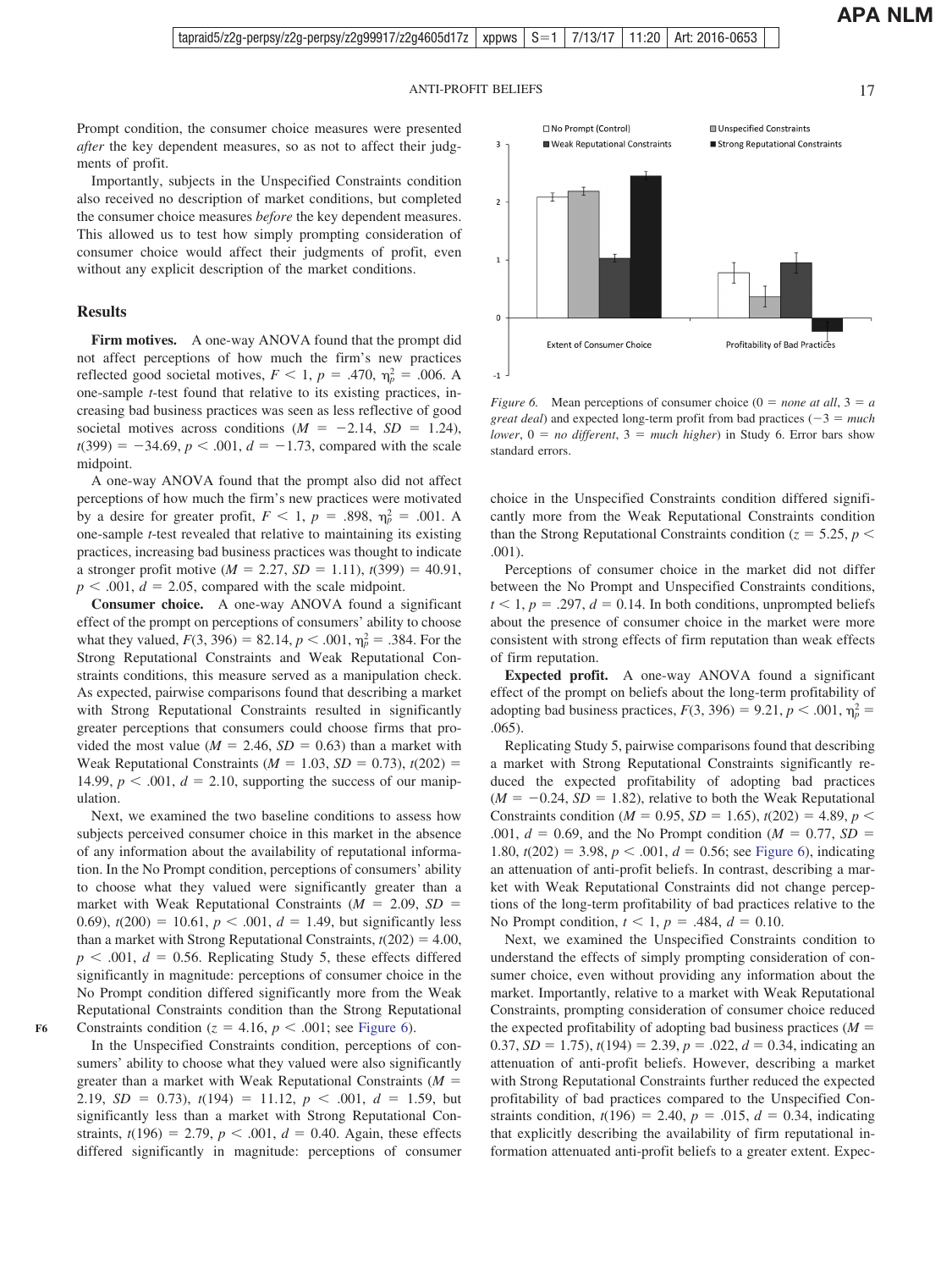Prompt condition, the consumer choice measures were presented *after* the key dependent measures, so as not to affect their judgments of profit.

Importantly, subjects in the Unspecified Constraints condition also received no description of market conditions, but completed the consumer choice measures *before* the key dependent measures. This allowed us to test how simply prompting consideration of consumer choice would affect their judgments of profit, even without any explicit description of the market conditions.

#### **Results**

**Firm motives.** A one-way ANOVA found that the prompt did not affect perceptions of how much the firm's new practices reflected good societal motives,  $F < 1$ ,  $p = .470$ ,  $\eta_p^2 = .006$ . A one-sample *t*-test found that relative to its existing practices, increasing bad business practices was seen as less reflective of good societal motives across conditions  $(M = -2.14, SD = 1.24)$ ,  $t(399) = -34.69$ ,  $p < .001$ ,  $d = -1.73$ , compared with the scale midpoint.

A one-way ANOVA found that the prompt also did not affect perceptions of how much the firm's new practices were motivated by a desire for greater profit,  $F < 1$ ,  $p = .898$ ,  $\eta_p^2 = .001$ . A one-sample *t*-test revealed that relative to maintaining its existing practices, increasing bad business practices was thought to indicate a stronger profit motive ( $M = 2.27$ ,  $SD = 1.11$ ),  $t(399) = 40.91$ ,  $p < .001$ ,  $d = 2.05$ , compared with the scale midpoint.

**Consumer choice.** A one-way ANOVA found a significant effect of the prompt on perceptions of consumers' ability to choose what they valued,  $F(3, 396) = 82.14, p < .001, \eta_p^2 = .384$ . For the Strong Reputational Constraints and Weak Reputational Constraints conditions, this measure served as a manipulation check. As expected, pairwise comparisons found that describing a market with Strong Reputational Constraints resulted in significantly greater perceptions that consumers could choose firms that provided the most value ( $M = 2.46$ ,  $SD = 0.63$ ) than a market with Weak Reputational Constraints ( $M = 1.03$ ,  $SD = 0.73$ ),  $t(202) =$ 14.99,  $p < .001$ ,  $d = 2.10$ , supporting the success of our manipulation.

Next, we examined the two baseline conditions to assess how subjects perceived consumer choice in this market in the absence of any information about the availability of reputational information. In the No Prompt condition, perceptions of consumers' ability to choose what they valued were significantly greater than a market with Weak Reputational Constraints  $(M = 2.09, SD =$ 0.69),  $t(200) = 10.61$ ,  $p < .001$ ,  $d = 1.49$ , but significantly less than a market with Strong Reputational Constraints,  $t(202) = 4.00$ ,  $p \leq 0.001$ ,  $d = 0.56$ . Replicating Study 5, these effects differed significantly in magnitude: perceptions of consumer choice in the No Prompt condition differed significantly more from the Weak Reputational Constraints condition than the Strong Reputational Constraints condition ( $z = 4.16$ ,  $p < .001$ ; see Figure 6).

**F6**

In the Unspecified Constraints condition, perceptions of consumers' ability to choose what they valued were also significantly greater than a market with Weak Reputational Constraints  $(M =$ 2.19,  $SD = 0.73$ ),  $t(194) = 11.12$ ,  $p < .001$ ,  $d = 1.59$ , but significantly less than a market with Strong Reputational Constraints,  $t(196) = 2.79$ ,  $p < .001$ ,  $d = 0.40$ . Again, these effects differed significantly in magnitude: perceptions of consumer



*Figure 6.* Mean perceptions of consumer choice  $(0 = none at all, 3 = a$ *great deal*) and expected long-term profit from bad practices  $(-3 = much$  $lower, 0 = no$  different,  $3 = much$  higher) in Study 6. Error bars show standard errors.

choice in the Unspecified Constraints condition differed significantly more from the Weak Reputational Constraints condition than the Strong Reputational Constraints condition ( $z = 5.25$ ,  $p <$ .001).

Perceptions of consumer choice in the market did not differ between the No Prompt and Unspecified Constraints conditions,  $t < 1, p = .297, d = 0.14$ . In both conditions, unprompted beliefs about the presence of consumer choice in the market were more consistent with strong effects of firm reputation than weak effects of firm reputation.

**Expected profit.** A one-way ANOVA found a significant effect of the prompt on beliefs about the long-term profitability of adopting bad business practices,  $F(3, 396) = 9.21$ ,  $p < .001$ ,  $\eta_p^2 =$ .065).

Replicating Study 5, pairwise comparisons found that describing a market with Strong Reputational Constraints significantly reduced the expected profitability of adopting bad practices  $(M = -0.24, SD = 1.82)$ , relative to both the Weak Reputational Constraints condition ( $M = 0.95$ ,  $SD = 1.65$ ),  $t(202) = 4.89$ ,  $p <$ .001,  $d = 0.69$ , and the No Prompt condition ( $M = 0.77$ ,  $SD =$ 1.80,  $t(202) = 3.98$ ,  $p < .001$ ,  $d = 0.56$ ; see Figure 6), indicating an attenuation of anti-profit beliefs. In contrast, describing a market with Weak Reputational Constraints did not change perceptions of the long-term profitability of bad practices relative to the No Prompt condition,  $t < 1$ ,  $p = .484$ ,  $d = 0.10$ .

Next, we examined the Unspecified Constraints condition to understand the effects of simply prompting consideration of consumer choice, even without providing any information about the market. Importantly, relative to a market with Weak Reputational Constraints, prompting consideration of consumer choice reduced the expected profitability of adopting bad business practices  $(M =$ 0.37,  $SD = 1.75$ ,  $t(194) = 2.39$ ,  $p = .022$ ,  $d = 0.34$ , indicating an attenuation of anti-profit beliefs. However, describing a market with Strong Reputational Constraints further reduced the expected profitability of bad practices compared to the Unspecified Constraints condition,  $t(196) = 2.40$ ,  $p = .015$ ,  $d = 0.34$ , indicating that explicitly describing the availability of firm reputational information attenuated anti-profit beliefs to a greater extent. Expec-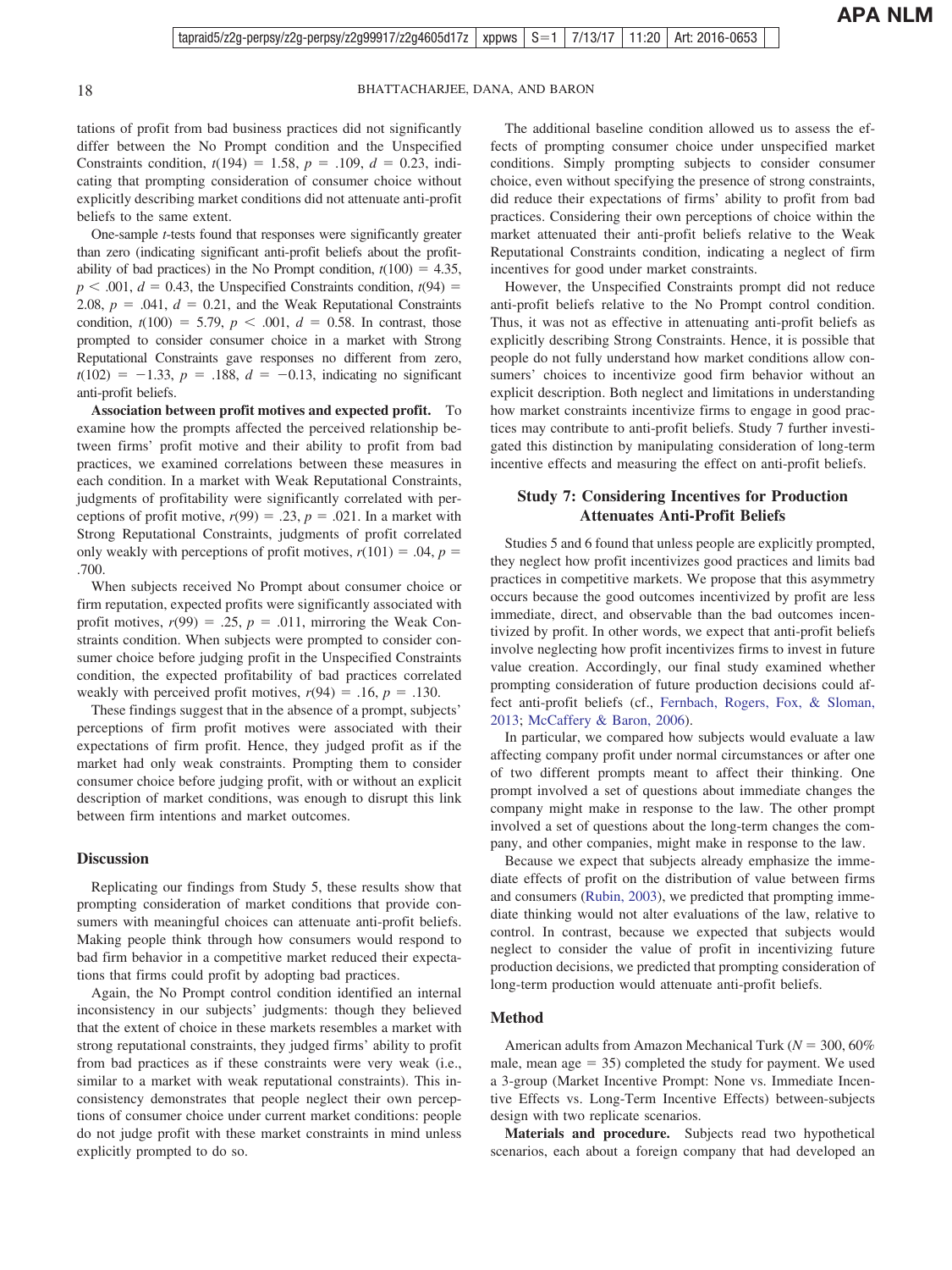tations of profit from bad business practices did not significantly differ between the No Prompt condition and the Unspecified Constraints condition,  $t(194) = 1.58$ ,  $p = .109$ ,  $d = 0.23$ , indicating that prompting consideration of consumer choice without explicitly describing market conditions did not attenuate anti-profit beliefs to the same extent.

One-sample *t*-tests found that responses were significantly greater than zero (indicating significant anti-profit beliefs about the profitability of bad practices) in the No Prompt condition,  $t(100) = 4.35$ ,  $p < .001$ ,  $d = 0.43$ , the Unspecified Constraints condition,  $t(94) =$ 2.08,  $p = .041$ ,  $d = 0.21$ , and the Weak Reputational Constraints condition,  $t(100) = 5.79$ ,  $p < .001$ ,  $d = 0.58$ . In contrast, those prompted to consider consumer choice in a market with Strong Reputational Constraints gave responses no different from zero,  $t(102) = -1.33, p = .188, d = -0.13,$  indicating no significant anti-profit beliefs.

**Association between profit motives and expected profit.** To examine how the prompts affected the perceived relationship between firms' profit motive and their ability to profit from bad practices, we examined correlations between these measures in each condition. In a market with Weak Reputational Constraints, judgments of profitability were significantly correlated with perceptions of profit motive,  $r(99) = .23$ ,  $p = .021$ . In a market with Strong Reputational Constraints, judgments of profit correlated only weakly with perceptions of profit motives,  $r(101) = .04$ ,  $p =$ .700.

When subjects received No Prompt about consumer choice or firm reputation, expected profits were significantly associated with profit motives,  $r(99) = .25$ ,  $p = .011$ , mirroring the Weak Constraints condition. When subjects were prompted to consider consumer choice before judging profit in the Unspecified Constraints condition, the expected profitability of bad practices correlated weakly with perceived profit motives,  $r(94) = .16$ ,  $p = .130$ .

These findings suggest that in the absence of a prompt, subjects' perceptions of firm profit motives were associated with their expectations of firm profit. Hence, they judged profit as if the market had only weak constraints. Prompting them to consider consumer choice before judging profit, with or without an explicit description of market conditions, was enough to disrupt this link between firm intentions and market outcomes.

#### **Discussion**

Replicating our findings from Study 5, these results show that prompting consideration of market conditions that provide consumers with meaningful choices can attenuate anti-profit beliefs. Making people think through how consumers would respond to bad firm behavior in a competitive market reduced their expectations that firms could profit by adopting bad practices.

Again, the No Prompt control condition identified an internal inconsistency in our subjects' judgments: though they believed that the extent of choice in these markets resembles a market with strong reputational constraints, they judged firms' ability to profit from bad practices as if these constraints were very weak (i.e., similar to a market with weak reputational constraints). This inconsistency demonstrates that people neglect their own perceptions of consumer choice under current market conditions: people do not judge profit with these market constraints in mind unless explicitly prompted to do so.

The additional baseline condition allowed us to assess the effects of prompting consumer choice under unspecified market conditions. Simply prompting subjects to consider consumer choice, even without specifying the presence of strong constraints, did reduce their expectations of firms' ability to profit from bad practices. Considering their own perceptions of choice within the market attenuated their anti-profit beliefs relative to the Weak Reputational Constraints condition, indicating a neglect of firm incentives for good under market constraints.

However, the Unspecified Constraints prompt did not reduce anti-profit beliefs relative to the No Prompt control condition. Thus, it was not as effective in attenuating anti-profit beliefs as explicitly describing Strong Constraints. Hence, it is possible that people do not fully understand how market conditions allow consumers' choices to incentivize good firm behavior without an explicit description. Both neglect and limitations in understanding how market constraints incentivize firms to engage in good practices may contribute to anti-profit beliefs. Study 7 further investigated this distinction by manipulating consideration of long-term incentive effects and measuring the effect on anti-profit beliefs.

#### **Study 7: Considering Incentives for Production Attenuates Anti-Profit Beliefs**

Studies 5 and 6 found that unless people are explicitly prompted, they neglect how profit incentivizes good practices and limits bad practices in competitive markets. We propose that this asymmetry occurs because the good outcomes incentivized by profit are less immediate, direct, and observable than the bad outcomes incentivized by profit. In other words, we expect that anti-profit beliefs involve neglecting how profit incentivizes firms to invest in future value creation. Accordingly, our final study examined whether prompting consideration of future production decisions could affect anti-profit beliefs (cf., [Fernbach, Rogers, Fox, & Sloman,](#page-22-0) [2013;](#page-22-0) [McCaffery & Baron, 2006\)](#page-23-0).

In particular, we compared how subjects would evaluate a law affecting company profit under normal circumstances or after one of two different prompts meant to affect their thinking. One prompt involved a set of questions about immediate changes the company might make in response to the law. The other prompt involved a set of questions about the long-term changes the company, and other companies, might make in response to the law.

Because we expect that subjects already emphasize the immediate effects of profit on the distribution of value between firms and consumers [\(Rubin, 2003\)](#page-23-0), we predicted that prompting immediate thinking would not alter evaluations of the law, relative to control. In contrast, because we expected that subjects would neglect to consider the value of profit in incentivizing future production decisions, we predicted that prompting consideration of long-term production would attenuate anti-profit beliefs.

#### **Method**

American adults from Amazon Mechanical Turk ( $N = 300, 60\%$ male, mean  $age = 35$ ) completed the study for payment. We used a 3-group (Market Incentive Prompt: None vs. Immediate Incentive Effects vs. Long-Term Incentive Effects) between-subjects design with two replicate scenarios.

**Materials and procedure.** Subjects read two hypothetical scenarios, each about a foreign company that had developed an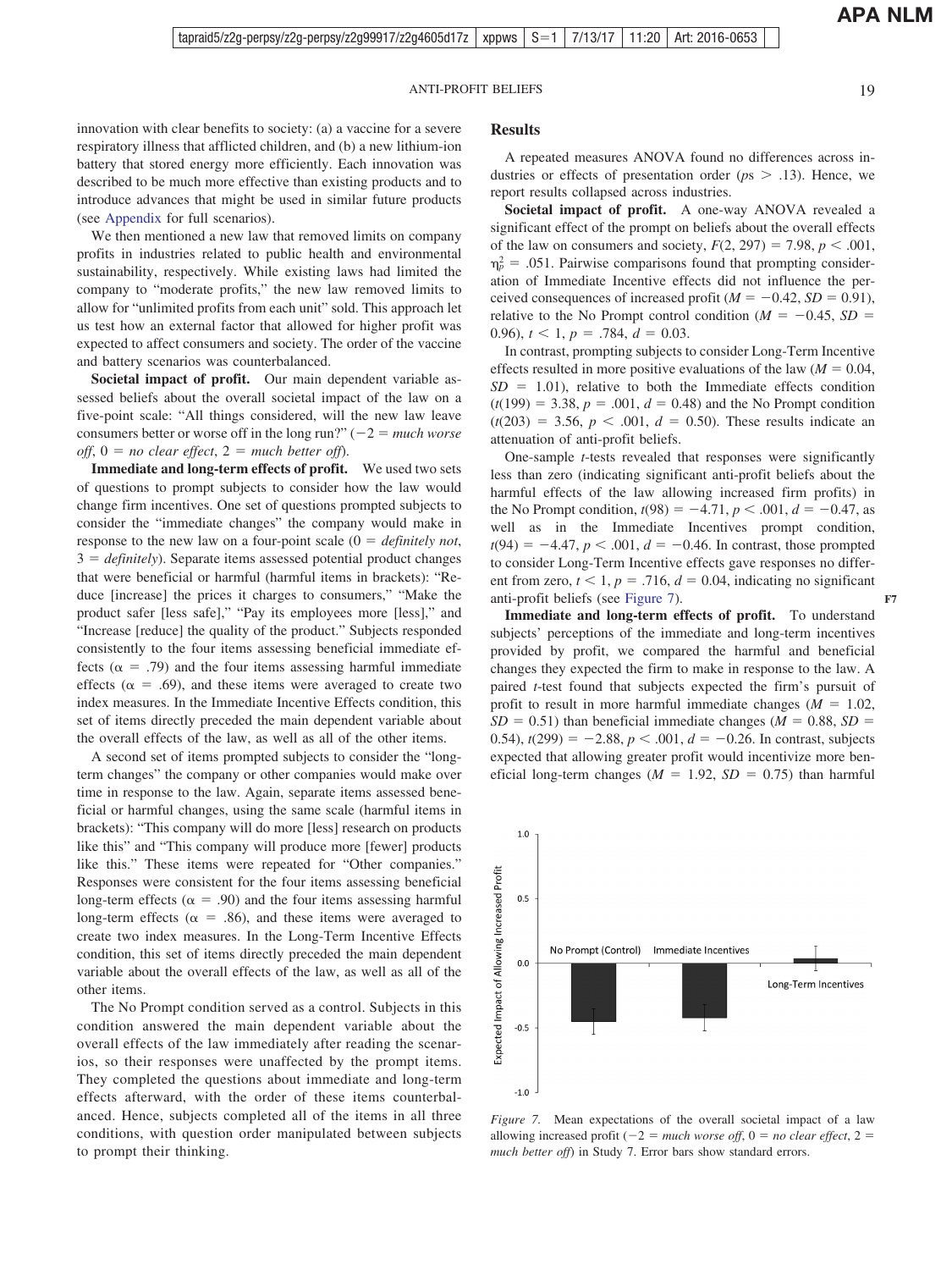**APA NLM**

innovation with clear benefits to society: (a) a vaccine for a severe respiratory illness that afflicted children, and (b) a new lithium-ion battery that stored energy more efficiently. Each innovation was described to be much more effective than existing products and to introduce advances that might be used in similar future products (see [Appendix](#page-24-0) for full scenarios).

We then mentioned a new law that removed limits on company profits in industries related to public health and environmental sustainability, respectively. While existing laws had limited the company to "moderate profits," the new law removed limits to allow for "unlimited profits from each unit" sold. This approach let us test how an external factor that allowed for higher profit was expected to affect consumers and society. The order of the vaccine and battery scenarios was counterbalanced.

**Societal impact of profit.** Our main dependent variable assessed beliefs about the overall societal impact of the law on a five-point scale: "All things considered, will the new law leave consumers better or worse off in the long run?"  $(-2 = much worse)$  $off$ ,  $0 = no$  clear effect,  $2 = much$  better off).

**Immediate and long-term effects of profit.** We used two sets of questions to prompt subjects to consider how the law would change firm incentives. One set of questions prompted subjects to consider the "immediate changes" the company would make in response to the new law on a four-point scale  $(0 = \text{definitely not},$ 3 = *definitely*). Separate items assessed potential product changes that were beneficial or harmful (harmful items in brackets): "Reduce [increase] the prices it charges to consumers," "Make the product safer [less safe]," "Pay its employees more [less]," and "Increase [reduce] the quality of the product." Subjects responded consistently to the four items assessing beneficial immediate effects ( $\alpha$  = .79) and the four items assessing harmful immediate effects ( $\alpha = .69$ ), and these items were averaged to create two index measures. In the Immediate Incentive Effects condition, this set of items directly preceded the main dependent variable about the overall effects of the law, as well as all of the other items.

A second set of items prompted subjects to consider the "longterm changes" the company or other companies would make over time in response to the law. Again, separate items assessed beneficial or harmful changes, using the same scale (harmful items in brackets): "This company will do more [less] research on products like this" and "This company will produce more [fewer] products like this." These items were repeated for "Other companies." Responses were consistent for the four items assessing beneficial long-term effects ( $\alpha = .90$ ) and the four items assessing harmful long-term effects ( $\alpha = .86$ ), and these items were averaged to create two index measures. In the Long-Term Incentive Effects condition, this set of items directly preceded the main dependent variable about the overall effects of the law, as well as all of the other items.

The No Prompt condition served as a control. Subjects in this condition answered the main dependent variable about the overall effects of the law immediately after reading the scenarios, so their responses were unaffected by the prompt items. They completed the questions about immediate and long-term effects afterward, with the order of these items counterbalanced. Hence, subjects completed all of the items in all three conditions, with question order manipulated between subjects to prompt their thinking.

#### **Results**

A repeated measures ANOVA found no differences across industries or effects of presentation order ( $ps > .13$ ). Hence, we report results collapsed across industries.

**Societal impact of profit.** A one-way ANOVA revealed a significant effect of the prompt on beliefs about the overall effects of the law on consumers and society,  $F(2, 297) = 7.98$ ,  $p < .001$ ,  $\eta_p^2 = .051$ . Pairwise comparisons found that prompting consideration of Immediate Incentive effects did not influence the perceived consequences of increased profit ( $M = -0.42$ ,  $SD = 0.91$ ), relative to the No Prompt control condition ( $M = -0.45$ ,  $SD =$ 0.96),  $t < 1$ ,  $p = .784$ ,  $d = 0.03$ .

In contrast, prompting subjects to consider Long-Term Incentive effects resulted in more positive evaluations of the law  $(M = 0.04,$  $SD = 1.01$ ), relative to both the Immediate effects condition  $(t(199) = 3.38, p = .001, d = 0.48)$  and the No Prompt condition  $(t(203) = 3.56, p < .001, d = 0.50)$ . These results indicate an attenuation of anti-profit beliefs.

One-sample *t*-tests revealed that responses were significantly less than zero (indicating significant anti-profit beliefs about the harmful effects of the law allowing increased firm profits) in the No Prompt condition,  $t(98) = -4.71$ ,  $p < .001$ ,  $d = -0.47$ , as well as in the Immediate Incentives prompt condition,  $t(94) = -4.47, p < .001, d = -0.46$ . In contrast, those prompted to consider Long-Term Incentive effects gave responses no different from zero,  $t < 1$ ,  $p = .716$ ,  $d = 0.04$ , indicating no significant anti-profit beliefs (see Figure 7).

**Immediate and long-term effects of profit.** To understand subjects' perceptions of the immediate and long-term incentives provided by profit, we compared the harmful and beneficial changes they expected the firm to make in response to the law. A paired *t*-test found that subjects expected the firm's pursuit of profit to result in more harmful immediate changes  $(M = 1.02,$  $SD = 0.51$ ) than beneficial immediate changes ( $M = 0.88$ ,  $SD =$ 0.54),  $t(299) = -2.88$ ,  $p < .001$ ,  $d = -0.26$ . In contrast, subjects expected that allowing greater profit would incentivize more beneficial long-term changes  $(M = 1.92, SD = 0.75)$  than harmful



*Figure 7.* Mean expectations of the overall societal impact of a law allowing increased profit  $(-2 = much worse off, 0 = no clear effect, 2 =$ *much better off*) in Study 7. Error bars show standard errors.

**F7**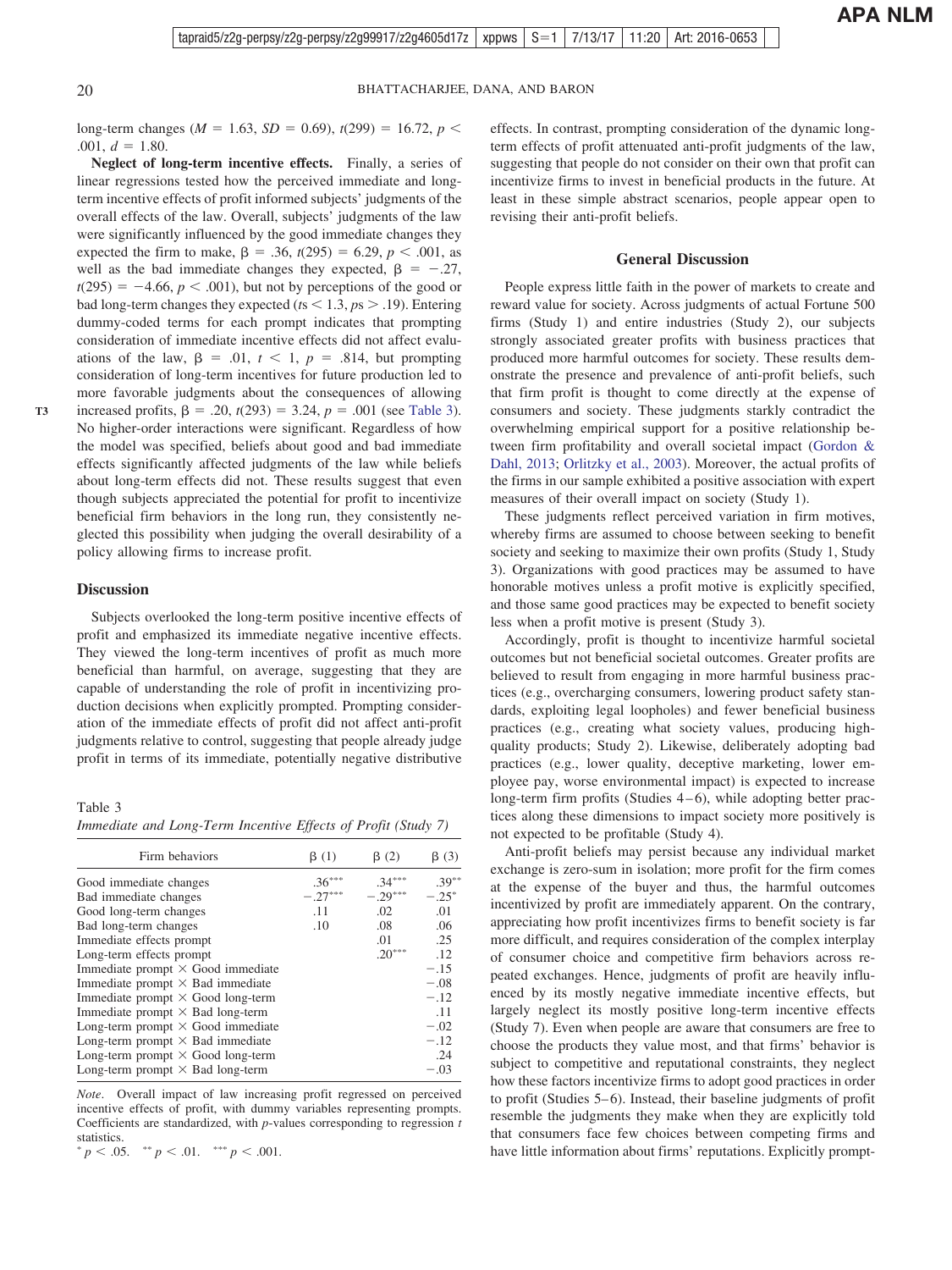long-term changes ( $M = 1.63$ ,  $SD = 0.69$ ),  $t(299) = 16.72$ ,  $p <$  $.001, d = 1.80.$ 

**Neglect of long-term incentive effects.** Finally, a series of linear regressions tested how the perceived immediate and longterm incentive effects of profit informed subjects' judgments of the overall effects of the law. Overall, subjects' judgments of the law were significantly influenced by the good immediate changes they expected the firm to make,  $\beta = .36$ ,  $t(295) = 6.29$ ,  $p < .001$ , as well as the bad immediate changes they expected,  $\beta = -.27$ ,  $t(295) = -4.66$ ,  $p < .001$ ), but not by perceptions of the good or bad long-term changes they expected ( $t$ s  $<$  1.3,  $p$ s  $>$  .19). Entering dummy-coded terms for each prompt indicates that prompting consideration of immediate incentive effects did not affect evaluations of the law,  $\beta = .01$ ,  $t < 1$ ,  $p = .814$ , but prompting consideration of long-term incentives for future production led to more favorable judgments about the consequences of allowing increased profits,  $\beta = .20$ ,  $t(293) = 3.24$ ,  $p = .001$  (see Table 3). No higher-order interactions were significant. Regardless of how the model was specified, beliefs about good and bad immediate effects significantly affected judgments of the law while beliefs about long-term effects did not. These results suggest that even though subjects appreciated the potential for profit to incentivize beneficial firm behaviors in the long run, they consistently neglected this possibility when judging the overall desirability of a policy allowing firms to increase profit.

#### **Discussion**

This article is intended solely for the personal use of the individual user and is not to be disseminated broadly.

**T3**

Subjects overlooked the long-term positive incentive effects of profit and emphasized its immediate negative incentive effects. They viewed the long-term incentives of profit as much more beneficial than harmful, on average, suggesting that they are capable of understanding the role of profit in incentivizing production decisions when explicitly prompted. Prompting consideration of the immediate effects of profit did not affect anti-profit judgments relative to control, suggesting that people already judge profit in terms of its immediate, potentially negative distributive

Table 3

*Immediate and Long-Term Incentive Effects of Profit (Study 7)*

| Firm behaviors                           | $\beta(1)$ | $\beta(2)$ | $\beta(3)$ |
|------------------------------------------|------------|------------|------------|
| Good immediate changes                   | $.36***$   | $.34***$   | $.39***$   |
| Bad immediate changes                    | $-.27***$  | $-.29***$  | $-.25*$    |
| Good long-term changes                   | .11        | .02        | .01        |
| Bad long-term changes                    | .10        | .08        | .06        |
| Immediate effects prompt                 |            | .01        | .25        |
| Long-term effects prompt                 |            | $.20***$   | .12        |
| Immediate prompt $\times$ Good immediate |            |            | $-.15$     |
| Immediate prompt $\times$ Bad immediate  |            |            | $-.08$     |
| Immediate prompt $\times$ Good long-term |            |            | $-.12$     |
| Immediate prompt $\times$ Bad long-term  |            |            | .11        |
| Long-term prompt $\times$ Good immediate |            |            | $-.02$     |
| Long-term prompt $\times$ Bad immediate  |            |            | $-.12$     |
| Long-term prompt $\times$ Good long-term |            |            | .24        |
| Long-term prompt $\times$ Bad long-term  |            |            | $-.03$     |

*Note*. Overall impact of law increasing profit regressed on perceived incentive effects of profit, with dummy variables representing prompts. Coefficients are standardized, with *p*-values corresponding to regression *t* statistics.

\* 
$$
p < .05.
$$
 \*\*  $p < .01.$  \*\*\*  $p < .001.$ 

effects. In contrast, prompting consideration of the dynamic longterm effects of profit attenuated anti-profit judgments of the law, suggesting that people do not consider on their own that profit can incentivize firms to invest in beneficial products in the future. At least in these simple abstract scenarios, people appear open to revising their anti-profit beliefs.

#### **General Discussion**

People express little faith in the power of markets to create and reward value for society. Across judgments of actual Fortune 500 firms (Study 1) and entire industries (Study 2), our subjects strongly associated greater profits with business practices that produced more harmful outcomes for society. These results demonstrate the presence and prevalence of anti-profit beliefs, such that firm profit is thought to come directly at the expense of consumers and society. These judgments starkly contradict the overwhelming empirical support for a positive relationship between firm profitability and overall societal impact [\(Gordon &](#page-22-0) [Dahl, 2013;](#page-22-0) [Orlitzky et al., 2003\)](#page-23-0). Moreover, the actual profits of the firms in our sample exhibited a positive association with expert measures of their overall impact on society (Study 1).

These judgments reflect perceived variation in firm motives, whereby firms are assumed to choose between seeking to benefit society and seeking to maximize their own profits (Study 1, Study 3). Organizations with good practices may be assumed to have honorable motives unless a profit motive is explicitly specified, and those same good practices may be expected to benefit society less when a profit motive is present (Study 3).

Accordingly, profit is thought to incentivize harmful societal outcomes but not beneficial societal outcomes. Greater profits are believed to result from engaging in more harmful business practices (e.g., overcharging consumers, lowering product safety standards, exploiting legal loopholes) and fewer beneficial business practices (e.g., creating what society values, producing highquality products; Study 2). Likewise, deliberately adopting bad practices (e.g., lower quality, deceptive marketing, lower employee pay, worse environmental impact) is expected to increase long-term firm profits (Studies 4–6), while adopting better practices along these dimensions to impact society more positively is not expected to be profitable (Study 4).

Anti-profit beliefs may persist because any individual market exchange is zero-sum in isolation; more profit for the firm comes at the expense of the buyer and thus, the harmful outcomes incentivized by profit are immediately apparent. On the contrary, appreciating how profit incentivizes firms to benefit society is far more difficult, and requires consideration of the complex interplay of consumer choice and competitive firm behaviors across repeated exchanges. Hence, judgments of profit are heavily influenced by its mostly negative immediate incentive effects, but largely neglect its mostly positive long-term incentive effects (Study 7). Even when people are aware that consumers are free to choose the products they value most, and that firms' behavior is subject to competitive and reputational constraints, they neglect how these factors incentivize firms to adopt good practices in order to profit (Studies 5–6). Instead, their baseline judgments of profit resemble the judgments they make when they are explicitly told that consumers face few choices between competing firms and have little information about firms' reputations. Explicitly prompt-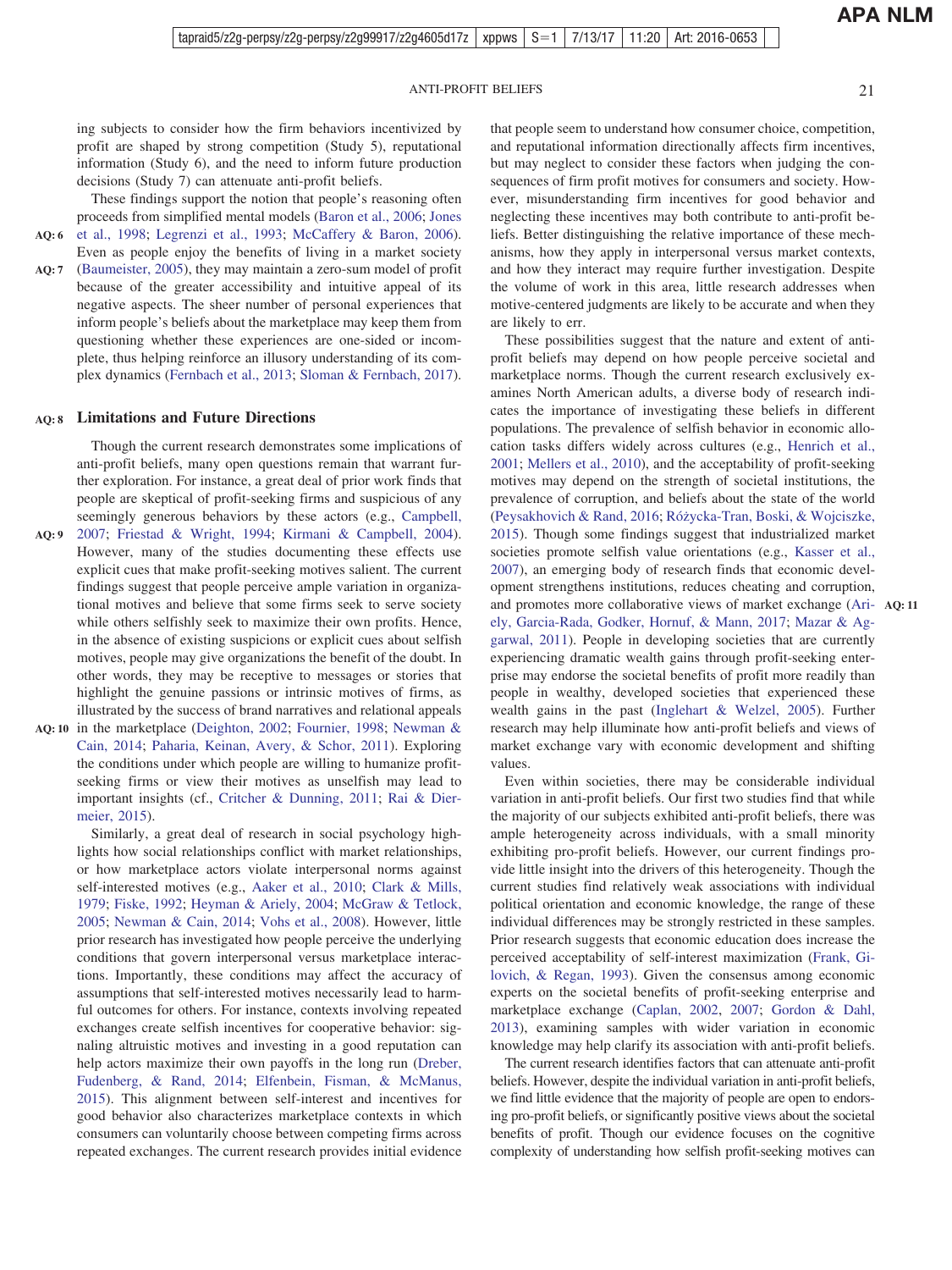**APA NLM**

ing subjects to consider how the firm behaviors incentivized by profit are shaped by strong competition (Study 5), reputational information (Study 6), and the need to inform future production decisions (Study 7) can attenuate anti-profit beliefs.

These findings support the notion that people's reasoning often proceeds from simplified mental models [\(Baron et al., 2006;](#page-21-0) [Jones](#page-22-0)

[et al., 1998;](#page-22-0) [Legrenzi et al., 1993;](#page-23-0) [McCaffery & Baron, 2006\)](#page-23-0). Even as people enjoy the benefits of living in a market society [\(Baumeister, 2005\)](#page-21-0), they may maintain a zero-sum model of profit because of the greater accessibility and intuitive appeal of its negative aspects. The sheer number of personal experiences that inform people's beliefs about the marketplace may keep them from questioning whether these experiences are one-sided or incomplete, thus helping reinforce an illusory understanding of its com-**AQ: 6 AQ: 7**

plex dynamics [\(Fernbach et al., 2013;](#page-22-0) [Sloman & Fernbach, 2017\)](#page-23-0).

#### **Limitations and Future Directions AQ: 8**

Though the current research demonstrates some implications of anti-profit beliefs, many open questions remain that warrant further exploration. For instance, a great deal of prior work finds that people are skeptical of profit-seeking firms and suspicious of any seemingly generous behaviors by these actors (e.g., [Campbell,](#page-21-0) [2007;](#page-21-0) [Friestad & Wright, 1994;](#page-22-0) [Kirmani & Campbell, 2004\)](#page-22-0). **AQ: 9** However, many of the studies documenting these effects use explicit cues that make profit-seeking motives salient. The current findings suggest that people perceive ample variation in organizational motives and believe that some firms seek to serve society while others selfishly seek to maximize their own profits. Hence, in the absence of existing suspicions or explicit cues about selfish motives, people may give organizations the benefit of the doubt. In other words, they may be receptive to messages or stories that highlight the genuine passions or intrinsic motives of firms, as illustrated by the success of brand narratives and relational appeals

AQ: 10 in the marketplace [\(Deighton, 2002;](#page-21-0) [Fournier, 1998;](#page-22-0) [Newman &](#page-23-0) [Cain, 2014;](#page-23-0) [Paharia, Keinan, Avery, & Schor, 2011\)](#page-23-0). Exploring the conditions under which people are willing to humanize profitseeking firms or view their motives as unselfish may lead to important insights (cf., [Critcher & Dunning, 2011;](#page-21-0) [Rai & Dier](#page-23-0)[meier, 2015\)](#page-23-0).  $\frac{1}{2}$  internal use of the personal user and is not to be disseminated by disseminated broadly.

Similarly, a great deal of research in social psychology highlights how social relationships conflict with market relationships, or how marketplace actors violate interpersonal norms against self-interested motives (e.g., [Aaker et al., 2010;](#page-21-0) [Clark & Mills,](#page-21-0) [1979;](#page-21-0) [Fiske, 1992;](#page-22-0) [Heyman & Ariely, 2004;](#page-22-0) [McGraw & Tetlock,](#page-23-0) [2005;](#page-23-0) [Newman & Cain, 2014;](#page-23-0) [Vohs et al., 2008\)](#page-23-0). However, little prior research has investigated how people perceive the underlying conditions that govern interpersonal versus marketplace interactions. Importantly, these conditions may affect the accuracy of assumptions that self-interested motives necessarily lead to harmful outcomes for others. For instance, contexts involving repeated exchanges create selfish incentives for cooperative behavior: signaling altruistic motives and investing in a good reputation can help actors maximize their own payoffs in the long run [\(Dreber,](#page-22-0) [Fudenberg, & Rand, 2014;](#page-22-0) [Elfenbein, Fisman, & McManus,](#page-22-0) [2015\)](#page-22-0). This alignment between self-interest and incentives for good behavior also characterizes marketplace contexts in which consumers can voluntarily choose between competing firms across repeated exchanges. The current research provides initial evidence

that people seem to understand how consumer choice, competition, and reputational information directionally affects firm incentives, but may neglect to consider these factors when judging the consequences of firm profit motives for consumers and society. However, misunderstanding firm incentives for good behavior and neglecting these incentives may both contribute to anti-profit beliefs. Better distinguishing the relative importance of these mechanisms, how they apply in interpersonal versus market contexts, and how they interact may require further investigation. Despite the volume of work in this area, little research addresses when motive-centered judgments are likely to be accurate and when they are likely to err.

These possibilities suggest that the nature and extent of antiprofit beliefs may depend on how people perceive societal and marketplace norms. Though the current research exclusively examines North American adults, a diverse body of research indicates the importance of investigating these beliefs in different populations. The prevalence of selfish behavior in economic allocation tasks differs widely across cultures (e.g., [Henrich et al.,](#page-22-0) [2001;](#page-22-0) [Mellers et al., 2010\)](#page-23-0), and the acceptability of profit-seeking motives may depend on the strength of societal institutions, the prevalence of corruption, and beliefs about the state of the world [\(Peysakhovich & Rand, 2016;](#page-23-0) [Róz˙ycka-Tran, Boski, & Wojciszke,](#page-23-0) [2015\)](#page-23-0). Though some findings suggest that industrialized market societies promote selfish value orientations (e.g., [Kasser et al.,](#page-22-0) [2007\)](#page-22-0), an emerging body of research finds that economic development strengthens institutions, reduces cheating and corruption, and promotes more collaborative views of market exchange [\(Ari-](#page-21-0)**AQ: 11** [ely, Garcia-Rada, Godker, Hornuf, & Mann, 2017;](#page-21-0) [Mazar & Ag](#page-23-0)[garwal, 2011\)](#page-23-0). People in developing societies that are currently experiencing dramatic wealth gains through profit-seeking enterprise may endorse the societal benefits of profit more readily than people in wealthy, developed societies that experienced these wealth gains in the past [\(Inglehart & Welzel, 2005\)](#page-22-0). Further research may help illuminate how anti-profit beliefs and views of market exchange vary with economic development and shifting values.

Even within societies, there may be considerable individual variation in anti-profit beliefs. Our first two studies find that while the majority of our subjects exhibited anti-profit beliefs, there was ample heterogeneity across individuals, with a small minority exhibiting pro-profit beliefs. However, our current findings provide little insight into the drivers of this heterogeneity. Though the current studies find relatively weak associations with individual political orientation and economic knowledge, the range of these individual differences may be strongly restricted in these samples. Prior research suggests that economic education does increase the perceived acceptability of self-interest maximization [\(Frank, Gi](#page-22-0)[lovich, & Regan, 1993\)](#page-22-0). Given the consensus among economic experts on the societal benefits of profit-seeking enterprise and marketplace exchange [\(Caplan, 2002,](#page-21-0) [2007;](#page-21-0) [Gordon & Dahl,](#page-22-0) [2013\)](#page-22-0), examining samples with wider variation in economic knowledge may help clarify its association with anti-profit beliefs.

The current research identifies factors that can attenuate anti-profit beliefs. However, despite the individual variation in anti-profit beliefs, we find little evidence that the majority of people are open to endorsing pro-profit beliefs, or significantly positive views about the societal benefits of profit. Though our evidence focuses on the cognitive complexity of understanding how selfish profit-seeking motives can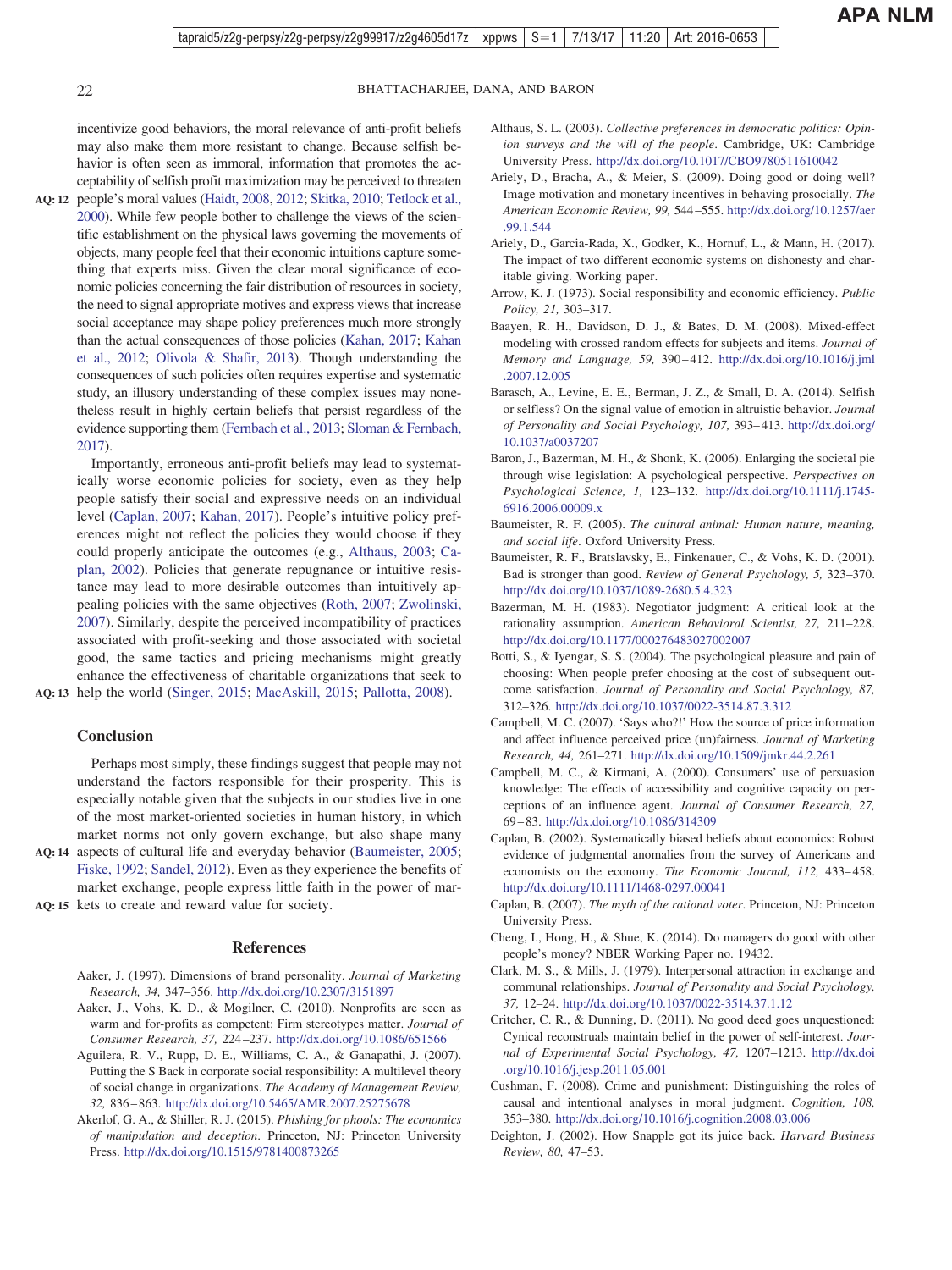<span id="page-21-0"></span>

incentivize good behaviors, the moral relevance of anti-profit beliefs may also make them more resistant to change. Because selfish behavior is often seen as immoral, information that promotes the acceptability of selfish profit maximization may be perceived to threaten

people's moral values [\(Haidt, 2008,](#page-22-0) [2012;](#page-22-0) [Skitka, 2010;](#page-23-0) [Tetlock et al.,](#page-23-0) **AQ: 12** [2000\)](#page-23-0). While few people bother to challenge the views of the scientific establishment on the physical laws governing the movements of objects, many people feel that their economic intuitions capture something that experts miss. Given the clear moral significance of economic policies concerning the fair distribution of resources in society, the need to signal appropriate motives and express views that increase social acceptance may shape policy preferences much more strongly than the actual consequences of those policies [\(Kahan, 2017;](#page-22-0) [Kahan](#page-22-0) [et al., 2012;](#page-22-0) [Olivola & Shafir, 2013\)](#page-23-0). Though understanding the consequences of such policies often requires expertise and systematic study, an illusory understanding of these complex issues may nonetheless result in highly certain beliefs that persist regardless of the evidence supporting them [\(Fernbach et al., 2013;](#page-22-0) [Sloman & Fernbach,](#page-23-0) [2017\)](#page-23-0).

Importantly, erroneous anti-profit beliefs may lead to systematically worse economic policies for society, even as they help people satisfy their social and expressive needs on an individual level (Caplan, 2007; [Kahan, 2017\)](#page-22-0). People's intuitive policy preferences might not reflect the policies they would choose if they could properly anticipate the outcomes (e.g., Althaus, 2003; Caplan, 2002). Policies that generate repugnance or intuitive resistance may lead to more desirable outcomes than intuitively appealing policies with the same objectives [\(Roth, 2007;](#page-23-0) [Zwolinski,](#page-24-0) [2007\)](#page-24-0). Similarly, despite the perceived incompatibility of practices associated with profit-seeking and those associated with societal good, the same tactics and pricing mechanisms might greatly enhance the effectiveness of charitable organizations that seek to

### help the world [\(Singer, 2015;](#page-23-0) [MacAskill, 2015;](#page-23-0) [Pallotta, 2008\)](#page-23-0). **AQ: 13**

#### **Conclusion**

Perhaps most simply, these findings suggest that people may not understand the factors responsible for their prosperity. This is especially notable given that the subjects in our studies live in one of the most market-oriented societies in human history, in which market norms not only govern exchange, but also shape many

AQ: 14 aspects of cultural life and everyday behavior (Baumeister, 2005; [Fiske, 1992;](#page-22-0) [Sandel, 2012\)](#page-23-0). Even as they experience the benefits of market exchange, people express little faith in the power of mar-AQ: 15 kets to create and reward value for society.  $\frac{1}{2}$ 

#### **References**

- Aaker, J. (1997). Dimensions of brand personality. *Journal of Marketing Research, 34,* 347–356. <http://dx.doi.org/10.2307/3151897>
- Aaker, J., Vohs, K. D., & Mogilner, C. (2010). Nonprofits are seen as warm and for-profits as competent: Firm stereotypes matter. *Journal of Consumer Research, 37,* 224–237. <http://dx.doi.org/10.1086/651566>
- Aguilera, R. V., Rupp, D. E., Williams, C. A., & Ganapathi, J. (2007). Putting the S Back in corporate social responsibility: A multilevel theory of social change in organizations. *The Academy of Management Review, 32,* 836–863. <http://dx.doi.org/10.5465/AMR.2007.25275678>
- Akerlof, G. A., & Shiller, R. J. (2015). *Phishing for phools: The economics of manipulation and deception*. Princeton, NJ: Princeton University Press. <http://dx.doi.org/10.1515/9781400873265>
- Althaus, S. L. (2003). *Collective preferences in democratic politics: Opinion surveys and the will of the people*. Cambridge, UK: Cambridge University Press. <http://dx.doi.org/10.1017/CBO9780511610042>
- Ariely, D., Bracha, A., & Meier, S. (2009). Doing good or doing well? Image motivation and monetary incentives in behaving prosocially. *The American Economic Review, 99,* 544–555. [http://dx.doi.org/10.1257/aer](http://dx.doi.org/10.1257/aer.99.1.544) [.99.1.544](http://dx.doi.org/10.1257/aer.99.1.544)
- Ariely, D., Garcia-Rada, X., Godker, K., Hornuf, L., & Mann, H. (2017). The impact of two different economic systems on dishonesty and charitable giving. Working paper.
- Arrow, K. J. (1973). Social responsibility and economic efficiency. *Public Policy, 21,* 303–317.
- Baayen, R. H., Davidson, D. J., & Bates, D. M. (2008). Mixed-effect modeling with crossed random effects for subjects and items. *Journal of Memory and Language, 59,* 390–412. [http://dx.doi.org/10.1016/j.jml](http://dx.doi.org/10.1016/j.jml.2007.12.005) [.2007.12.005](http://dx.doi.org/10.1016/j.jml.2007.12.005)
- Barasch, A., Levine, E. E., Berman, J. Z., & Small, D. A. (2014). Selfish or selfless? On the signal value of emotion in altruistic behavior. *Journal of Personality and Social Psychology, 107,* 393–413. [http://dx.doi.org/](http://dx.doi.org/10.1037/a0037207) [10.1037/a0037207](http://dx.doi.org/10.1037/a0037207)
- Baron, J., Bazerman, M. H., & Shonk, K. (2006). Enlarging the societal pie through wise legislation: A psychological perspective. *Perspectives on Psychological Science, 1,* 123–132. [http://dx.doi.org/10.1111/j.1745-](http://dx.doi.org/10.1111/j.1745-6916.2006.00009.x) [6916.2006.00009.x](http://dx.doi.org/10.1111/j.1745-6916.2006.00009.x)
- Baumeister, R. F. (2005). *The cultural animal: Human nature, meaning, and social life*. Oxford University Press.
- Baumeister, R. F., Bratslavsky, E., Finkenauer, C., & Vohs, K. D. (2001). Bad is stronger than good. *Review of General Psychology, 5,* 323–370. <http://dx.doi.org/10.1037/1089-2680.5.4.323>
- Bazerman, M. H. (1983). Negotiator judgment: A critical look at the rationality assumption. *American Behavioral Scientist, 27,* 211–228. <http://dx.doi.org/10.1177/000276483027002007>
- Botti, S., & Iyengar, S. S. (2004). The psychological pleasure and pain of choosing: When people prefer choosing at the cost of subsequent outcome satisfaction. *Journal of Personality and Social Psychology, 87,* 312–326. <http://dx.doi.org/10.1037/0022-3514.87.3.312>
- Campbell, M. C. (2007). 'Says who?!' How the source of price information and affect influence perceived price (un)fairness. *Journal of Marketing Research, 44,* 261–271. <http://dx.doi.org/10.1509/jmkr.44.2.261>
- Campbell, M. C., & Kirmani, A. (2000). Consumers' use of persuasion knowledge: The effects of accessibility and cognitive capacity on perceptions of an influence agent. *Journal of Consumer Research, 27,* 69–83. <http://dx.doi.org/10.1086/314309>
- Caplan, B. (2002). Systematically biased beliefs about economics: Robust evidence of judgmental anomalies from the survey of Americans and economists on the economy. *The Economic Journal, 112,* 433–458. <http://dx.doi.org/10.1111/1468-0297.00041>
- Caplan, B. (2007). *The myth of the rational voter*. Princeton, NJ: Princeton University Press.
- Cheng, I., Hong, H., & Shue, K. (2014). Do managers do good with other people's money? NBER Working Paper no. 19432.
- Clark, M. S., & Mills, J. (1979). Interpersonal attraction in exchange and communal relationships. *Journal of Personality and Social Psychology, 37,* 12–24. <http://dx.doi.org/10.1037/0022-3514.37.1.12>
- Critcher, C. R., & Dunning, D. (2011). No good deed goes unquestioned: Cynical reconstruals maintain belief in the power of self-interest. *Journal of Experimental Social Psychology, 47,* 1207–1213. [http://dx.doi](http://dx.doi.org/10.1016/j.jesp.2011.05.001) [.org/10.1016/j.jesp.2011.05.001](http://dx.doi.org/10.1016/j.jesp.2011.05.001)
- Cushman, F. (2008). Crime and punishment: Distinguishing the roles of causal and intentional analyses in moral judgment. *Cognition, 108,* 353–380. <http://dx.doi.org/10.1016/j.cognition.2008.03.006>
- Deighton, J. (2002). How Snapple got its juice back. *Harvard Business Review, 80,* 47–53.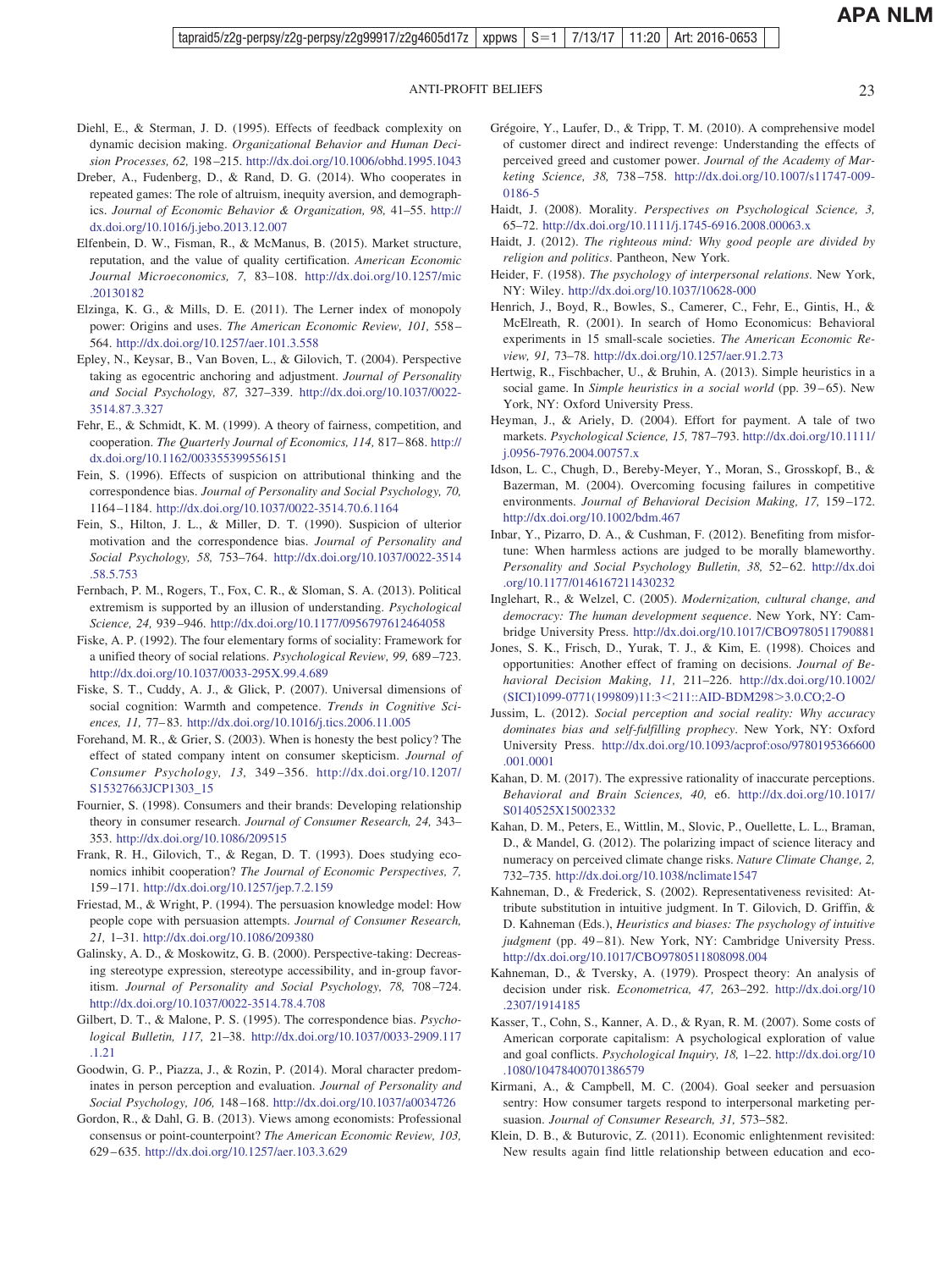- <span id="page-22-0"></span>Diehl, E., & Sterman, J. D. (1995). Effects of feedback complexity on dynamic decision making. *Organizational Behavior and Human Decision Processes, 62,* 198–215. <http://dx.doi.org/10.1006/obhd.1995.1043>
- Dreber, A., Fudenberg, D., & Rand, D. G. (2014). Who cooperates in repeated games: The role of altruism, inequity aversion, and demographics. *Journal of Economic Behavior & Organization, 98,* 41–55. [http://](http://dx.doi.org/10.1016/j.jebo.2013.12.007) [dx.doi.org/10.1016/j.jebo.2013.12.007](http://dx.doi.org/10.1016/j.jebo.2013.12.007)
- Elfenbein, D. W., Fisman, R., & McManus, B. (2015). Market structure, reputation, and the value of quality certification. *American Economic Journal Microeconomics, 7,* 83–108. [http://dx.doi.org/10.1257/mic](http://dx.doi.org/10.1257/mic.20130182) [.20130182](http://dx.doi.org/10.1257/mic.20130182)
- Elzinga, K. G., & Mills, D. E. (2011). The Lerner index of monopoly power: Origins and uses. *The American Economic Review, 101,* 558– 564. <http://dx.doi.org/10.1257/aer.101.3.558>
- Epley, N., Keysar, B., Van Boven, L., & Gilovich, T. (2004). Perspective taking as egocentric anchoring and adjustment. *Journal of Personality and Social Psychology, 87,* 327–339. [http://dx.doi.org/10.1037/0022-](http://dx.doi.org/10.1037/0022-3514.87.3.327) [3514.87.3.327](http://dx.doi.org/10.1037/0022-3514.87.3.327)
- Fehr, E., & Schmidt, K. M. (1999). A theory of fairness, competition, and cooperation. *The Quarterly Journal of Economics, 114,* 817–868. [http://](http://dx.doi.org/10.1162/003355399556151) [dx.doi.org/10.1162/003355399556151](http://dx.doi.org/10.1162/003355399556151)
- Fein, S. (1996). Effects of suspicion on attributional thinking and the correspondence bias. *Journal of Personality and Social Psychology, 70,* 1164–1184. <http://dx.doi.org/10.1037/0022-3514.70.6.1164>
- Fein, S., Hilton, J. L., & Miller, D. T. (1990). Suspicion of ulterior motivation and the correspondence bias. *Journal of Personality and Social Psychology, 58,* 753–764. [http://dx.doi.org/10.1037/0022-3514](http://dx.doi.org/10.1037/0022-3514.58.5.753) [.58.5.753](http://dx.doi.org/10.1037/0022-3514.58.5.753)
- Fernbach, P. M., Rogers, T., Fox, C. R., & Sloman, S. A. (2013). Political extremism is supported by an illusion of understanding. *Psychological Science, 24,* 939–946. <http://dx.doi.org/10.1177/0956797612464058>
- Fiske, A. P. (1992). The four elementary forms of sociality: Framework for a unified theory of social relations. *Psychological Review, 99,* 689–723. <http://dx.doi.org/10.1037/0033-295X.99.4.689>
- Fiske, S. T., Cuddy, A. J., & Glick, P. (2007). Universal dimensions of social cognition: Warmth and competence. *Trends in Cognitive Sciences, 11,* 77–83. <http://dx.doi.org/10.1016/j.tics.2006.11.005>
- Forehand, M. R., & Grier, S. (2003). When is honesty the best policy? The effect of stated company intent on consumer skepticism. *Journal of Consumer Psychology, 13,* 349–356. [http://dx.doi.org/10.1207/](http://dx.doi.org/10.1207/S15327663JCP1303_15) [S15327663JCP1303\\_15](http://dx.doi.org/10.1207/S15327663JCP1303_15)
- Fournier, S. (1998). Consumers and their brands: Developing relationship theory in consumer research. *Journal of Consumer Research, 24,* 343– 353. <http://dx.doi.org/10.1086/209515>
- Frank, R. H., Gilovich, T., & Regan, D. T. (1993). Does studying economics inhibit cooperation? *The Journal of Economic Perspectives, 7,* 159–171. <http://dx.doi.org/10.1257/jep.7.2.159>
- Friestad, M., & Wright, P. (1994). The persuasion knowledge model: How people cope with persuasion attempts. *Journal of Consumer Research, 21,* 1–31. <http://dx.doi.org/10.1086/209380>
- Galinsky, A. D., & Moskowitz, G. B. (2000). Perspective-taking: Decreasing stereotype expression, stereotype accessibility, and in-group favoritism. *Journal of Personality and Social Psychology, 78,* 708–724. <http://dx.doi.org/10.1037/0022-3514.78.4.708>
- Gilbert, D. T., & Malone, P. S. (1995). The correspondence bias. *Psychological Bulletin, 117,* 21–38. [http://dx.doi.org/10.1037/0033-2909.117](http://dx.doi.org/10.1037/0033-2909.117.1.21) [.1.21](http://dx.doi.org/10.1037/0033-2909.117.1.21)
- Goodwin, G. P., Piazza, J., & Rozin, P. (2014). Moral character predominates in person perception and evaluation. *Journal of Personality and Social Psychology, 106,* 148–168. <http://dx.doi.org/10.1037/a0034726>
- Gordon, R., & Dahl, G. B. (2013). Views among economists: Professional consensus or point-counterpoint? *The American Economic Review, 103,* 629–635. <http://dx.doi.org/10.1257/aer.103.3.629>
- Grégoire, Y., Laufer, D., & Tripp, T. M. (2010). A comprehensive model of customer direct and indirect revenge: Understanding the effects of perceived greed and customer power. *Journal of the Academy of Marketing Science, 38,* 738–758. [http://dx.doi.org/10.1007/s11747-009-](http://dx.doi.org/10.1007/s11747-009-0186-5) [0186-5](http://dx.doi.org/10.1007/s11747-009-0186-5)
- Haidt, J. (2008). Morality. *Perspectives on Psychological Science, 3,* 65–72. <http://dx.doi.org/10.1111/j.1745-6916.2008.00063.x>
- Haidt, J. (2012). *The righteous mind: Why good people are divided by religion and politics*. Pantheon, New York.
- Heider, F. (1958). *The psychology of interpersonal relations*. New York, NY: Wiley. <http://dx.doi.org/10.1037/10628-000>
- Henrich, J., Boyd, R., Bowles, S., Camerer, C., Fehr, E., Gintis, H., & McElreath, R. (2001). In search of Homo Economicus: Behavioral experiments in 15 small-scale societies. *The American Economic Review, 91,* 73–78. <http://dx.doi.org/10.1257/aer.91.2.73>
- Hertwig, R., Fischbacher, U., & Bruhin, A. (2013). Simple heuristics in a social game. In *Simple heuristics in a social world* (pp. 39–65). New York, NY: Oxford University Press.
- Heyman, J., & Ariely, D. (2004). Effort for payment. A tale of two markets. *Psychological Science, 15,* 787–793. [http://dx.doi.org/10.1111/](http://dx.doi.org/10.1111/j.0956-7976.2004.00757.x) [j.0956-7976.2004.00757.x](http://dx.doi.org/10.1111/j.0956-7976.2004.00757.x)
- Idson, L. C., Chugh, D., Bereby-Meyer, Y., Moran, S., Grosskopf, B., & Bazerman, M. (2004). Overcoming focusing failures in competitive environments. *Journal of Behavioral Decision Making, 17,* 159–172. <http://dx.doi.org/10.1002/bdm.467>
- Inbar, Y., Pizarro, D. A., & Cushman, F. (2012). Benefiting from misfortune: When harmless actions are judged to be morally blameworthy. *Personality and Social Psychology Bulletin, 38,* 52–62. [http://dx.doi](http://dx.doi.org/10.1177/0146167211430232) [.org/10.1177/0146167211430232](http://dx.doi.org/10.1177/0146167211430232)
- Inglehart, R., & Welzel, C. (2005). *Modernization, cultural change, and democracy: The human development sequence*. New York, NY: Cambridge University Press. <http://dx.doi.org/10.1017/CBO9780511790881>
- Jones, S. K., Frisch, D., Yurak, T. J., & Kim, E. (1998). Choices and opportunities: Another effect of framing on decisions. *Journal of Behavioral Decision Making, 11,* 211–226. [http://dx.doi.org/10.1002/](http://dx.doi.org/10.1002/%28SICI%291099-0771%28199809%2911:3%3C211::AID-BDM298%3E3.0.CO;2-O) [\(SICI\)1099-0771\(199809\)11:3](http://dx.doi.org/10.1002/%28SICI%291099-0771%28199809%2911:3%3C211::AID-BDM298%3E3.0.CO;2-O)<211::AID-BDM298>3.0.CO;2-O
- Jussim, L. (2012). *Social perception and social reality: Why accuracy dominates bias and self-fulfilling prophecy*. New York, NY: Oxford University Press. [http://dx.doi.org/10.1093/acprof:oso/9780195366600](http://dx.doi.org/10.1093/acprof:oso/9780195366600.001.0001) [.001.0001](http://dx.doi.org/10.1093/acprof:oso/9780195366600.001.0001)
- Kahan, D. M. (2017). The expressive rationality of inaccurate perceptions. *Behavioral and Brain Sciences, 40,* e6. [http://dx.doi.org/10.1017/](http://dx.doi.org/10.1017/S0140525X15002332) [S0140525X15002332](http://dx.doi.org/10.1017/S0140525X15002332)
- Kahan, D. M., Peters, E., Wittlin, M., Slovic, P., Ouellette, L. L., Braman, D., & Mandel, G. (2012). The polarizing impact of science literacy and numeracy on perceived climate change risks. *Nature Climate Change, 2,* 732–735. <http://dx.doi.org/10.1038/nclimate1547>
- Kahneman, D., & Frederick, S. (2002). Representativeness revisited: Attribute substitution in intuitive judgment. In T. Gilovich, D. Griffin, & D. Kahneman (Eds.), *Heuristics and biases: The psychology of intuitive judgment* (pp. 49–81). New York, NY: Cambridge University Press. <http://dx.doi.org/10.1017/CBO9780511808098.004>
- Kahneman, D., & Tversky, A. (1979). Prospect theory: An analysis of decision under risk. *Econometrica, 47,* 263–292. [http://dx.doi.org/10](http://dx.doi.org/10.2307/1914185) [.2307/1914185](http://dx.doi.org/10.2307/1914185)
- Kasser, T., Cohn, S., Kanner, A. D., & Ryan, R. M. (2007). Some costs of American corporate capitalism: A psychological exploration of value and goal conflicts. *Psychological Inquiry, 18,* 1–22. [http://dx.doi.org/10](http://dx.doi.org/10.1080/10478400701386579) [.1080/10478400701386579](http://dx.doi.org/10.1080/10478400701386579)
- Kirmani, A., & Campbell, M. C. (2004). Goal seeker and persuasion sentry: How consumer targets respond to interpersonal marketing persuasion. *Journal of Consumer Research, 31,* 573–582.
- Klein, D. B., & Buturovic, Z. (2011). Economic enlightenment revisited: New results again find little relationship between education and eco-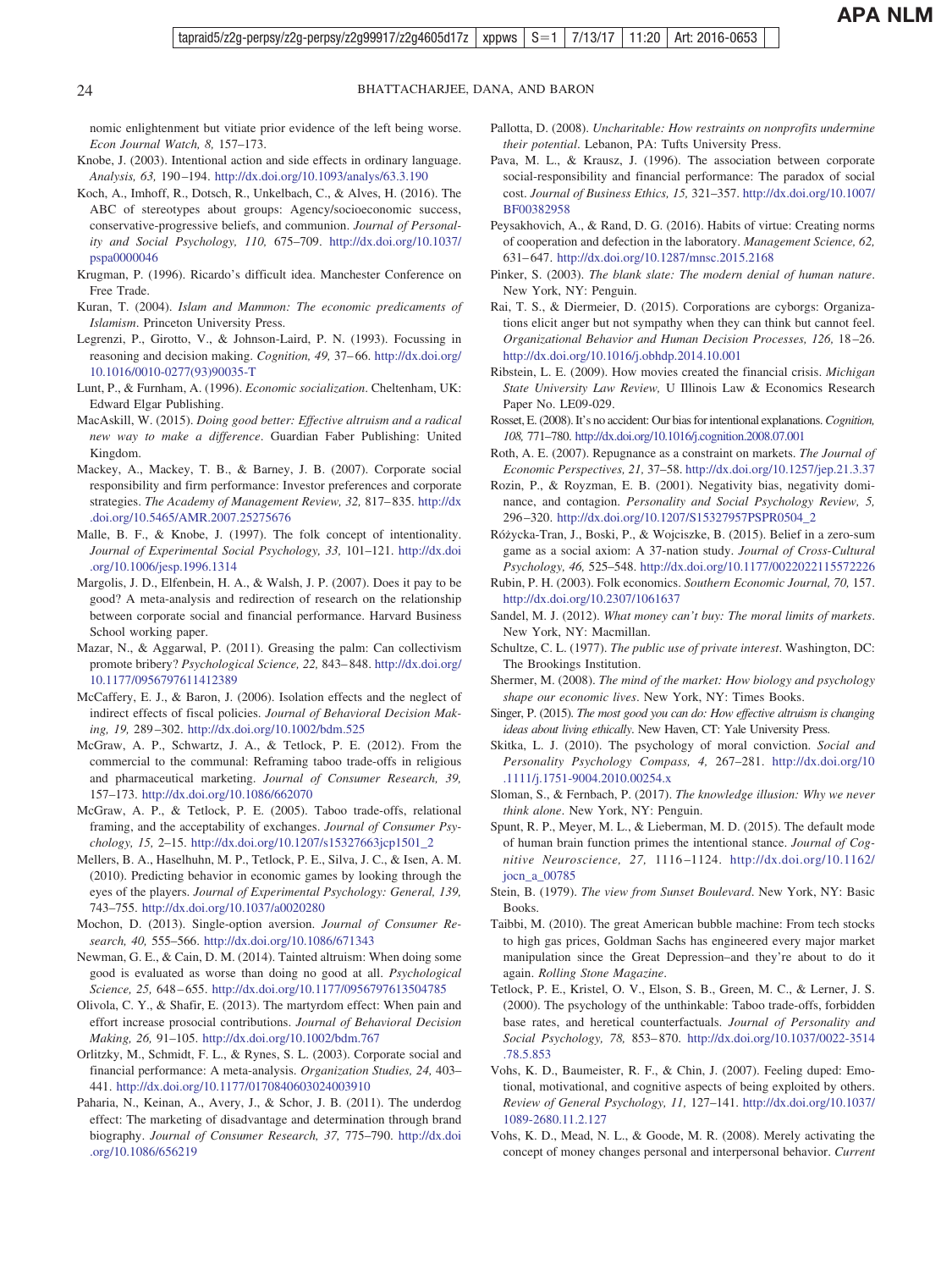<span id="page-23-0"></span>nomic enlightenment but vitiate prior evidence of the left being worse. *Econ Journal Watch, 8,* 157–173.

- Knobe, J. (2003). Intentional action and side effects in ordinary language. *Analysis, 63,* 190–194. <http://dx.doi.org/10.1093/analys/63.3.190>
- Koch, A., Imhoff, R., Dotsch, R., Unkelbach, C., & Alves, H. (2016). The ABC of stereotypes about groups: Agency/socioeconomic success, conservative-progressive beliefs, and communion. *Journal of Personality and Social Psychology, 110,* 675–709. [http://dx.doi.org/10.1037/](http://dx.doi.org/10.1037/pspa0000046) [pspa0000046](http://dx.doi.org/10.1037/pspa0000046)
- Krugman, P. (1996). Ricardo's difficult idea. Manchester Conference on Free Trade.
- Kuran, T. (2004). *Islam and Mammon: The economic predicaments of Islamism*. Princeton University Press.
- Legrenzi, P., Girotto, V., & Johnson-Laird, P. N. (1993). Focussing in reasoning and decision making. *Cognition, 49,* 37–66. [http://dx.doi.org/](http://dx.doi.org/10.1016/0010-0277%2893%2990035-T) [10.1016/0010-0277\(93\)90035-T](http://dx.doi.org/10.1016/0010-0277%2893%2990035-T)
- Lunt, P., & Furnham, A. (1996). *Economic socialization*. Cheltenham, UK: Edward Elgar Publishing.
- MacAskill, W. (2015). *Doing good better: Effective altruism and a radical new way to make a difference*. Guardian Faber Publishing: United Kingdom.
- Mackey, A., Mackey, T. B., & Barney, J. B. (2007). Corporate social responsibility and firm performance: Investor preferences and corporate strategies. *The Academy of Management Review, 32,* 817–835. [http://dx](http://dx.doi.org/10.5465/AMR.2007.25275676) [.doi.org/10.5465/AMR.2007.25275676](http://dx.doi.org/10.5465/AMR.2007.25275676)
- Malle, B. F., & Knobe, J. (1997). The folk concept of intentionality. *Journal of Experimental Social Psychology, 33,* 101–121. [http://dx.doi](http://dx.doi.org/10.1006/jesp.1996.1314) [.org/10.1006/jesp.1996.1314](http://dx.doi.org/10.1006/jesp.1996.1314)
- Margolis, J. D., Elfenbein, H. A., & Walsh, J. P. (2007). Does it pay to be good? A meta-analysis and redirection of research on the relationship between corporate social and financial performance. Harvard Business School working paper.
- Mazar, N., & Aggarwal, P. (2011). Greasing the palm: Can collectivism promote bribery? *Psychological Science, 22,* 843–848. [http://dx.doi.org/](http://dx.doi.org/10.1177/0956797611412389) [10.1177/0956797611412389](http://dx.doi.org/10.1177/0956797611412389)
- McCaffery, E. J., & Baron, J. (2006). Isolation effects and the neglect of indirect effects of fiscal policies. *Journal of Behavioral Decision Making, 19,* 289–302. <http://dx.doi.org/10.1002/bdm.525>
- McGraw, A. P., Schwartz, J. A., & Tetlock, P. E. (2012). From the commercial to the communal: Reframing taboo trade-offs in religious and pharmaceutical marketing. *Journal of Consumer Research, 39,* 157–173. <http://dx.doi.org/10.1086/662070>
- McGraw, A. P., & Tetlock, P. E. (2005). Taboo trade-offs, relational framing, and the acceptability of exchanges. *Journal of Consumer Psychology, 15,* 2–15. [http://dx.doi.org/10.1207/s15327663jcp1501\\_2](http://dx.doi.org/10.1207/s15327663jcp1501_2)
- Mellers, B. A., Haselhuhn, M. P., Tetlock, P. E., Silva, J. C., & Isen, A. M. (2010). Predicting behavior in economic games by looking through the eyes of the players. *Journal of Experimental Psychology: General, 139,* 743–755. <http://dx.doi.org/10.1037/a0020280>
- Mochon, D. (2013). Single-option aversion. *Journal of Consumer Research, 40,* 555–566. <http://dx.doi.org/10.1086/671343>
- Newman, G. E., & Cain, D. M. (2014). Tainted altruism: When doing some good is evaluated as worse than doing no good at all. *Psychological Science, 25,* 648–655. <http://dx.doi.org/10.1177/0956797613504785>
- Olivola, C. Y., & Shafir, E. (2013). The martyrdom effect: When pain and effort increase prosocial contributions. *Journal of Behavioral Decision Making, 26,* 91–105. <http://dx.doi.org/10.1002/bdm.767>
- Orlitzky, M., Schmidt, F. L., & Rynes, S. L. (2003). Corporate social and financial performance: A meta-analysis. *Organization Studies, 24,* 403– 441. <http://dx.doi.org/10.1177/0170840603024003910>
- Paharia, N., Keinan, A., Avery, J., & Schor, J. B. (2011). The underdog effect: The marketing of disadvantage and determination through brand biography. *Journal of Consumer Research, 37,* 775–790. [http://dx.doi](http://dx.doi.org/10.1086/656219) [.org/10.1086/656219](http://dx.doi.org/10.1086/656219)
- Pallotta, D. (2008). *Uncharitable: How restraints on nonprofits undermine their potential*. Lebanon, PA: Tufts University Press.
- Pava, M. L., & Krausz, J. (1996). The association between corporate social-responsibility and financial performance: The paradox of social cost. *Journal of Business Ethics, 15,* 321–357. [http://dx.doi.org/10.1007/](http://dx.doi.org/10.1007/BF00382958) [BF00382958](http://dx.doi.org/10.1007/BF00382958)
- Peysakhovich, A., & Rand, D. G. (2016). Habits of virtue: Creating norms of cooperation and defection in the laboratory. *Management Science, 62,* 631–647. <http://dx.doi.org/10.1287/mnsc.2015.2168>
- Pinker, S. (2003). *The blank slate: The modern denial of human nature*. New York, NY: Penguin.
- Rai, T. S., & Diermeier, D. (2015). Corporations are cyborgs: Organizations elicit anger but not sympathy when they can think but cannot feel. *Organizational Behavior and Human Decision Processes, 126,* 18–26. <http://dx.doi.org/10.1016/j.obhdp.2014.10.001>
- Ribstein, L. E. (2009). How movies created the financial crisis. *Michigan State University Law Review,* U Illinois Law & Economics Research Paper No. LE09-029.
- Rosset, E. (2008). It's no accident: Our bias for intentional explanations.*Cognition, 108,* 771–780. <http://dx.doi.org/10.1016/j.cognition.2008.07.001>
- Roth, A. E. (2007). Repugnance as a constraint on markets. *The Journal of Economic Perspectives, 21,* 37–58. <http://dx.doi.org/10.1257/jep.21.3.37>
- Rozin, P., & Royzman, E. B. (2001). Negativity bias, negativity dominance, and contagion. *Personality and Social Psychology Review, 5,* 296–320. [http://dx.doi.org/10.1207/S15327957PSPR0504\\_2](http://dx.doi.org/10.1207/S15327957PSPR0504_2)
- Róz˙ycka-Tran, J., Boski, P., & Wojciszke, B. (2015). Belief in a zero-sum game as a social axiom: A 37-nation study. *Journal of Cross-Cultural Psychology, 46,* 525–548. <http://dx.doi.org/10.1177/0022022115572226>
- Rubin, P. H. (2003). Folk economics. *Southern Economic Journal, 70,* 157. <http://dx.doi.org/10.2307/1061637>
- Sandel, M. J. (2012). *What money can't buy: The moral limits of markets*. New York, NY: Macmillan.
- Schultze, C. L. (1977). *The public use of private interest*. Washington, DC: The Brookings Institution.
- Shermer, M. (2008). *The mind of the market: How biology and psychology shape our economic lives*. New York, NY: Times Books.
- Singer, P. (2015). *The most good you can do: How effective altruism is changing ideas about living ethically*. New Haven, CT: Yale University Press.
- Skitka, L. J. (2010). The psychology of moral conviction. *Social and Personality Psychology Compass, 4,* 267–281. [http://dx.doi.org/10](http://dx.doi.org/10.1111/j.1751-9004.2010.00254.x) [.1111/j.1751-9004.2010.00254.x](http://dx.doi.org/10.1111/j.1751-9004.2010.00254.x)
- Sloman, S., & Fernbach, P. (2017). *The knowledge illusion: Why we never think alone*. New York, NY: Penguin.
- Spunt, R. P., Meyer, M. L., & Lieberman, M. D. (2015). The default mode of human brain function primes the intentional stance. *Journal of Cognitive Neuroscience, 27,* 1116–1124. [http://dx.doi.org/10.1162/](http://dx.doi.org/10.1162/jocn_a_00785) [jocn\\_a\\_00785](http://dx.doi.org/10.1162/jocn_a_00785)
- Stein, B. (1979). *The view from Sunset Boulevard*. New York, NY: Basic Books.
- Taibbi, M. (2010). The great American bubble machine: From tech stocks to high gas prices, Goldman Sachs has engineered every major market manipulation since the Great Depression–and they're about to do it again. *Rolling Stone Magazine*.
- Tetlock, P. E., Kristel, O. V., Elson, S. B., Green, M. C., & Lerner, J. S. (2000). The psychology of the unthinkable: Taboo trade-offs, forbidden base rates, and heretical counterfactuals. *Journal of Personality and Social Psychology, 78,* 853–870. [http://dx.doi.org/10.1037/0022-3514](http://dx.doi.org/10.1037/0022-3514.78.5.853) [.78.5.853](http://dx.doi.org/10.1037/0022-3514.78.5.853)
- Vohs, K. D., Baumeister, R. F., & Chin, J. (2007). Feeling duped: Emotional, motivational, and cognitive aspects of being exploited by others. *Review of General Psychology, 11,* 127–141. [http://dx.doi.org/10.1037/](http://dx.doi.org/10.1037/1089-2680.11.2.127) [1089-2680.11.2.127](http://dx.doi.org/10.1037/1089-2680.11.2.127)
- Vohs, K. D., Mead, N. L., & Goode, M. R. (2008). Merely activating the concept of money changes personal and interpersonal behavior. *Current*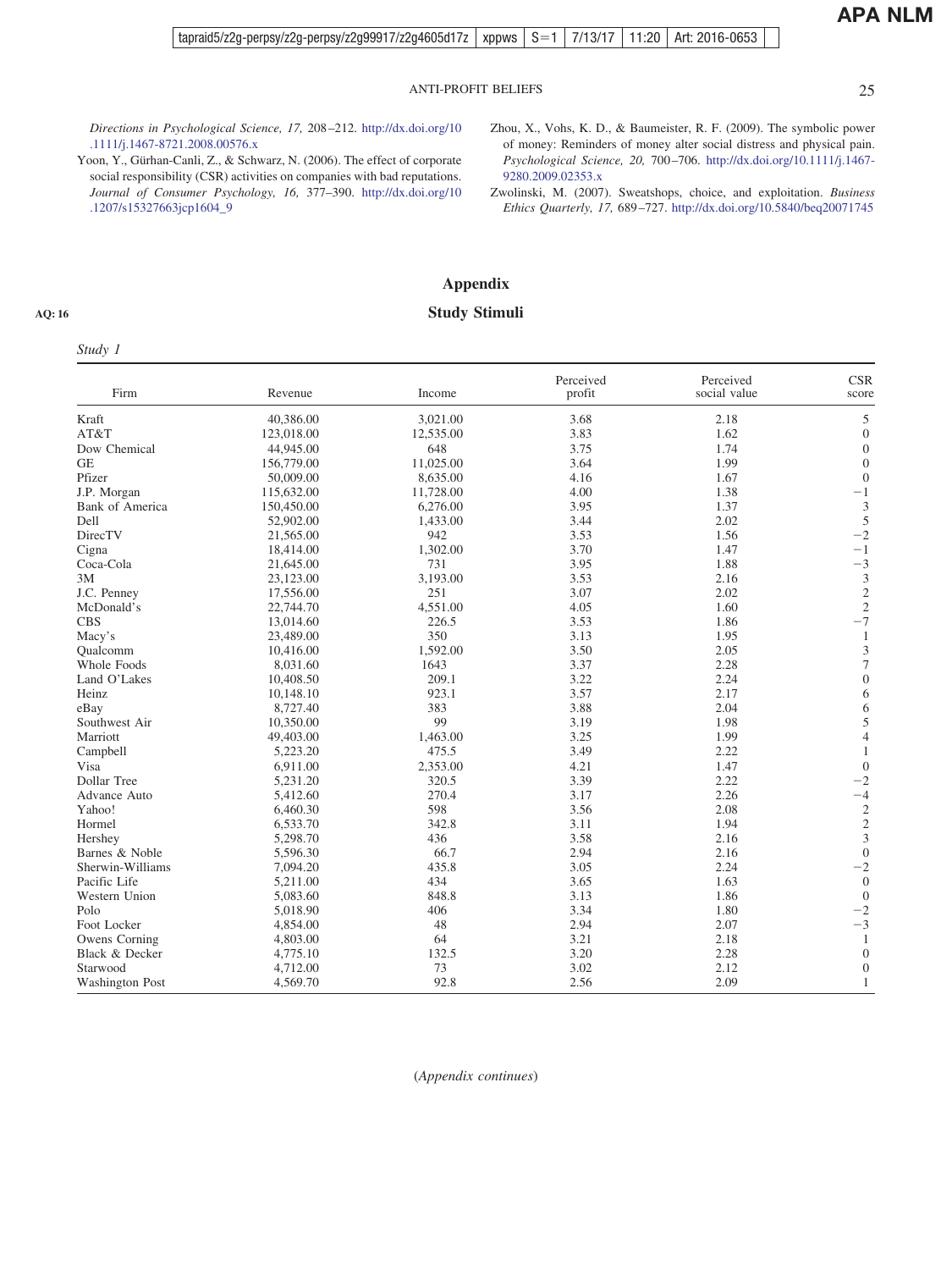<span id="page-24-0"></span>*Directions in Psychological Science, 17,* 208–212. [http://dx.doi.org/10](http://dx.doi.org/10.1111/j.1467-8721.2008.00576.x) [.1111/j.1467-8721.2008.00576.x](http://dx.doi.org/10.1111/j.1467-8721.2008.00576.x)

- Yoon, Y., Gürhan-Canli, Z., & Schwarz, N. (2006). The effect of corporate social responsibility (CSR) activities on companies with bad reputations. *Journal of Consumer Psychology, 16,* 377–390. [http://dx.doi.org/10](http://dx.doi.org/10.1207/s15327663jcp1604_9) [.1207/s15327663jcp1604\\_9](http://dx.doi.org/10.1207/s15327663jcp1604_9)
- Zhou, X., Vohs, K. D., & Baumeister, R. F. (2009). The symbolic power of money: Reminders of money alter social distress and physical pain. *Psychological Science, 20,* 700–706. [http://dx.doi.org/10.1111/j.1467-](http://dx.doi.org/10.1111/j.1467-9280.2009.02353.x) [9280.2009.02353.x](http://dx.doi.org/10.1111/j.1467-9280.2009.02353.x)
- Zwolinski, M. (2007). Sweatshops, choice, and exploitation. *Business Ethics Quarterly, 17,* 689–727. <http://dx.doi.org/10.5840/beq20071745>

## **Appendix Study Stimuli**

#### **AQ: 16**

### *Study 1*

| Perceived<br>Perceived<br>Firm<br>Revenue<br>Income<br>social value<br>profit<br>Kraft<br>40,386.00<br>3.68<br>3,021.00<br>2.18<br>3.83<br>AT&T<br>123,018.00<br>12,535.00<br>1.62<br>3.75<br>Dow Chemical<br>44,945.00<br>648<br>1.74<br>3.64<br>1.99<br><b>GE</b><br>156,779.00<br>11,025.00<br>Pfizer<br>50,009.00<br>8,635.00<br>4.16<br>1.67<br>4.00<br>J.P. Morgan<br>115,632.00<br>11,728.00<br>1.38<br>3.95<br>1.37<br>Bank of America<br>150,450.00<br>6,276.00<br>3.44<br>2.02<br>Dell<br>52,902.00<br>1,433.00<br>DirecTV<br>942<br>3.53<br>1.56<br>21,565.00<br>1,302.00<br>3.70<br>1.47<br>Cigna<br>18,414.00<br>731<br>3.95<br>1.88<br>Coca-Cola<br>21,645.00<br>3.53<br>2.16<br>23,123.00<br>3,193.00<br>3M<br>3.07<br>2.02<br>J.C. Penney<br>251<br>17,556.00<br>4,551.00<br>4.05<br>1.60<br>McDonald's<br>22,744.70<br>3.53<br><b>CBS</b><br>13,014.60<br>226.5<br>1.86<br>350<br>3.13<br>1.95<br>Macy's<br>23,489.00<br>3.50<br>2.05<br>1,592.00<br>Oualcomm<br>10,416.00<br>1643<br>3.37<br>2.28<br>Whole Foods<br>8.031.60<br>209.1<br>3.22<br>2.24<br>Land O'Lakes<br>10,408.50<br>923.1<br>3.57<br>10,148.10<br>2.17<br>Heinz<br>383<br>3.88<br>2.04<br>8,727.40<br>eBay<br>99<br>Southwest Air<br>3.19<br>1.98<br>10,350.00<br>3.25<br>1.99<br>Marriott<br>49,403.00<br>1,463.00<br>3.49<br>5,223.20<br>475.5<br>2.22<br>Campbell<br>4.21<br>1.47<br>Visa<br>6,911.00<br>2,353.00<br>320.5<br>3.39<br>2.22<br>Dollar Tree<br>5,231.20<br>270.4<br>2.26<br>3.17<br>Advance Auto<br>5,412.60<br>598<br>3.56<br>2.08<br>Yahoo!<br>6,460.30<br>342.8<br>3.11<br>1.94<br>Hormel<br>6,533.70<br>3.58<br>2.16<br>5,298.70<br>436<br>Hershey<br>Barnes & Noble<br>66.7<br>2.94<br>2.16<br>5,596.30<br>3.05<br>435.8<br>2.24<br>Sherwin-Williams<br>7,094.20<br>434<br>Pacific Life<br>5,211.00<br>3.65<br>1.63<br>3.13<br>Western Union<br>848.8<br>1.86<br>5,083.60<br>3.34<br>406<br>1.80<br>Polo<br>5,018.90 | Study 1     |          |    |      |      |                             |
|--------------------------------------------------------------------------------------------------------------------------------------------------------------------------------------------------------------------------------------------------------------------------------------------------------------------------------------------------------------------------------------------------------------------------------------------------------------------------------------------------------------------------------------------------------------------------------------------------------------------------------------------------------------------------------------------------------------------------------------------------------------------------------------------------------------------------------------------------------------------------------------------------------------------------------------------------------------------------------------------------------------------------------------------------------------------------------------------------------------------------------------------------------------------------------------------------------------------------------------------------------------------------------------------------------------------------------------------------------------------------------------------------------------------------------------------------------------------------------------------------------------------------------------------------------------------------------------------------------------------------------------------------------------------------------------------------------------------------------------------------------------------------------------------------------------------------------------------------------------------------------------------------------------------------------|-------------|----------|----|------|------|-----------------------------|
|                                                                                                                                                                                                                                                                                                                                                                                                                                                                                                                                                                                                                                                                                                                                                                                                                                                                                                                                                                                                                                                                                                                                                                                                                                                                                                                                                                                                                                                                                                                                                                                                                                                                                                                                                                                                                                                                                                                                |             |          |    |      |      | <b>CSR</b><br>score         |
|                                                                                                                                                                                                                                                                                                                                                                                                                                                                                                                                                                                                                                                                                                                                                                                                                                                                                                                                                                                                                                                                                                                                                                                                                                                                                                                                                                                                                                                                                                                                                                                                                                                                                                                                                                                                                                                                                                                                |             |          |    |      |      | 5                           |
|                                                                                                                                                                                                                                                                                                                                                                                                                                                                                                                                                                                                                                                                                                                                                                                                                                                                                                                                                                                                                                                                                                                                                                                                                                                                                                                                                                                                                                                                                                                                                                                                                                                                                                                                                                                                                                                                                                                                |             |          |    |      |      | $\mathbf{0}$                |
|                                                                                                                                                                                                                                                                                                                                                                                                                                                                                                                                                                                                                                                                                                                                                                                                                                                                                                                                                                                                                                                                                                                                                                                                                                                                                                                                                                                                                                                                                                                                                                                                                                                                                                                                                                                                                                                                                                                                |             |          |    |      |      | $\mathbf{0}$                |
|                                                                                                                                                                                                                                                                                                                                                                                                                                                                                                                                                                                                                                                                                                                                                                                                                                                                                                                                                                                                                                                                                                                                                                                                                                                                                                                                                                                                                                                                                                                                                                                                                                                                                                                                                                                                                                                                                                                                |             |          |    |      |      | $\mathbf{0}$                |
|                                                                                                                                                                                                                                                                                                                                                                                                                                                                                                                                                                                                                                                                                                                                                                                                                                                                                                                                                                                                                                                                                                                                                                                                                                                                                                                                                                                                                                                                                                                                                                                                                                                                                                                                                                                                                                                                                                                                |             |          |    |      |      | $\overline{0}$              |
|                                                                                                                                                                                                                                                                                                                                                                                                                                                                                                                                                                                                                                                                                                                                                                                                                                                                                                                                                                                                                                                                                                                                                                                                                                                                                                                                                                                                                                                                                                                                                                                                                                                                                                                                                                                                                                                                                                                                |             |          |    |      |      | $-1$                        |
|                                                                                                                                                                                                                                                                                                                                                                                                                                                                                                                                                                                                                                                                                                                                                                                                                                                                                                                                                                                                                                                                                                                                                                                                                                                                                                                                                                                                                                                                                                                                                                                                                                                                                                                                                                                                                                                                                                                                |             |          |    |      |      | 3                           |
|                                                                                                                                                                                                                                                                                                                                                                                                                                                                                                                                                                                                                                                                                                                                                                                                                                                                                                                                                                                                                                                                                                                                                                                                                                                                                                                                                                                                                                                                                                                                                                                                                                                                                                                                                                                                                                                                                                                                |             |          |    |      |      | 5                           |
|                                                                                                                                                                                                                                                                                                                                                                                                                                                                                                                                                                                                                                                                                                                                                                                                                                                                                                                                                                                                                                                                                                                                                                                                                                                                                                                                                                                                                                                                                                                                                                                                                                                                                                                                                                                                                                                                                                                                |             |          |    |      |      | $-2$                        |
|                                                                                                                                                                                                                                                                                                                                                                                                                                                                                                                                                                                                                                                                                                                                                                                                                                                                                                                                                                                                                                                                                                                                                                                                                                                                                                                                                                                                                                                                                                                                                                                                                                                                                                                                                                                                                                                                                                                                |             |          |    |      |      | $-1$                        |
|                                                                                                                                                                                                                                                                                                                                                                                                                                                                                                                                                                                                                                                                                                                                                                                                                                                                                                                                                                                                                                                                                                                                                                                                                                                                                                                                                                                                                                                                                                                                                                                                                                                                                                                                                                                                                                                                                                                                |             |          |    |      |      | $-3$                        |
|                                                                                                                                                                                                                                                                                                                                                                                                                                                                                                                                                                                                                                                                                                                                                                                                                                                                                                                                                                                                                                                                                                                                                                                                                                                                                                                                                                                                                                                                                                                                                                                                                                                                                                                                                                                                                                                                                                                                |             |          |    |      |      | $\mathfrak{Z}$              |
|                                                                                                                                                                                                                                                                                                                                                                                                                                                                                                                                                                                                                                                                                                                                                                                                                                                                                                                                                                                                                                                                                                                                                                                                                                                                                                                                                                                                                                                                                                                                                                                                                                                                                                                                                                                                                                                                                                                                |             |          |    |      |      | $\overline{c}$              |
|                                                                                                                                                                                                                                                                                                                                                                                                                                                                                                                                                                                                                                                                                                                                                                                                                                                                                                                                                                                                                                                                                                                                                                                                                                                                                                                                                                                                                                                                                                                                                                                                                                                                                                                                                                                                                                                                                                                                |             |          |    |      |      | $\overline{c}$              |
|                                                                                                                                                                                                                                                                                                                                                                                                                                                                                                                                                                                                                                                                                                                                                                                                                                                                                                                                                                                                                                                                                                                                                                                                                                                                                                                                                                                                                                                                                                                                                                                                                                                                                                                                                                                                                                                                                                                                |             |          |    |      |      | $-7$                        |
|                                                                                                                                                                                                                                                                                                                                                                                                                                                                                                                                                                                                                                                                                                                                                                                                                                                                                                                                                                                                                                                                                                                                                                                                                                                                                                                                                                                                                                                                                                                                                                                                                                                                                                                                                                                                                                                                                                                                |             |          |    |      |      | $\mathbf{1}$                |
|                                                                                                                                                                                                                                                                                                                                                                                                                                                                                                                                                                                                                                                                                                                                                                                                                                                                                                                                                                                                                                                                                                                                                                                                                                                                                                                                                                                                                                                                                                                                                                                                                                                                                                                                                                                                                                                                                                                                |             |          |    |      |      | $\ensuremath{\mathfrak{Z}}$ |
|                                                                                                                                                                                                                                                                                                                                                                                                                                                                                                                                                                                                                                                                                                                                                                                                                                                                                                                                                                                                                                                                                                                                                                                                                                                                                                                                                                                                                                                                                                                                                                                                                                                                                                                                                                                                                                                                                                                                |             |          |    |      |      | $\tau$                      |
|                                                                                                                                                                                                                                                                                                                                                                                                                                                                                                                                                                                                                                                                                                                                                                                                                                                                                                                                                                                                                                                                                                                                                                                                                                                                                                                                                                                                                                                                                                                                                                                                                                                                                                                                                                                                                                                                                                                                |             |          |    |      |      | $\overline{0}$              |
|                                                                                                                                                                                                                                                                                                                                                                                                                                                                                                                                                                                                                                                                                                                                                                                                                                                                                                                                                                                                                                                                                                                                                                                                                                                                                                                                                                                                                                                                                                                                                                                                                                                                                                                                                                                                                                                                                                                                |             |          |    |      |      | 6                           |
|                                                                                                                                                                                                                                                                                                                                                                                                                                                                                                                                                                                                                                                                                                                                                                                                                                                                                                                                                                                                                                                                                                                                                                                                                                                                                                                                                                                                                                                                                                                                                                                                                                                                                                                                                                                                                                                                                                                                |             |          |    |      |      | 6                           |
|                                                                                                                                                                                                                                                                                                                                                                                                                                                                                                                                                                                                                                                                                                                                                                                                                                                                                                                                                                                                                                                                                                                                                                                                                                                                                                                                                                                                                                                                                                                                                                                                                                                                                                                                                                                                                                                                                                                                |             |          |    |      |      | 5                           |
|                                                                                                                                                                                                                                                                                                                                                                                                                                                                                                                                                                                                                                                                                                                                                                                                                                                                                                                                                                                                                                                                                                                                                                                                                                                                                                                                                                                                                                                                                                                                                                                                                                                                                                                                                                                                                                                                                                                                |             |          |    |      |      | $\overline{4}$              |
|                                                                                                                                                                                                                                                                                                                                                                                                                                                                                                                                                                                                                                                                                                                                                                                                                                                                                                                                                                                                                                                                                                                                                                                                                                                                                                                                                                                                                                                                                                                                                                                                                                                                                                                                                                                                                                                                                                                                |             |          |    |      |      | $\mathbf{1}$                |
|                                                                                                                                                                                                                                                                                                                                                                                                                                                                                                                                                                                                                                                                                                                                                                                                                                                                                                                                                                                                                                                                                                                                                                                                                                                                                                                                                                                                                                                                                                                                                                                                                                                                                                                                                                                                                                                                                                                                |             |          |    |      |      | $\overline{0}$              |
|                                                                                                                                                                                                                                                                                                                                                                                                                                                                                                                                                                                                                                                                                                                                                                                                                                                                                                                                                                                                                                                                                                                                                                                                                                                                                                                                                                                                                                                                                                                                                                                                                                                                                                                                                                                                                                                                                                                                |             |          |    |      |      | $-2$                        |
|                                                                                                                                                                                                                                                                                                                                                                                                                                                                                                                                                                                                                                                                                                                                                                                                                                                                                                                                                                                                                                                                                                                                                                                                                                                                                                                                                                                                                                                                                                                                                                                                                                                                                                                                                                                                                                                                                                                                |             |          |    |      |      | $-4$                        |
|                                                                                                                                                                                                                                                                                                                                                                                                                                                                                                                                                                                                                                                                                                                                                                                                                                                                                                                                                                                                                                                                                                                                                                                                                                                                                                                                                                                                                                                                                                                                                                                                                                                                                                                                                                                                                                                                                                                                |             |          |    |      |      | $\sqrt{2}$                  |
|                                                                                                                                                                                                                                                                                                                                                                                                                                                                                                                                                                                                                                                                                                                                                                                                                                                                                                                                                                                                                                                                                                                                                                                                                                                                                                                                                                                                                                                                                                                                                                                                                                                                                                                                                                                                                                                                                                                                |             |          |    |      |      |                             |
|                                                                                                                                                                                                                                                                                                                                                                                                                                                                                                                                                                                                                                                                                                                                                                                                                                                                                                                                                                                                                                                                                                                                                                                                                                                                                                                                                                                                                                                                                                                                                                                                                                                                                                                                                                                                                                                                                                                                |             |          |    |      |      | $\frac{2}{3}$               |
|                                                                                                                                                                                                                                                                                                                                                                                                                                                                                                                                                                                                                                                                                                                                                                                                                                                                                                                                                                                                                                                                                                                                                                                                                                                                                                                                                                                                                                                                                                                                                                                                                                                                                                                                                                                                                                                                                                                                |             |          |    |      |      | $\mathbf{0}$                |
|                                                                                                                                                                                                                                                                                                                                                                                                                                                                                                                                                                                                                                                                                                                                                                                                                                                                                                                                                                                                                                                                                                                                                                                                                                                                                                                                                                                                                                                                                                                                                                                                                                                                                                                                                                                                                                                                                                                                |             |          |    |      |      | $-2$                        |
|                                                                                                                                                                                                                                                                                                                                                                                                                                                                                                                                                                                                                                                                                                                                                                                                                                                                                                                                                                                                                                                                                                                                                                                                                                                                                                                                                                                                                                                                                                                                                                                                                                                                                                                                                                                                                                                                                                                                |             |          |    |      |      | $\mathbf{0}$                |
|                                                                                                                                                                                                                                                                                                                                                                                                                                                                                                                                                                                                                                                                                                                                                                                                                                                                                                                                                                                                                                                                                                                                                                                                                                                                                                                                                                                                                                                                                                                                                                                                                                                                                                                                                                                                                                                                                                                                |             |          |    |      |      | $\overline{0}$              |
|                                                                                                                                                                                                                                                                                                                                                                                                                                                                                                                                                                                                                                                                                                                                                                                                                                                                                                                                                                                                                                                                                                                                                                                                                                                                                                                                                                                                                                                                                                                                                                                                                                                                                                                                                                                                                                                                                                                                |             |          |    |      |      | $-2$                        |
|                                                                                                                                                                                                                                                                                                                                                                                                                                                                                                                                                                                                                                                                                                                                                                                                                                                                                                                                                                                                                                                                                                                                                                                                                                                                                                                                                                                                                                                                                                                                                                                                                                                                                                                                                                                                                                                                                                                                | Foot Locker | 4,854.00 | 48 | 2.94 | 2.07 | $-3$                        |
| 3.21<br>2.18<br>Owens Corning<br>64<br>4,803.00                                                                                                                                                                                                                                                                                                                                                                                                                                                                                                                                                                                                                                                                                                                                                                                                                                                                                                                                                                                                                                                                                                                                                                                                                                                                                                                                                                                                                                                                                                                                                                                                                                                                                                                                                                                                                                                                                |             |          |    |      |      | $\mathbf{1}$                |
| 3.20<br>2.28<br>Black & Decker<br>132.5<br>4,775.10                                                                                                                                                                                                                                                                                                                                                                                                                                                                                                                                                                                                                                                                                                                                                                                                                                                                                                                                                                                                                                                                                                                                                                                                                                                                                                                                                                                                                                                                                                                                                                                                                                                                                                                                                                                                                                                                            |             |          |    |      |      | $\boldsymbol{0}$            |
| 73<br>3.02<br>2.12<br>Starwood<br>4,712.00                                                                                                                                                                                                                                                                                                                                                                                                                                                                                                                                                                                                                                                                                                                                                                                                                                                                                                                                                                                                                                                                                                                                                                                                                                                                                                                                                                                                                                                                                                                                                                                                                                                                                                                                                                                                                                                                                     |             |          |    |      |      | $\mathbf{0}$                |
| 92.8<br>2.09<br>Washington Post<br>2.56<br>4,569.70                                                                                                                                                                                                                                                                                                                                                                                                                                                                                                                                                                                                                                                                                                                                                                                                                                                                                                                                                                                                                                                                                                                                                                                                                                                                                                                                                                                                                                                                                                                                                                                                                                                                                                                                                                                                                                                                            |             |          |    |      |      | $\mathbf{1}$                |

(*Appendix continues*)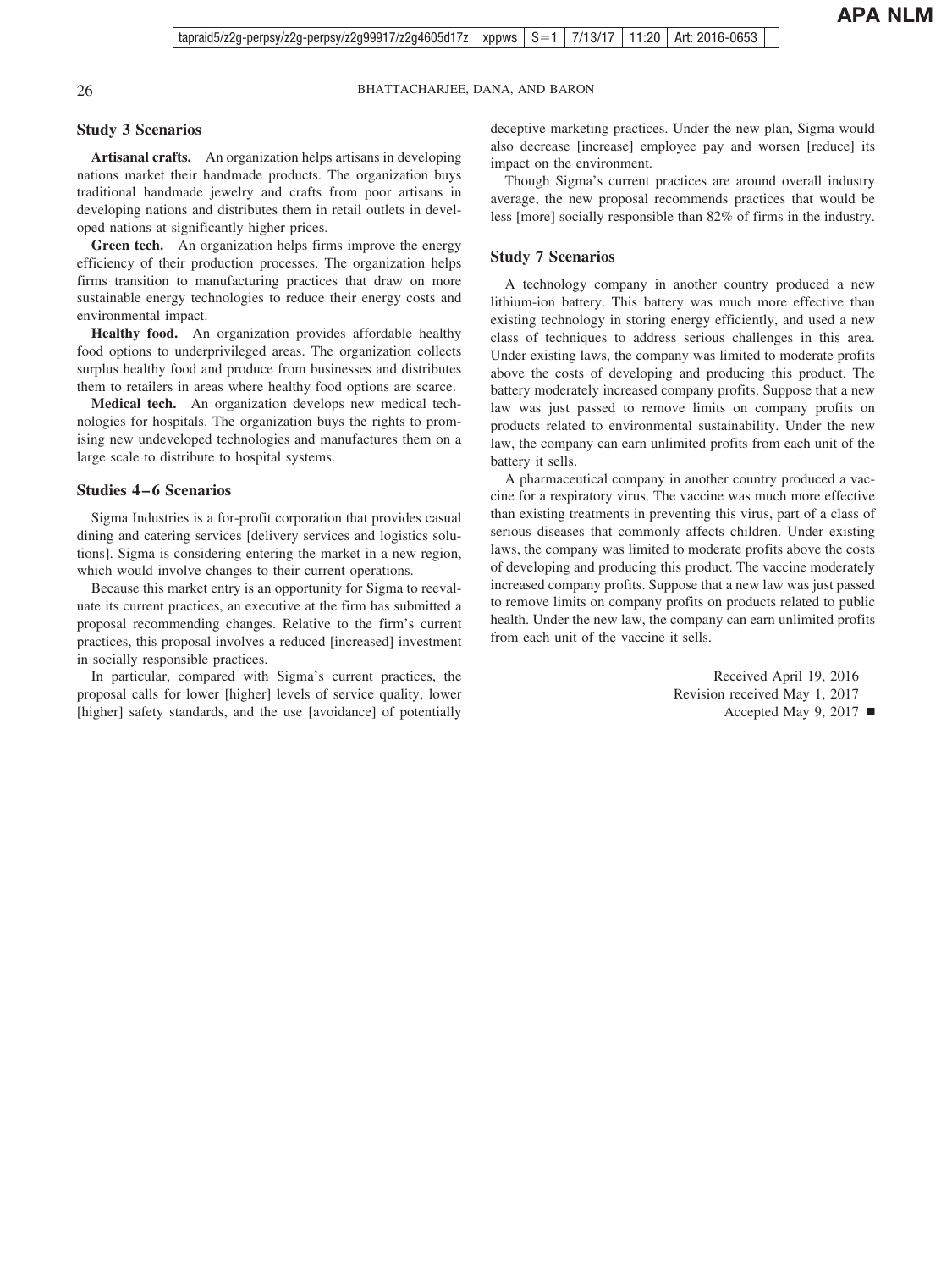#### **Study 3 Scenarios**

**Artisanal crafts.** An organization helps artisans in developing nations market their handmade products. The organization buys traditional handmade jewelry and crafts from poor artisans in developing nations and distributes them in retail outlets in developed nations at significantly higher prices.

**Green tech.** An organization helps firms improve the energy efficiency of their production processes. The organization helps firms transition to manufacturing practices that draw on more sustainable energy technologies to reduce their energy costs and environmental impact.

**Healthy food.** An organization provides affordable healthy food options to underprivileged areas. The organization collects surplus healthy food and produce from businesses and distributes them to retailers in areas where healthy food options are scarce.

**Medical tech.** An organization develops new medical technologies for hospitals. The organization buys the rights to promising new undeveloped technologies and manufactures them on a large scale to distribute to hospital systems.

#### **Studies 4 – 6 Scenarios**

Sigma Industries is a for-profit corporation that provides casual dining and catering services [delivery services and logistics solutions]. Sigma is considering entering the market in a new region, which would involve changes to their current operations.

Because this market entry is an opportunity for Sigma to reevaluate its current practices, an executive at the firm has submitted a proposal recommending changes. Relative to the firm's current practices, this proposal involves a reduced [increased] investment in socially responsible practices.

In particular, compared with Sigma's current practices, the proposal calls for lower [higher] levels of service quality, lower [higher] safety standards, and the use [avoidance] of potentially deceptive marketing practices. Under the new plan, Sigma would also decrease [increase] employee pay and worsen [reduce] its impact on the environment.

Though Sigma's current practices are around overall industry average, the new proposal recommends practices that would be less [more] socially responsible than 82% of firms in the industry.

#### **Study 7 Scenarios**

A technology company in another country produced a new lithium-ion battery. This battery was much more effective than existing technology in storing energy efficiently, and used a new class of techniques to address serious challenges in this area. Under existing laws, the company was limited to moderate profits above the costs of developing and producing this product. The battery moderately increased company profits. Suppose that a new law was just passed to remove limits on company profits on products related to environmental sustainability. Under the new law, the company can earn unlimited profits from each unit of the battery it sells.

A pharmaceutical company in another country produced a vaccine for a respiratory virus. The vaccine was much more effective than existing treatments in preventing this virus, part of a class of serious diseases that commonly affects children. Under existing laws, the company was limited to moderate profits above the costs of developing and producing this product. The vaccine moderately increased company profits. Suppose that a new law was just passed to remove limits on company profits on products related to public health. Under the new law, the company can earn unlimited profits from each unit of the vaccine it sells.

> Received April 19, 2016 Revision received May 1, 2017 Accepted May 9, 2017  $\blacksquare$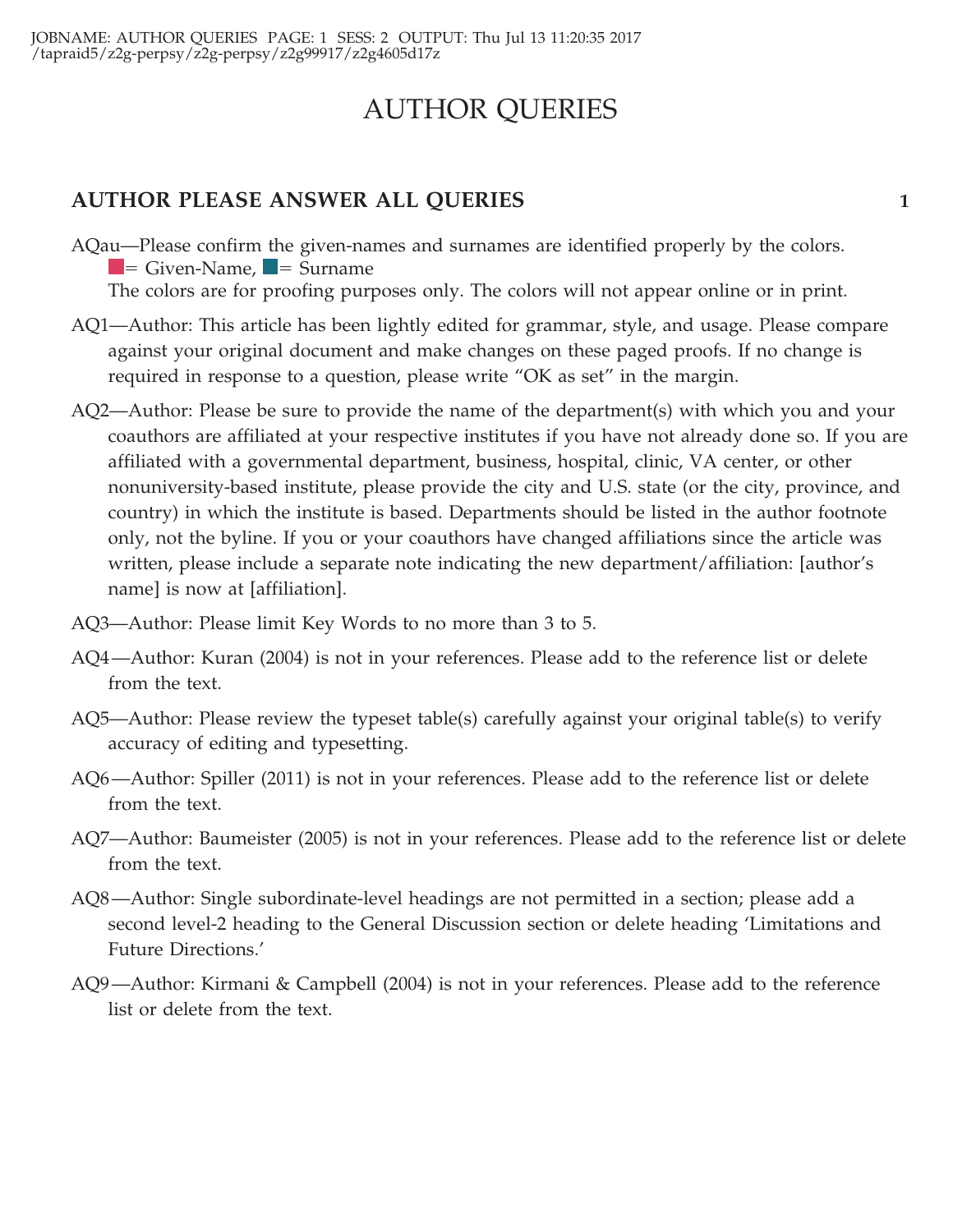# AUTHOR QUERIES

# **AUTHOR PLEASE ANSWER ALL QUERIES 1**

AQau—Please confirm the given-names and surnames are identified properly by the colors.  $=$  Given-Name,  $\blacksquare$  = Surname

The colors are for proofing purposes only. The colors will not appear online or in print.

- AQ1—Author: This article has been lightly edited for grammar, style, and usage. Please compare against your original document and make changes on these paged proofs. If no change is required in response to a question, please write "OK as set" in the margin.
- AQ2—Author: Please be sure to provide the name of the department(s) with which you and your coauthors are affiliated at your respective institutes if you have not already done so. If you are affiliated with a governmental department, business, hospital, clinic, VA center, or other nonuniversity-based institute, please provide the city and U.S. state (or the city, province, and country) in which the institute is based. Departments should be listed in the author footnote only, not the byline. If you or your coauthors have changed affiliations since the article was written, please include a separate note indicating the new department/affiliation: [author's name] is now at [affiliation].
- AQ3—Author: Please limit Key Words to no more than 3 to 5.
- AQ4—Author: Kuran (2004) is not in your references. Please add to the reference list or delete from the text.
- AQ5—Author: Please review the typeset table(s) carefully against your original table(s) to verify accuracy of editing and typesetting.
- AQ6—Author: Spiller (2011) is not in your references. Please add to the reference list or delete from the text.
- AQ7—Author: Baumeister (2005) is not in your references. Please add to the reference list or delete from the text.
- AQ8—Author: Single subordinate-level headings are not permitted in a section; please add a second level-2 heading to the General Discussion section or delete heading 'Limitations and Future Directions.'
- AQ9—Author: Kirmani & Campbell (2004) is not in your references. Please add to the reference list or delete from the text.